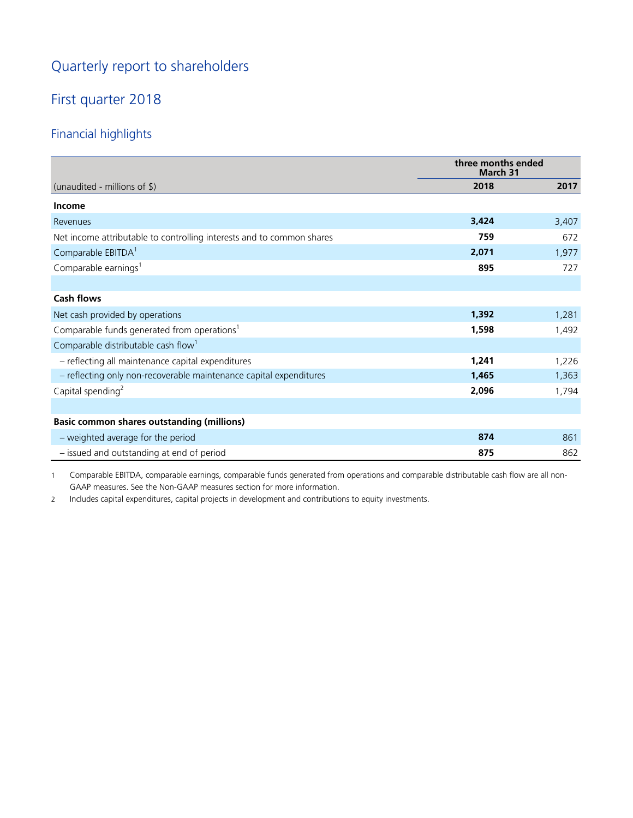# Quarterly report to shareholders

# First quarter 2018

# Financial highlights

|                                                                       | three months ended<br>March 31 |       |
|-----------------------------------------------------------------------|--------------------------------|-------|
| (unaudited - millions of \$)                                          | 2018                           | 2017  |
| <b>Income</b>                                                         |                                |       |
| Revenues                                                              | 3,424                          | 3,407 |
| Net income attributable to controlling interests and to common shares | 759                            | 672   |
| Comparable EBITDA <sup>1</sup>                                        | 2,071                          | 1,977 |
| Comparable earnings <sup>1</sup>                                      | 895                            | 727   |
|                                                                       |                                |       |
| <b>Cash flows</b>                                                     |                                |       |
| Net cash provided by operations                                       | 1,392                          | 1,281 |
| Comparable funds generated from operations <sup>1</sup>               | 1,598                          | 1,492 |
| Comparable distributable cash flow <sup>1</sup>                       |                                |       |
| - reflecting all maintenance capital expenditures                     | 1,241                          | 1,226 |
| - reflecting only non-recoverable maintenance capital expenditures    | 1,465                          | 1,363 |
| Capital spending <sup>2</sup>                                         | 2,096                          | 1,794 |
|                                                                       |                                |       |
| <b>Basic common shares outstanding (millions)</b>                     |                                |       |
| - weighted average for the period                                     | 874                            | 861   |
| - issued and outstanding at end of period                             | 875                            | 862   |

1 Comparable EBITDA, comparable earnings, comparable funds generated from operations and comparable distributable cash flow are all non-GAAP measures. See the Non-GAAP measures section for more information.

2 Includes capital expenditures, capital projects in development and contributions to equity investments.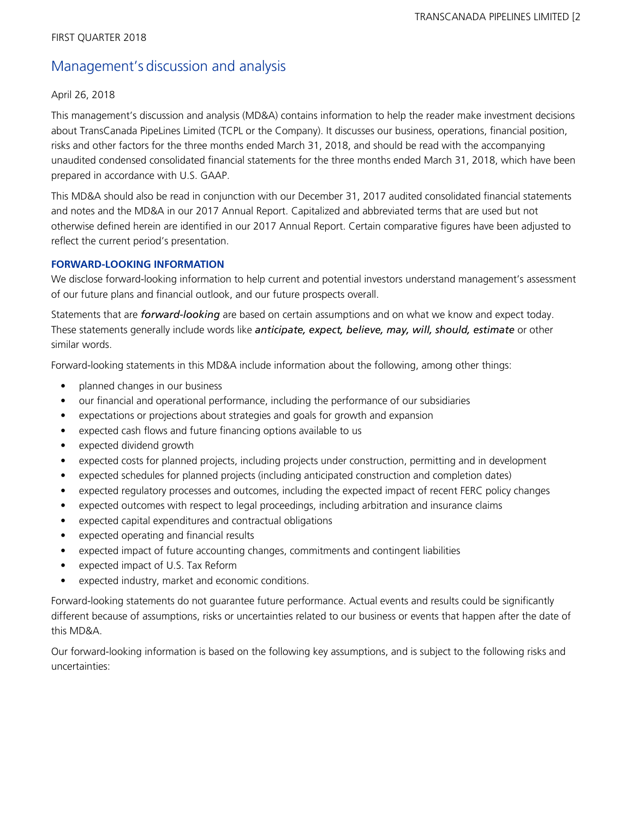# Management's discussion and analysis

# April 26, 2018

This management's discussion and analysis (MD&A) contains information to help the reader make investment decisions about TransCanada PipeLines Limited (TCPL or the Company). It discusses our business, operations, financial position, risks and other factors for the three months ended March 31, 2018, and should be read with the accompanying unaudited condensed consolidated financial statements for the three months ended March 31, 2018, which have been prepared in accordance with U.S. GAAP.

This MD&A should also be read in conjunction with our December 31, 2017 audited consolidated financial statements and notes and the MD&A in our 2017 Annual Report. Capitalized and abbreviated terms that are used but not otherwise defined herein are identified in our 2017 Annual Report. Certain comparative figures have been adjusted to reflect the current period's presentation.

# **FORWARD-LOOKING INFORMATION**

We disclose forward-looking information to help current and potential investors understand management's assessment of our future plans and financial outlook, and our future prospects overall.

Statements that are *forward-looking* are based on certain assumptions and on what we know and expect today. These statements generally include words like *anticipate, expect, believe, may, will, should, estimate* or other similar words.

Forward-looking statements in this MD&A include information about the following, among other things:

- planned changes in our business
- our financial and operational performance, including the performance of our subsidiaries
- expectations or projections about strategies and goals for growth and expansion
- expected cash flows and future financing options available to us
- expected dividend growth
- expected costs for planned projects, including projects under construction, permitting and in development
- expected schedules for planned projects (including anticipated construction and completion dates)
- expected regulatory processes and outcomes, including the expected impact of recent FERC policy changes
- expected outcomes with respect to legal proceedings, including arbitration and insurance claims
- expected capital expenditures and contractual obligations
- expected operating and financial results
- expected impact of future accounting changes, commitments and contingent liabilities
- expected impact of U.S. Tax Reform
- expected industry, market and economic conditions.

Forward-looking statements do not guarantee future performance. Actual events and results could be significantly different because of assumptions, risks or uncertainties related to our business or events that happen after the date of this MD&A.

Our forward-looking information is based on the following key assumptions, and is subject to the following risks and uncertainties: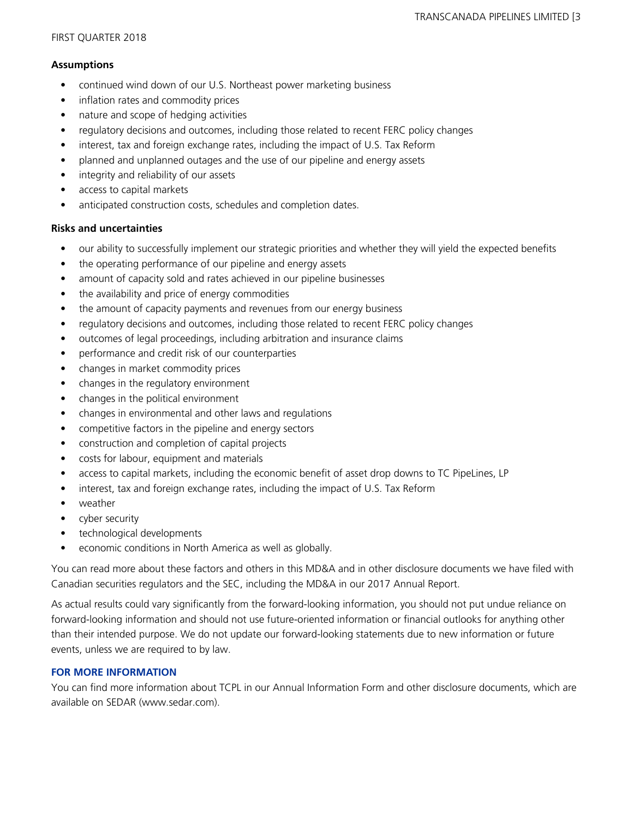### **Assumptions**

- continued wind down of our U.S. Northeast power marketing business
- inflation rates and commodity prices
- nature and scope of hedging activities
- regulatory decisions and outcomes, including those related to recent FERC policy changes
- interest, tax and foreign exchange rates, including the impact of U.S. Tax Reform
- planned and unplanned outages and the use of our pipeline and energy assets
- integrity and reliability of our assets
- access to capital markets
- anticipated construction costs, schedules and completion dates.

# **Risks and uncertainties**

- our ability to successfully implement our strategic priorities and whether they will yield the expected benefits
- the operating performance of our pipeline and energy assets
- amount of capacity sold and rates achieved in our pipeline businesses
- the availability and price of energy commodities
- the amount of capacity payments and revenues from our energy business
- regulatory decisions and outcomes, including those related to recent FERC policy changes
- outcomes of legal proceedings, including arbitration and insurance claims
- performance and credit risk of our counterparties
- changes in market commodity prices
- changes in the regulatory environment
- changes in the political environment
- changes in environmental and other laws and regulations
- competitive factors in the pipeline and energy sectors
- construction and completion of capital projects
- costs for labour, equipment and materials
- access to capital markets, including the economic benefit of asset drop downs to TC PipeLines, LP
- interest, tax and foreign exchange rates, including the impact of U.S. Tax Reform
- weather
- cyber security
- technological developments
- economic conditions in North America as well as globally.

You can read more about these factors and others in this MD&A and in other disclosure documents we have filed with Canadian securities regulators and the SEC, including the MD&A in our 2017 Annual Report.

As actual results could vary significantly from the forward-looking information, you should not put undue reliance on forward-looking information and should not use future-oriented information or financial outlooks for anything other than their intended purpose. We do not update our forward-looking statements due to new information or future events, unless we are required to by law.

# **FOR MORE INFORMATION**

You can find more information about TCPL in our Annual Information Form and other disclosure documents, which are available on SEDAR (www.sedar.com).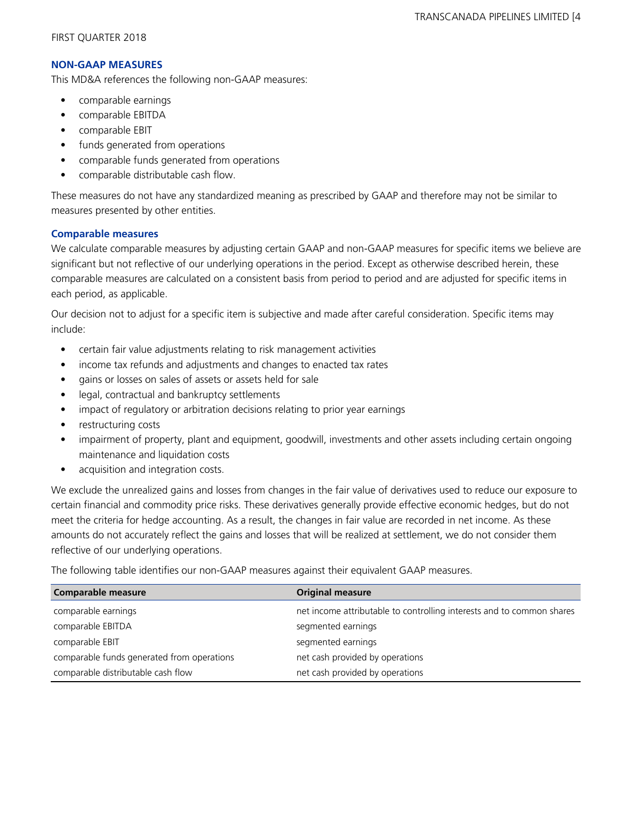## **NON-GAAP MEASURES**

This MD&A references the following non-GAAP measures:

- **•** comparable earnings
- comparable EBITDA
- comparable EBIT
- funds generated from operations
- comparable funds generated from operations
- comparable distributable cash flow.

These measures do not have any standardized meaning as prescribed by GAAP and therefore may not be similar to measures presented by other entities.

# **Comparable measures**

We calculate comparable measures by adjusting certain GAAP and non-GAAP measures for specific items we believe are significant but not reflective of our underlying operations in the period. Except as otherwise described herein, these comparable measures are calculated on a consistent basis from period to period and are adjusted for specific items in each period, as applicable.

Our decision not to adjust for a specific item is subjective and made after careful consideration. Specific items may include:

- **•** certain fair value adjustments relating to risk management activities
- **•** income tax refunds and adjustments and changes to enacted tax rates
- **•** gains or losses on sales of assets or assets held for sale
- **•** legal, contractual and bankruptcy settlements
- impact of regulatory or arbitration decisions relating to prior year earnings
- restructuring costs
- **•** impairment of property, plant and equipment, goodwill, investments and other assets including certain ongoing maintenance and liquidation costs
- acquisition and integration costs.

We exclude the unrealized gains and losses from changes in the fair value of derivatives used to reduce our exposure to certain financial and commodity price risks. These derivatives generally provide effective economic hedges, but do not meet the criteria for hedge accounting. As a result, the changes in fair value are recorded in net income. As these amounts do not accurately reflect the gains and losses that will be realized at settlement, we do not consider them reflective of our underlying operations.

The following table identifies our non-GAAP measures against their equivalent GAAP measures.

| <b>Comparable measure</b>                  | <b>Original measure</b>                                               |
|--------------------------------------------|-----------------------------------------------------------------------|
| comparable earnings                        | net income attributable to controlling interests and to common shares |
| comparable EBITDA                          | segmented earnings                                                    |
| comparable EBIT                            | segmented earnings                                                    |
| comparable funds generated from operations | net cash provided by operations                                       |
| comparable distributable cash flow         | net cash provided by operations                                       |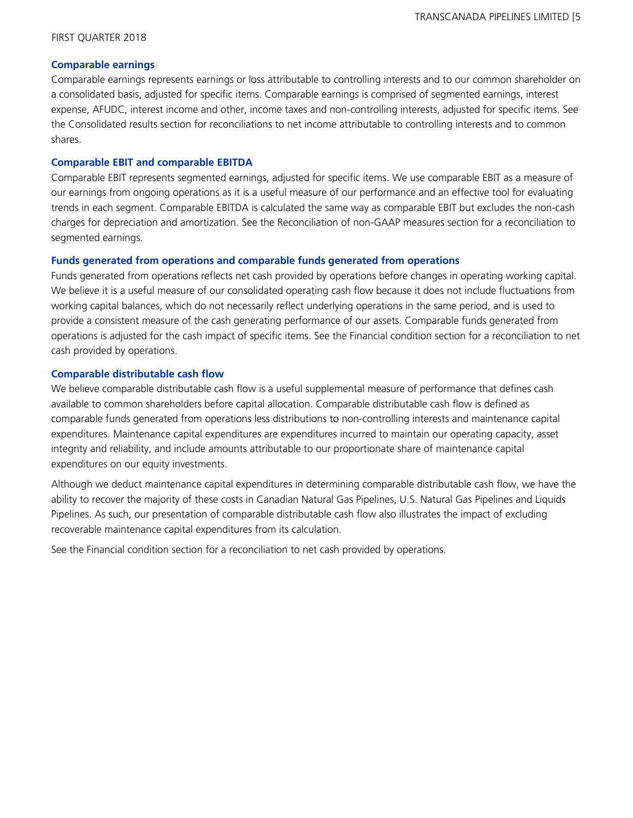### **Comparable earnings**

Comparable earnings represents earnings or loss attributable to controlling interests and to our common shareholder on a consolidated basis, adjusted for specific items. Comparable earnings is comprised of segmented earnings, interest expense, AFUDC, interest income and other, income taxes and non-controlling interests, adjusted for specific items. See the Consolidated results section for reconciliations to net income attributable to controlling interests and to common shares.

### **Comparable EBIT and comparable EBITDA**

Comparable EBIT represents segmented earnings, adjusted for specific items. We use comparable EBIT as a measure of our earnings from ongoing operations as it is a useful measure of our performance and an effective tool for evaluating trends in each segment. Comparable EBITDA is calculated the same way as comparable EBIT but excludes the non-cash charges for depreciation and amortization. See the Reconciliation of non-GAAP measures section for a reconciliation to segmented earnings.

#### **Funds generated from operations and comparable funds generated from operations**

Funds generated from operations reflects net cash provided by operations before changes in operating working capital. We believe it is a useful measure of our consolidated operating cash flow because it does not include fluctuations from working capital balances, which do not necessarily reflect underlying operations in the same period, and is used to provide a consistent measure of the cash generating performance of our assets. Comparable funds generated from operations is adjusted for the cash impact of specific items. See the Financial condition section for a reconciliation to net cash provided by operations.

### **Comparable distributable cash flow**

We believe comparable distributable cash flow is a useful supplemental measure of performance that defines cash available to common shareholders before capital allocation. Comparable distributable cash flow is defined as comparable funds generated from operations less distributions to non-controlling interests and maintenance capital expenditures. Maintenance capital expenditures are expenditures incurred to maintain our operating capacity, asset integrity and reliability, and include amounts attributable to our proportionate share of maintenance capital expenditures on our equity investments.

Although we deduct maintenance capital expenditures in determining comparable distributable cash flow, we have the ability to recover the majority of these costs in Canadian Natural Gas Pipelines, U.S. Natural Gas Pipelines and Liquids Pipelines. As such, our presentation of comparable distributable cash flow also illustrates the impact of excluding recoverable maintenance capital expenditures from its calculation.

See the Financial condition section for a reconciliation to net cash provided by operations.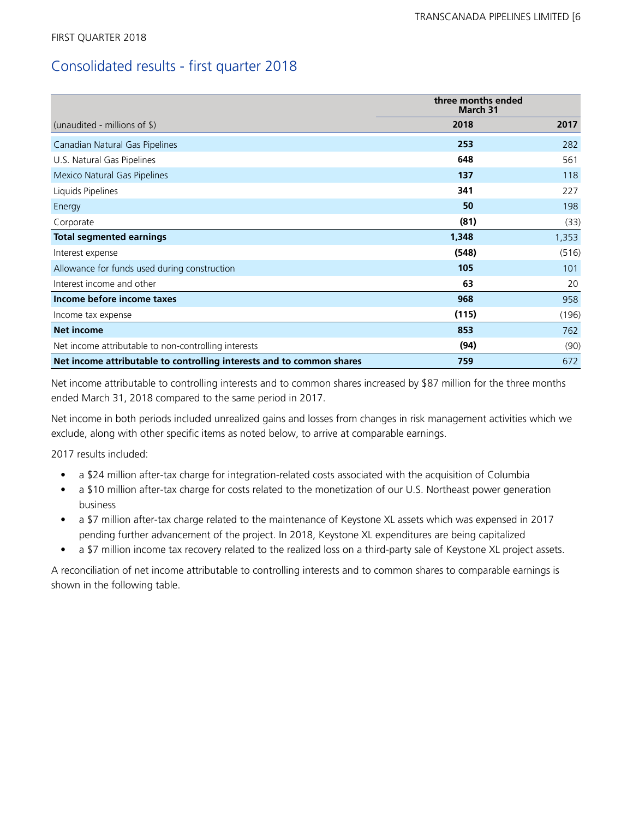# Consolidated results - first quarter 2018

|                                                                       | three months ended<br><b>March 31</b> |       |
|-----------------------------------------------------------------------|---------------------------------------|-------|
| (unaudited - millions of $\frac{1}{2}$ )                              | 2018                                  | 2017  |
| Canadian Natural Gas Pipelines                                        | 253                                   | 282   |
| U.S. Natural Gas Pipelines                                            | 648                                   | 561   |
| Mexico Natural Gas Pipelines                                          | 137                                   | 118   |
| Liquids Pipelines                                                     | 341                                   | 227   |
| Energy                                                                | 50                                    | 198   |
| Corporate                                                             | (81)                                  | (33)  |
| <b>Total segmented earnings</b>                                       | 1,348                                 | 1,353 |
| Interest expense                                                      | (548)                                 | (516) |
| Allowance for funds used during construction                          | 105                                   | 101   |
| Interest income and other                                             | 63                                    | 20    |
| Income before income taxes                                            | 968                                   | 958   |
| Income tax expense                                                    | (115)                                 | (196) |
| <b>Net income</b>                                                     | 853                                   | 762   |
| Net income attributable to non-controlling interests                  | (94)                                  | (90)  |
| Net income attributable to controlling interests and to common shares | 759                                   | 672   |

Net income attributable to controlling interests and to common shares increased by \$87 million for the three months ended March 31, 2018 compared to the same period in 2017.

Net income in both periods included unrealized gains and losses from changes in risk management activities which we exclude, along with other specific items as noted below, to arrive at comparable earnings.

2017 results included:

- a \$24 million after-tax charge for integration-related costs associated with the acquisition of Columbia
- a \$10 million after-tax charge for costs related to the monetization of our U.S. Northeast power generation business
- a \$7 million after-tax charge related to the maintenance of Keystone XL assets which was expensed in 2017 pending further advancement of the project. In 2018, Keystone XL expenditures are being capitalized
- a \$7 million income tax recovery related to the realized loss on a third-party sale of Keystone XL project assets.

A reconciliation of net income attributable to controlling interests and to common shares to comparable earnings is shown in the following table.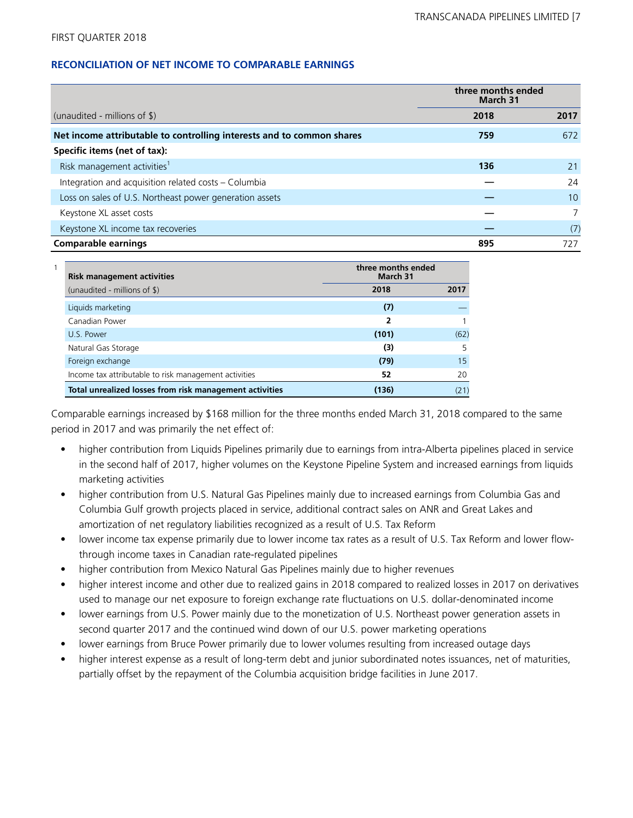## **RECONCILIATION OF NET INCOME TO COMPARABLE EARNINGS**

|                                                                       |      | three months ended<br>March 31 |  |
|-----------------------------------------------------------------------|------|--------------------------------|--|
| (unaudited - millions of $\frac{1}{2}$ )                              | 2018 | 2017                           |  |
| Net income attributable to controlling interests and to common shares | 759  | 672                            |  |
| Specific items (net of tax):                                          |      |                                |  |
| Risk management activities <sup>1</sup>                               | 136  | 21                             |  |
| Integration and acquisition related costs - Columbia                  |      | 24                             |  |
| Loss on sales of U.S. Northeast power generation assets               |      | 10                             |  |
| Keystone XL asset costs                                               |      |                                |  |
| Keystone XL income tax recoveries                                     |      | (7)                            |  |
| <b>Comparable earnings</b>                                            | 895  | 727                            |  |

| <b>Risk management activities</b>                       | three months ended<br>March 31 |      |
|---------------------------------------------------------|--------------------------------|------|
| (unaudited - millions of \$)                            | 2018                           | 2017 |
| Liquids marketing                                       | (7)                            |      |
| Canadian Power                                          | 2                              |      |
| U.S. Power                                              | (101)                          | (62) |
| Natural Gas Storage                                     | (3)                            |      |
| Foreign exchange                                        | (79)                           | 15   |
| Income tax attributable to risk management activities   | 52                             | 20   |
| Total unrealized losses from risk management activities | (136)                          | (21  |

Comparable earnings increased by \$168 million for the three months ended March 31, 2018 compared to the same period in 2017 and was primarily the net effect of:

- higher contribution from Liquids Pipelines primarily due to earnings from intra-Alberta pipelines placed in service in the second half of 2017, higher volumes on the Keystone Pipeline System and increased earnings from liquids marketing activities
- higher contribution from U.S. Natural Gas Pipelines mainly due to increased earnings from Columbia Gas and Columbia Gulf growth projects placed in service, additional contract sales on ANR and Great Lakes and amortization of net regulatory liabilities recognized as a result of U.S. Tax Reform
- lower income tax expense primarily due to lower income tax rates as a result of U.S. Tax Reform and lower flowthrough income taxes in Canadian rate-regulated pipelines
- higher contribution from Mexico Natural Gas Pipelines mainly due to higher revenues
- higher interest income and other due to realized gains in 2018 compared to realized losses in 2017 on derivatives used to manage our net exposure to foreign exchange rate fluctuations on U.S. dollar-denominated income
- lower earnings from U.S. Power mainly due to the monetization of U.S. Northeast power generation assets in second quarter 2017 and the continued wind down of our U.S. power marketing operations
- lower earnings from Bruce Power primarily due to lower volumes resulting from increased outage days
- higher interest expense as a result of long-term debt and junior subordinated notes issuances, net of maturities, partially offset by the repayment of the Columbia acquisition bridge facilities in June 2017.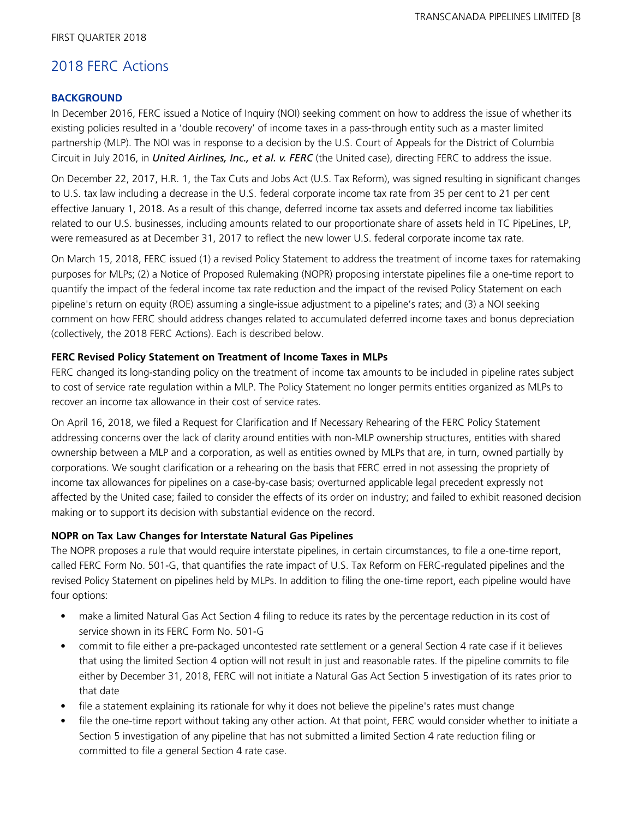# 2018 FERC Actions

## **BACKGROUND**

In December 2016, FERC issued a Notice of Inquiry (NOI) seeking comment on how to address the issue of whether its existing policies resulted in a 'double recovery' of income taxes in a pass-through entity such as a master limited partnership (MLP). The NOI was in response to a decision by the U.S. Court of Appeals for the District of Columbia Circuit in July 2016, in *United Airlines, Inc., et al. v. FERC* (the United case), directing FERC to address the issue.

On December 22, 2017, H.R. 1, the Tax Cuts and Jobs Act (U.S. Tax Reform), was signed resulting in significant changes to U.S. tax law including a decrease in the U.S. federal corporate income tax rate from 35 per cent to 21 per cent effective January 1, 2018. As a result of this change, deferred income tax assets and deferred income tax liabilities related to our U.S. businesses, including amounts related to our proportionate share of assets held in TC PipeLines, LP, were remeasured as at December 31, 2017 to reflect the new lower U.S. federal corporate income tax rate.

On March 15, 2018, FERC issued (1) a revised Policy Statement to address the treatment of income taxes for ratemaking purposes for MLPs; (2) a Notice of Proposed Rulemaking (NOPR) proposing interstate pipelines file a one-time report to quantify the impact of the federal income tax rate reduction and the impact of the revised Policy Statement on each pipeline's return on equity (ROE) assuming a single-issue adjustment to a pipeline's rates; and (3) a NOI seeking comment on how FERC should address changes related to accumulated deferred income taxes and bonus depreciation (collectively, the 2018 FERC Actions). Each is described below.

### **FERC Revised Policy Statement on Treatment of Income Taxes in MLPs**

FERC changed its long-standing policy on the treatment of income tax amounts to be included in pipeline rates subject to cost of service rate regulation within a MLP. The Policy Statement no longer permits entities organized as MLPs to recover an income tax allowance in their cost of service rates.

On April 16, 2018, we filed a Request for Clarification and If Necessary Rehearing of the FERC Policy Statement addressing concerns over the lack of clarity around entities with non-MLP ownership structures, entities with shared ownership between a MLP and a corporation, as well as entities owned by MLPs that are, in turn, owned partially by corporations. We sought clarification or a rehearing on the basis that FERC erred in not assessing the propriety of income tax allowances for pipelines on a case-by-case basis; overturned applicable legal precedent expressly not affected by the United case; failed to consider the effects of its order on industry; and failed to exhibit reasoned decision making or to support its decision with substantial evidence on the record.

# **NOPR on Tax Law Changes for Interstate Natural Gas Pipelines**

The NOPR proposes a rule that would require interstate pipelines, in certain circumstances, to file a one-time report, called FERC Form No. 501-G, that quantifies the rate impact of U.S. Tax Reform on FERC-regulated pipelines and the revised Policy Statement on pipelines held by MLPs. In addition to filing the one-time report, each pipeline would have four options:

- make a limited Natural Gas Act Section 4 filing to reduce its rates by the percentage reduction in its cost of service shown in its FERC Form No. 501-G
- commit to file either a pre-packaged uncontested rate settlement or a general Section 4 rate case if it believes that using the limited Section 4 option will not result in just and reasonable rates. If the pipeline commits to file either by December 31, 2018, FERC will not initiate a Natural Gas Act Section 5 investigation of its rates prior to that date
- file a statement explaining its rationale for why it does not believe the pipeline's rates must change
- file the one-time report without taking any other action. At that point, FERC would consider whether to initiate a Section 5 investigation of any pipeline that has not submitted a limited Section 4 rate reduction filing or committed to file a general Section 4 rate case.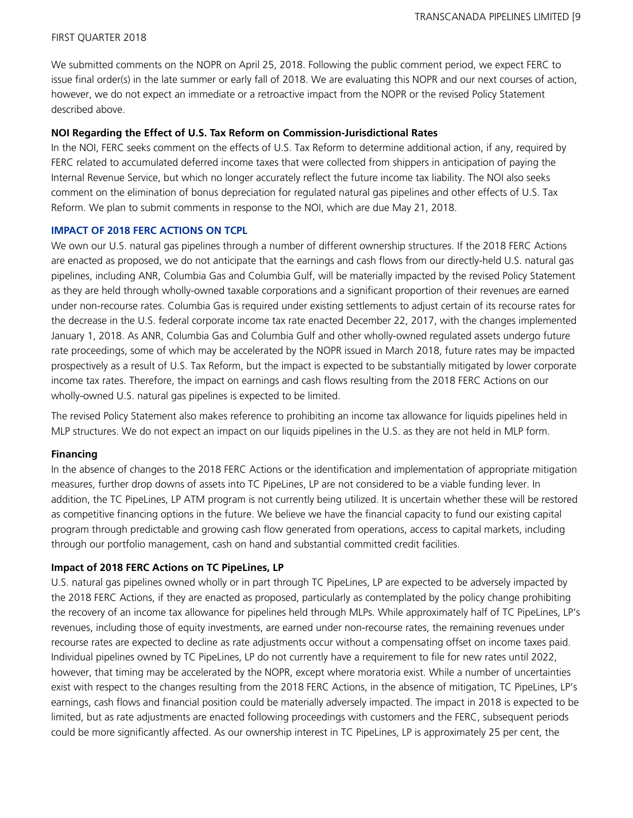We submitted comments on the NOPR on April 25, 2018. Following the public comment period, we expect FERC to issue final order(s) in the late summer or early fall of 2018. We are evaluating this NOPR and our next courses of action, however, we do not expect an immediate or a retroactive impact from the NOPR or the revised Policy Statement described above.

### **NOI Regarding the Effect of U.S. Tax Reform on Commission-Jurisdictional Rates**

In the NOI, FERC seeks comment on the effects of U.S. Tax Reform to determine additional action, if any, required by FERC related to accumulated deferred income taxes that were collected from shippers in anticipation of paying the Internal Revenue Service, but which no longer accurately reflect the future income tax liability. The NOI also seeks comment on the elimination of bonus depreciation for regulated natural gas pipelines and other effects of U.S. Tax Reform. We plan to submit comments in response to the NOI, which are due May 21, 2018.

#### **IMPACT OF 2018 FERC ACTIONS ON TCPL**

We own our U.S. natural gas pipelines through a number of different ownership structures. If the 2018 FERC Actions are enacted as proposed, we do not anticipate that the earnings and cash flows from our directly-held U.S. natural gas pipelines, including ANR, Columbia Gas and Columbia Gulf, will be materially impacted by the revised Policy Statement as they are held through wholly-owned taxable corporations and a significant proportion of their revenues are earned under non-recourse rates. Columbia Gas is required under existing settlements to adjust certain of its recourse rates for the decrease in the U.S. federal corporate income tax rate enacted December 22, 2017, with the changes implemented January 1, 2018. As ANR, Columbia Gas and Columbia Gulf and other wholly-owned regulated assets undergo future rate proceedings, some of which may be accelerated by the NOPR issued in March 2018, future rates may be impacted prospectively as a result of U.S. Tax Reform, but the impact is expected to be substantially mitigated by lower corporate income tax rates. Therefore, the impact on earnings and cash flows resulting from the 2018 FERC Actions on our wholly-owned U.S. natural gas pipelines is expected to be limited.

The revised Policy Statement also makes reference to prohibiting an income tax allowance for liquids pipelines held in MLP structures. We do not expect an impact on our liquids pipelines in the U.S. as they are not held in MLP form.

### **Financing**

In the absence of changes to the 2018 FERC Actions or the identification and implementation of appropriate mitigation measures, further drop downs of assets into TC PipeLines, LP are not considered to be a viable funding lever. In addition, the TC PipeLines, LP ATM program is not currently being utilized. It is uncertain whether these will be restored as competitive financing options in the future. We believe we have the financial capacity to fund our existing capital program through predictable and growing cash flow generated from operations, access to capital markets, including through our portfolio management, cash on hand and substantial committed credit facilities.

### **Impact of 2018 FERC Actions on TC PipeLines, LP**

U.S. natural gas pipelines owned wholly or in part through TC PipeLines, LP are expected to be adversely impacted by the 2018 FERC Actions, if they are enacted as proposed, particularly as contemplated by the policy change prohibiting the recovery of an income tax allowance for pipelines held through MLPs. While approximately half of TC PipeLines, LP's revenues, including those of equity investments, are earned under non-recourse rates, the remaining revenues under recourse rates are expected to decline as rate adjustments occur without a compensating offset on income taxes paid. Individual pipelines owned by TC PipeLines, LP do not currently have a requirement to file for new rates until 2022, however, that timing may be accelerated by the NOPR, except where moratoria exist. While a number of uncertainties exist with respect to the changes resulting from the 2018 FERC Actions, in the absence of mitigation, TC PipeLines, LP's earnings, cash flows and financial position could be materially adversely impacted. The impact in 2018 is expected to be limited, but as rate adjustments are enacted following proceedings with customers and the FERC, subsequent periods could be more significantly affected. As our ownership interest in TC PipeLines, LP is approximately 25 per cent, the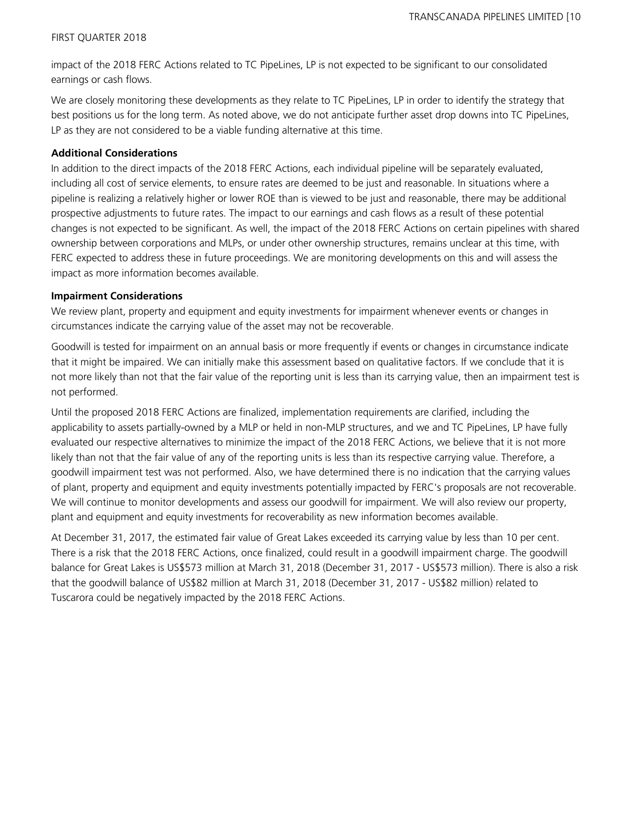impact of the 2018 FERC Actions related to TC PipeLines, LP is not expected to be significant to our consolidated earnings or cash flows.

We are closely monitoring these developments as they relate to TC PipeLines, LP in order to identify the strategy that best positions us for the long term. As noted above, we do not anticipate further asset drop downs into TC PipeLines, LP as they are not considered to be a viable funding alternative at this time.

# **Additional Considerations**

In addition to the direct impacts of the 2018 FERC Actions, each individual pipeline will be separately evaluated, including all cost of service elements, to ensure rates are deemed to be just and reasonable. In situations where a pipeline is realizing a relatively higher or lower ROE than is viewed to be just and reasonable, there may be additional prospective adjustments to future rates. The impact to our earnings and cash flows as a result of these potential changes is not expected to be significant. As well, the impact of the 2018 FERC Actions on certain pipelines with shared ownership between corporations and MLPs, or under other ownership structures, remains unclear at this time, with FERC expected to address these in future proceedings. We are monitoring developments on this and will assess the impact as more information becomes available.

### **Impairment Considerations**

We review plant, property and equipment and equity investments for impairment whenever events or changes in circumstances indicate the carrying value of the asset may not be recoverable.

Goodwill is tested for impairment on an annual basis or more frequently if events or changes in circumstance indicate that it might be impaired. We can initially make this assessment based on qualitative factors. If we conclude that it is not more likely than not that the fair value of the reporting unit is less than its carrying value, then an impairment test is not performed.

Until the proposed 2018 FERC Actions are finalized, implementation requirements are clarified, including the applicability to assets partially-owned by a MLP or held in non-MLP structures, and we and TC PipeLines, LP have fully evaluated our respective alternatives to minimize the impact of the 2018 FERC Actions, we believe that it is not more likely than not that the fair value of any of the reporting units is less than its respective carrying value. Therefore, a goodwill impairment test was not performed. Also, we have determined there is no indication that the carrying values of plant, property and equipment and equity investments potentially impacted by FERC's proposals are not recoverable. We will continue to monitor developments and assess our goodwill for impairment. We will also review our property, plant and equipment and equity investments for recoverability as new information becomes available.

At December 31, 2017, the estimated fair value of Great Lakes exceeded its carrying value by less than 10 per cent. There is a risk that the 2018 FERC Actions, once finalized, could result in a goodwill impairment charge. The goodwill balance for Great Lakes is US\$573 million at March 31, 2018 (December 31, 2017 - US\$573 million). There is also a risk that the goodwill balance of US\$82 million at March 31, 2018 (December 31, 2017 - US\$82 million) related to Tuscarora could be negatively impacted by the 2018 FERC Actions.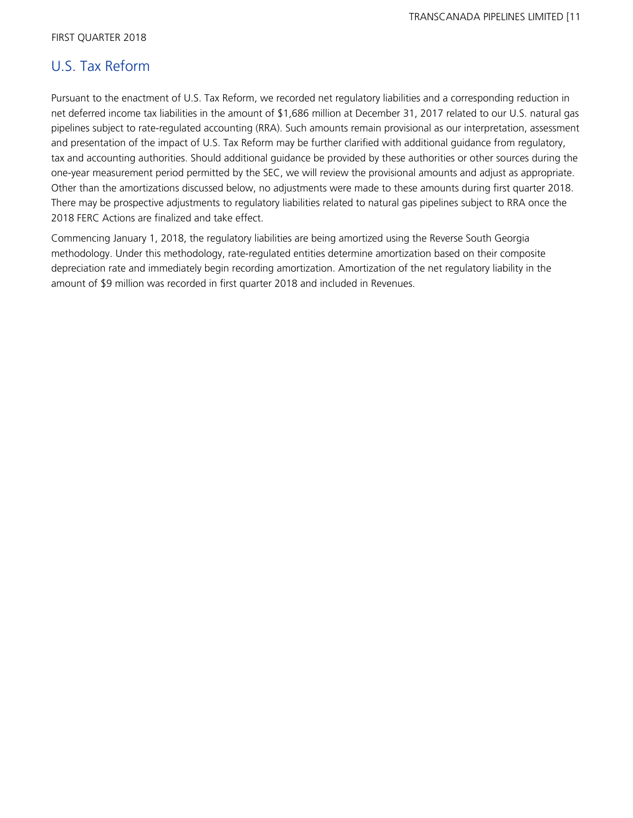# U.S. Tax Reform

Pursuant to the enactment of U.S. Tax Reform, we recorded net regulatory liabilities and a corresponding reduction in net deferred income tax liabilities in the amount of \$1,686 million at December 31, 2017 related to our U.S. natural gas pipelines subject to rate-regulated accounting (RRA). Such amounts remain provisional as our interpretation, assessment and presentation of the impact of U.S. Tax Reform may be further clarified with additional guidance from regulatory, tax and accounting authorities. Should additional guidance be provided by these authorities or other sources during the one-year measurement period permitted by the SEC, we will review the provisional amounts and adjust as appropriate. Other than the amortizations discussed below, no adjustments were made to these amounts during first quarter 2018. There may be prospective adjustments to regulatory liabilities related to natural gas pipelines subject to RRA once the 2018 FERC Actions are finalized and take effect.

Commencing January 1, 2018, the regulatory liabilities are being amortized using the Reverse South Georgia methodology. Under this methodology, rate-regulated entities determine amortization based on their composite depreciation rate and immediately begin recording amortization. Amortization of the net regulatory liability in the amount of \$9 million was recorded in first quarter 2018 and included in Revenues.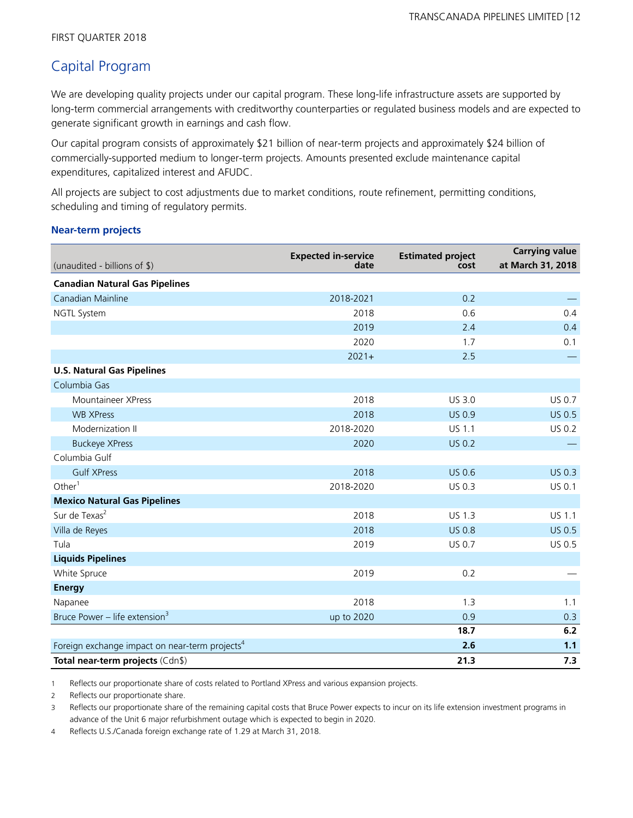# Capital Program

We are developing quality projects under our capital program. These long-life infrastructure assets are supported by long-term commercial arrangements with creditworthy counterparties or regulated business models and are expected to generate significant growth in earnings and cash flow.

Our capital program consists of approximately \$21 billion of near-term projects and approximately \$24 billion of commercially-supported medium to longer-term projects. Amounts presented exclude maintenance capital expenditures, capitalized interest and AFUDC.

All projects are subject to cost adjustments due to market conditions, route refinement, permitting conditions, scheduling and timing of regulatory permits.

### **Near-term projects**

| (unaudited - billions of \$)                               | <b>Expected in-service</b><br>date | <b>Estimated project</b><br>cost | <b>Carrying value</b><br>at March 31, 2018 |
|------------------------------------------------------------|------------------------------------|----------------------------------|--------------------------------------------|
| <b>Canadian Natural Gas Pipelines</b>                      |                                    |                                  |                                            |
| Canadian Mainline                                          | 2018-2021                          | 0.2                              |                                            |
| <b>NGTL System</b>                                         | 2018                               | 0.6                              | 0.4                                        |
|                                                            | 2019                               | 2.4                              | 0.4                                        |
|                                                            | 2020                               | 1.7                              | 0.1                                        |
|                                                            | $2021+$                            | 2.5                              |                                            |
| <b>U.S. Natural Gas Pipelines</b>                          |                                    |                                  |                                            |
| Columbia Gas                                               |                                    |                                  |                                            |
| Mountaineer XPress                                         | 2018                               | US 3.0                           | <b>US 0.7</b>                              |
| <b>WB XPress</b>                                           | 2018                               | <b>US 0.9</b>                    | <b>US 0.5</b>                              |
| Modernization II                                           | 2018-2020                          | <b>US 1.1</b>                    | <b>US 0.2</b>                              |
| <b>Buckeye XPress</b>                                      | 2020                               | <b>US 0.2</b>                    |                                            |
| Columbia Gulf                                              |                                    |                                  |                                            |
| <b>Gulf XPress</b>                                         | 2018                               | <b>US 0.6</b>                    | <b>US 0.3</b>                              |
| Other $1$                                                  | 2018-2020                          | US 0.3                           | US 0.1                                     |
| <b>Mexico Natural Gas Pipelines</b>                        |                                    |                                  |                                            |
| Sur de Texas <sup>2</sup>                                  | 2018                               | <b>US 1.3</b>                    | <b>US 1.1</b>                              |
| Villa de Reyes                                             | 2018                               | <b>US 0.8</b>                    | <b>US 0.5</b>                              |
| Tula                                                       | 2019                               | US 0.7                           | US 0.5                                     |
| <b>Liquids Pipelines</b>                                   |                                    |                                  |                                            |
| White Spruce                                               | 2019                               | 0.2                              |                                            |
| <b>Energy</b>                                              |                                    |                                  |                                            |
| Napanee                                                    | 2018                               | 1.3                              | 1.1                                        |
| Bruce Power - life extension <sup>3</sup>                  | up to 2020                         | 0.9                              | 0.3                                        |
|                                                            |                                    | 18.7                             | 6.2                                        |
| Foreign exchange impact on near-term projects <sup>4</sup> |                                    | 2.6                              | 1.1                                        |
| Total near-term projects (Cdn\$)                           |                                    | 21.3                             | 7.3                                        |

1 Reflects our proportionate share of costs related to Portland XPress and various expansion projects.

2 Reflects our proportionate share.

3 Reflects our proportionate share of the remaining capital costs that Bruce Power expects to incur on its life extension investment programs in advance of the Unit 6 major refurbishment outage which is expected to begin in 2020.

4 Reflects U.S./Canada foreign exchange rate of 1.29 at March 31, 2018.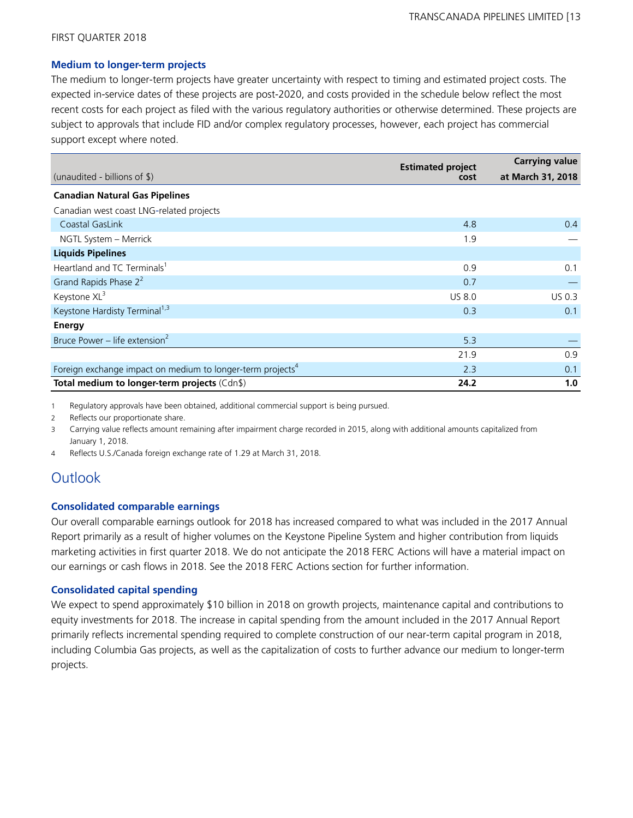### **Medium to longer-term projects**

The medium to longer-term projects have greater uncertainty with respect to timing and estimated project costs. The expected in-service dates of these projects are post-2020, and costs provided in the schedule below reflect the most recent costs for each project as filed with the various regulatory authorities or otherwise determined. These projects are subject to approvals that include FID and/or complex regulatory processes, however, each project has commercial support except where noted.

|                                                                        | <b>Estimated project</b> |                   |
|------------------------------------------------------------------------|--------------------------|-------------------|
| (unaudited - billions of \$)                                           | cost                     | at March 31, 2018 |
| <b>Canadian Natural Gas Pipelines</b>                                  |                          |                   |
| Canadian west coast LNG-related projects                               |                          |                   |
| Coastal GasLink                                                        | 4.8                      | 0.4               |
| NGTL System - Merrick                                                  | 1.9                      |                   |
| <b>Liquids Pipelines</b>                                               |                          |                   |
| Heartland and TC Terminals <sup>1</sup>                                | 0.9                      | 0.1               |
| Grand Rapids Phase 2 <sup>2</sup>                                      | 0.7                      |                   |
| Keystone XL <sup>3</sup>                                               | <b>US 8.0</b>            | US 0.3            |
| Keystone Hardisty Terminal <sup>1,3</sup>                              | 0.3                      | 0.1               |
| Energy                                                                 |                          |                   |
| Bruce Power – life extension <sup>2</sup>                              | 5.3                      |                   |
|                                                                        | 21.9                     | 0.9               |
| Foreign exchange impact on medium to longer-term projects <sup>4</sup> | 2.3                      | 0.1               |
| Total medium to longer-term projects (Cdn\$)                           | 24.2                     | 1.0               |

1 Regulatory approvals have been obtained, additional commercial support is being pursued.

2 Reflects our proportionate share.

3 Carrying value reflects amount remaining after impairment charge recorded in 2015, along with additional amounts capitalized from January 1, 2018.

4 Reflects U.S./Canada foreign exchange rate of 1.29 at March 31, 2018.

# **Outlook**

### **Consolidated comparable earnings**

Our overall comparable earnings outlook for 2018 has increased compared to what was included in the 2017 Annual Report primarily as a result of higher volumes on the Keystone Pipeline System and higher contribution from liquids marketing activities in first quarter 2018. We do not anticipate the 2018 FERC Actions will have a material impact on our earnings or cash flows in 2018. See the 2018 FERC Actions section for further information.

### **Consolidated capital spending**

We expect to spend approximately \$10 billion in 2018 on growth projects, maintenance capital and contributions to equity investments for 2018. The increase in capital spending from the amount included in the 2017 Annual Report primarily reflects incremental spending required to complete construction of our near-term capital program in 2018, including Columbia Gas projects, as well as the capitalization of costs to further advance our medium to longer-term projects.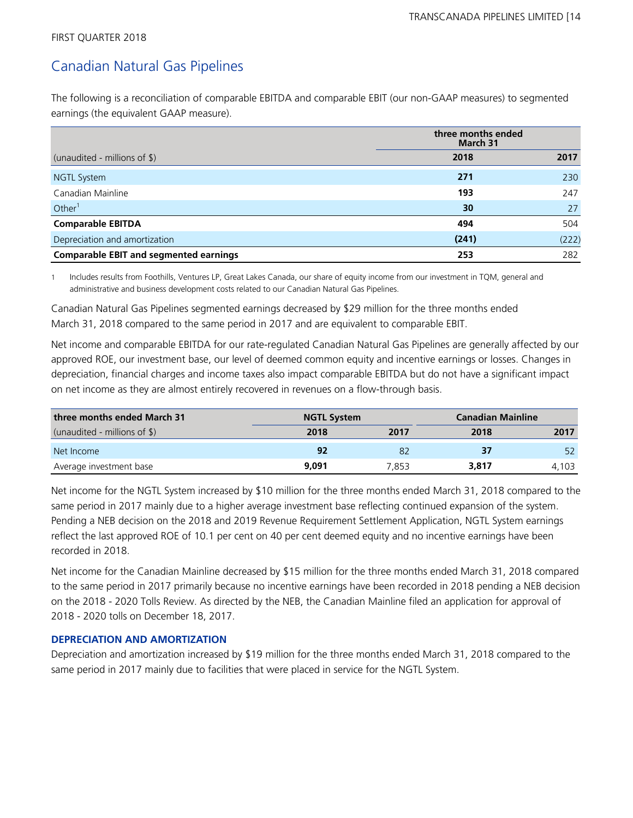# Canadian Natural Gas Pipelines

The following is a reconciliation of comparable EBITDA and comparable EBIT (our non-GAAP measures) to segmented earnings (the equivalent GAAP measure).

|                                               | three months ended<br>March 31 |       |
|-----------------------------------------------|--------------------------------|-------|
| (unaudited - millions of $\$\$ )              | 2018                           | 2017  |
| NGTL System                                   | 271                            | 230   |
| Canadian Mainline                             | 193                            | 247   |
| Other $1$                                     | 30                             | 27    |
| <b>Comparable EBITDA</b>                      | 494                            | 504   |
| Depreciation and amortization                 | (241)                          | (222) |
| <b>Comparable EBIT and segmented earnings</b> | 253                            | 282   |

1 Includes results from Foothills, Ventures LP, Great Lakes Canada, our share of equity income from our investment in TQM, general and administrative and business development costs related to our Canadian Natural Gas Pipelines.

Canadian Natural Gas Pipelines segmented earnings decreased by \$29 million for the three months ended March 31, 2018 compared to the same period in 2017 and are equivalent to comparable EBIT.

Net income and comparable EBITDA for our rate-regulated Canadian Natural Gas Pipelines are generally affected by our approved ROE, our investment base, our level of deemed common equity and incentive earnings or losses. Changes in depreciation, financial charges and income taxes also impact comparable EBITDA but do not have a significant impact on net income as they are almost entirely recovered in revenues on a flow-through basis.

| three months ended March 31     | <b>NGTL System</b> |       |       | <b>Canadian Mainline</b> |
|---------------------------------|--------------------|-------|-------|--------------------------|
| (unaudited - millions of $\$\)$ | 2018               | 2017  | 2018  | 2017                     |
| Net Income                      | 92                 | 82    | 37    | 52                       |
| Average investment base         | 9.091              | 7.853 | 3,817 | 4.103                    |

Net income for the NGTL System increased by \$10 million for the three months ended March 31, 2018 compared to the same period in 2017 mainly due to a higher average investment base reflecting continued expansion of the system. Pending a NEB decision on the 2018 and 2019 Revenue Requirement Settlement Application, NGTL System earnings reflect the last approved ROE of 10.1 per cent on 40 per cent deemed equity and no incentive earnings have been recorded in 2018.

Net income for the Canadian Mainline decreased by \$15 million for the three months ended March 31, 2018 compared to the same period in 2017 primarily because no incentive earnings have been recorded in 2018 pending a NEB decision on the 2018 - 2020 Tolls Review. As directed by the NEB, the Canadian Mainline filed an application for approval of 2018 - 2020 tolls on December 18, 2017.

# **DEPRECIATION AND AMORTIZATION**

Depreciation and amortization increased by \$19 million for the three months ended March 31, 2018 compared to the same period in 2017 mainly due to facilities that were placed in service for the NGTL System.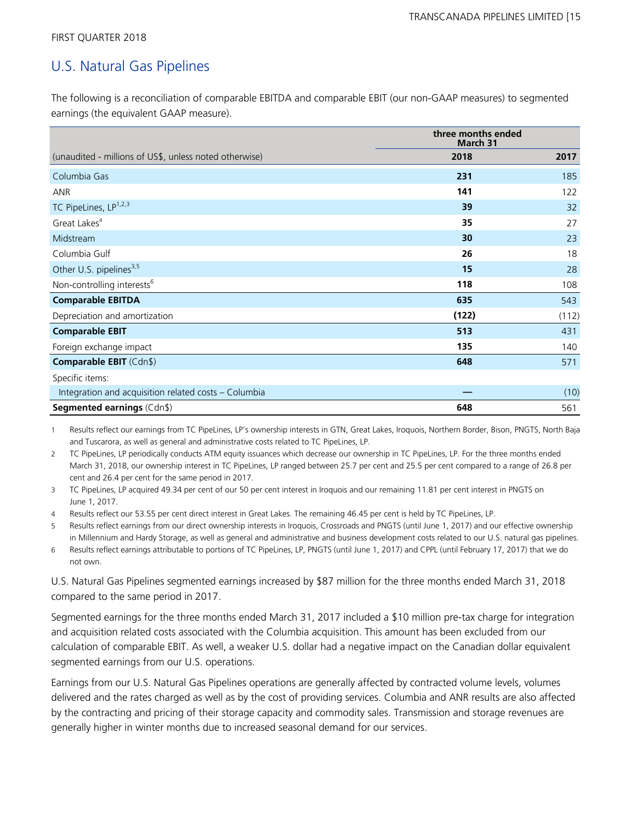# U.S. Natural Gas Pipelines

The following is a reconciliation of comparable EBITDA and comparable EBIT (our non-GAAP measures) to segmented earnings (the equivalent GAAP measure).

|                                                        | three months ended<br>March 31 |       |
|--------------------------------------------------------|--------------------------------|-------|
| (unaudited - millions of US\$, unless noted otherwise) | 2018                           | 2017  |
| Columbia Gas                                           | 231                            | 185   |
| <b>ANR</b>                                             | 141                            | 122   |
| TC PipeLines, LP <sup>1,2,3</sup>                      | 39                             | 32    |
| Great Lakes <sup>4</sup>                               | 35                             | 27    |
| Midstream                                              | 30                             | 23    |
| Columbia Gulf                                          | 26                             | 18    |
| Other U.S. pipelines <sup>3,5</sup>                    | 15                             | 28    |
| Non-controlling interests <sup>6</sup>                 | 118                            | 108   |
| <b>Comparable EBITDA</b>                               | 635                            | 543   |
| Depreciation and amortization                          | (122)                          | (112) |
| <b>Comparable EBIT</b>                                 | 513                            | 431   |
| Foreign exchange impact                                | 135                            | 140   |
| <b>Comparable EBIT (Cdn\$)</b>                         | 648                            | 571   |
| Specific items:                                        |                                |       |
| Integration and acquisition related costs - Columbia   |                                | (10)  |
| <b>Segmented earnings (Cdn\$)</b>                      | 648                            | 561   |

1 Results reflect our earnings from TC PipeLines, LP's ownership interests in GTN, Great Lakes, Iroquois, Northern Border, Bison, PNGTS, North Baja and Tuscarora, as well as general and administrative costs related to TC PipeLines, LP.

2 TC PipeLines, LP periodically conducts ATM equity issuances which decrease our ownership in TC PipeLines, LP. For the three months ended March 31, 2018, our ownership interest in TC PipeLines, LP ranged between 25.7 per cent and 25.5 per cent compared to a range of 26.8 per cent and 26.4 per cent for the same period in 2017.

3 TC PipeLines, LP acquired 49.34 per cent of our 50 per cent interest in Iroquois and our remaining 11.81 per cent interest in PNGTS on June 1, 2017.

4 Results reflect our 53.55 per cent direct interest in Great Lakes. The remaining 46.45 per cent is held by TC PipeLines, LP.

5 Results reflect earnings from our direct ownership interests in Iroquois, Crossroads and PNGTS (until June 1, 2017) and our effective ownership in Millennium and Hardy Storage, as well as general and administrative and business development costs related to our U.S. natural gas pipelines.

6 Results reflect earnings attributable to portions of TC PipeLines, LP, PNGTS (until June 1, 2017) and CPPL (until February 17, 2017) that we do not own.

U.S. Natural Gas Pipelines segmented earnings increased by \$87 million for the three months ended March 31, 2018 compared to the same period in 2017.

Segmented earnings for the three months ended March 31, 2017 included a \$10 million pre-tax charge for integration and acquisition related costs associated with the Columbia acquisition. This amount has been excluded from our calculation of comparable EBIT. As well, a weaker U.S. dollar had a negative impact on the Canadian dollar equivalent segmented earnings from our U.S. operations.

Earnings from our U.S. Natural Gas Pipelines operations are generally affected by contracted volume levels, volumes delivered and the rates charged as well as by the cost of providing services. Columbia and ANR results are also affected by the contracting and pricing of their storage capacity and commodity sales. Transmission and storage revenues are generally higher in winter months due to increased seasonal demand for our services.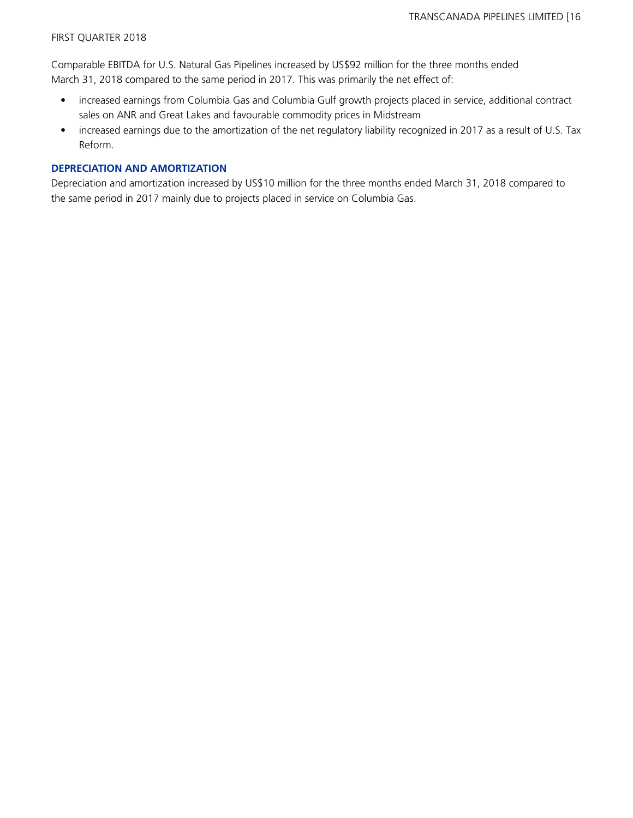Comparable EBITDA for U.S. Natural Gas Pipelines increased by US\$92 million for the three months ended March 31, 2018 compared to the same period in 2017. This was primarily the net effect of:

- increased earnings from Columbia Gas and Columbia Gulf growth projects placed in service, additional contract sales on ANR and Great Lakes and favourable commodity prices in Midstream
- increased earnings due to the amortization of the net regulatory liability recognized in 2017 as a result of U.S. Tax Reform.

### **DEPRECIATION AND AMORTIZATION**

Depreciation and amortization increased by US\$10 million for the three months ended March 31, 2018 compared to the same period in 2017 mainly due to projects placed in service on Columbia Gas.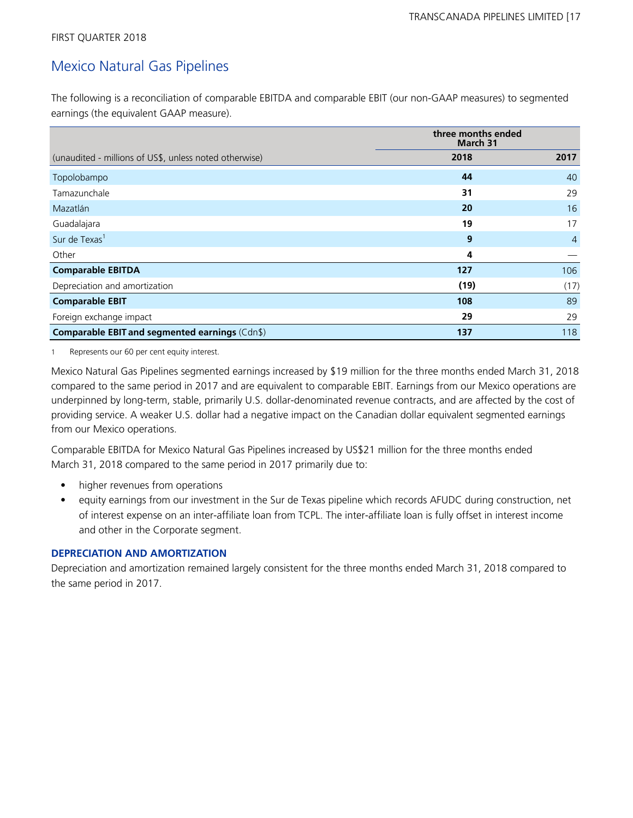# Mexico Natural Gas Pipelines

The following is a reconciliation of comparable EBITDA and comparable EBIT (our non-GAAP measures) to segmented earnings (the equivalent GAAP measure).

|                                                        | three months ended<br>March 31 |                |
|--------------------------------------------------------|--------------------------------|----------------|
| (unaudited - millions of US\$, unless noted otherwise) | 2018                           | 2017           |
| Topolobampo                                            | 44                             | 40             |
| Tamazunchale                                           | 31                             | 29             |
| Mazatlán                                               | 20                             | 16             |
| Guadalajara                                            | 19                             | 17             |
| Sur de Texas <sup>1</sup>                              | 9                              | $\overline{4}$ |
| Other                                                  | 4                              |                |
| <b>Comparable EBITDA</b>                               | 127                            | 106            |
| Depreciation and amortization                          | (19)                           | (17)           |
| <b>Comparable EBIT</b>                                 | 108                            | 89             |
| Foreign exchange impact                                | 29                             | 29             |
| Comparable EBIT and segmented earnings (Cdn\$)         | 137                            | 118            |

1 Represents our 60 per cent equity interest.

Mexico Natural Gas Pipelines segmented earnings increased by \$19 million for the three months ended March 31, 2018 compared to the same period in 2017 and are equivalent to comparable EBIT. Earnings from our Mexico operations are underpinned by long-term, stable, primarily U.S. dollar-denominated revenue contracts, and are affected by the cost of providing service. A weaker U.S. dollar had a negative impact on the Canadian dollar equivalent segmented earnings from our Mexico operations.

Comparable EBITDA for Mexico Natural Gas Pipelines increased by US\$21 million for the three months ended March 31, 2018 compared to the same period in 2017 primarily due to:

- higher revenues from operations
- equity earnings from our investment in the Sur de Texas pipeline which records AFUDC during construction, net of interest expense on an inter-affiliate loan from TCPL. The inter-affiliate loan is fully offset in interest income and other in the Corporate segment.

### **DEPRECIATION AND AMORTIZATION**

Depreciation and amortization remained largely consistent for the three months ended March 31, 2018 compared to the same period in 2017.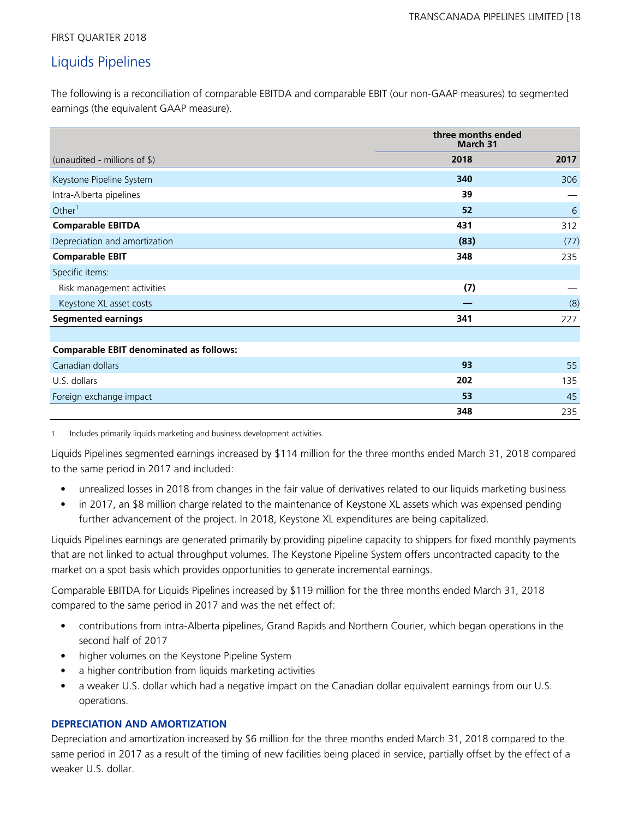# Liquids Pipelines

The following is a reconciliation of comparable EBITDA and comparable EBIT (our non-GAAP measures) to segmented earnings (the equivalent GAAP measure).

|                                                | three months ended<br>March 31 |      |
|------------------------------------------------|--------------------------------|------|
| (unaudited - millions of \$)                   | 2018                           | 2017 |
| Keystone Pipeline System                       | 340                            | 306  |
| Intra-Alberta pipelines                        | 39                             |      |
| Other $1$                                      | 52                             | 6    |
| <b>Comparable EBITDA</b>                       | 431                            | 312  |
| Depreciation and amortization                  | (83)                           | (77) |
| <b>Comparable EBIT</b>                         | 348                            | 235  |
| Specific items:                                |                                |      |
| Risk management activities                     | (7)                            |      |
| Keystone XL asset costs                        |                                | (8)  |
| <b>Segmented earnings</b>                      | 341                            | 227  |
|                                                |                                |      |
| <b>Comparable EBIT denominated as follows:</b> |                                |      |
| Canadian dollars                               | 93                             | 55   |
| U.S. dollars                                   | 202                            | 135  |
| Foreign exchange impact                        | 53                             | 45   |
|                                                | 348                            | 235  |

1 Includes primarily liquids marketing and business development activities.

Liquids Pipelines segmented earnings increased by \$114 million for the three months ended March 31, 2018 compared to the same period in 2017 and included:

- unrealized losses in 2018 from changes in the fair value of derivatives related to our liquids marketing business
- in 2017, an \$8 million charge related to the maintenance of Keystone XL assets which was expensed pending further advancement of the project. In 2018, Keystone XL expenditures are being capitalized.

Liquids Pipelines earnings are generated primarily by providing pipeline capacity to shippers for fixed monthly payments that are not linked to actual throughput volumes. The Keystone Pipeline System offers uncontracted capacity to the market on a spot basis which provides opportunities to generate incremental earnings.

Comparable EBITDA for Liquids Pipelines increased by \$119 million for the three months ended March 31, 2018 compared to the same period in 2017 and was the net effect of:

- contributions from intra-Alberta pipelines, Grand Rapids and Northern Courier, which began operations in the second half of 2017
- higher volumes on the Keystone Pipeline System
- a higher contribution from liquids marketing activities
- a weaker U.S. dollar which had a negative impact on the Canadian dollar equivalent earnings from our U.S. operations.

# **DEPRECIATION AND AMORTIZATION**

Depreciation and amortization increased by \$6 million for the three months ended March 31, 2018 compared to the same period in 2017 as a result of the timing of new facilities being placed in service, partially offset by the effect of a weaker U.S. dollar.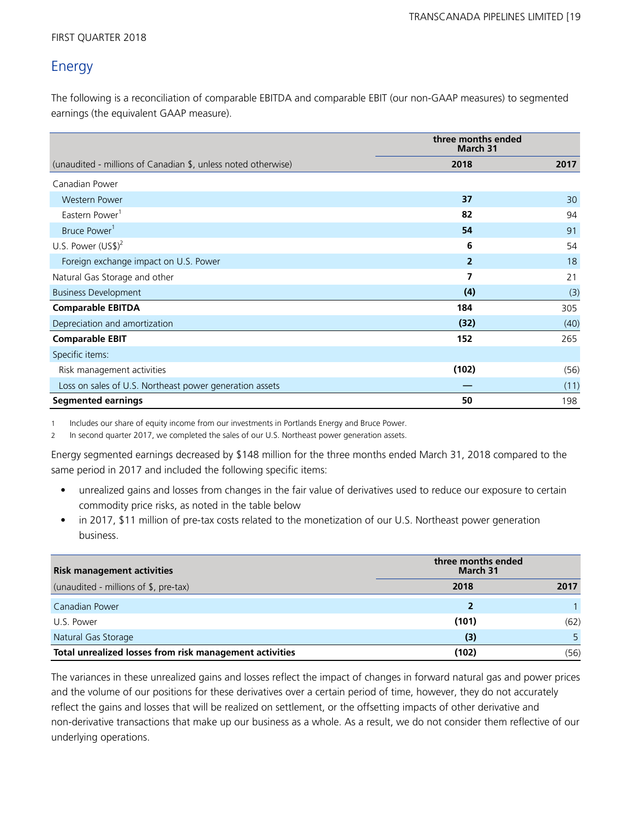# Energy

The following is a reconciliation of comparable EBITDA and comparable EBIT (our non-GAAP measures) to segmented earnings (the equivalent GAAP measure).

|                                                               | three months ended<br><b>March 31</b> |      |
|---------------------------------------------------------------|---------------------------------------|------|
| (unaudited - millions of Canadian \$, unless noted otherwise) | 2018                                  | 2017 |
| Canadian Power                                                |                                       |      |
| <b>Western Power</b>                                          | 37                                    | 30   |
| Eastern Power <sup>1</sup>                                    | 82                                    | 94   |
| Bruce Power <sup>1</sup>                                      | 54                                    | 91   |
| U.S. Power $(US$)^2$                                          | 6                                     | 54   |
| Foreign exchange impact on U.S. Power                         | 2                                     | 18   |
| Natural Gas Storage and other                                 |                                       | 21   |
| <b>Business Development</b>                                   | (4)                                   | (3)  |
| <b>Comparable EBITDA</b>                                      | 184                                   | 305  |
| Depreciation and amortization                                 | (32)                                  | (40) |
| <b>Comparable EBIT</b>                                        | 152                                   | 265  |
| Specific items:                                               |                                       |      |
| Risk management activities                                    | (102)                                 | (56) |
| Loss on sales of U.S. Northeast power generation assets       |                                       | (11) |
| <b>Segmented earnings</b>                                     | 50                                    | 198  |

1 Includes our share of equity income from our investments in Portlands Energy and Bruce Power.

2 In second quarter 2017, we completed the sales of our U.S. Northeast power generation assets.

Energy segmented earnings decreased by \$148 million for the three months ended March 31, 2018 compared to the same period in 2017 and included the following specific items:

- unrealized gains and losses from changes in the fair value of derivatives used to reduce our exposure to certain commodity price risks, as noted in the table below
- in 2017, \$11 million of pre-tax costs related to the monetization of our U.S. Northeast power generation business.

| <b>Risk management activities</b>                       | three months ended<br>March 31 |      |
|---------------------------------------------------------|--------------------------------|------|
| (unaudited - millions of \$, pre-tax)                   | 2018                           | 2017 |
| Canadian Power                                          |                                |      |
| U.S. Power                                              | (101)                          | (62) |
| Natural Gas Storage                                     | (3)                            |      |
| Total unrealized losses from risk management activities | (102)                          | (56) |

The variances in these unrealized gains and losses reflect the impact of changes in forward natural gas and power prices and the volume of our positions for these derivatives over a certain period of time, however, they do not accurately reflect the gains and losses that will be realized on settlement, or the offsetting impacts of other derivative and non-derivative transactions that make up our business as a whole. As a result, we do not consider them reflective of our underlying operations.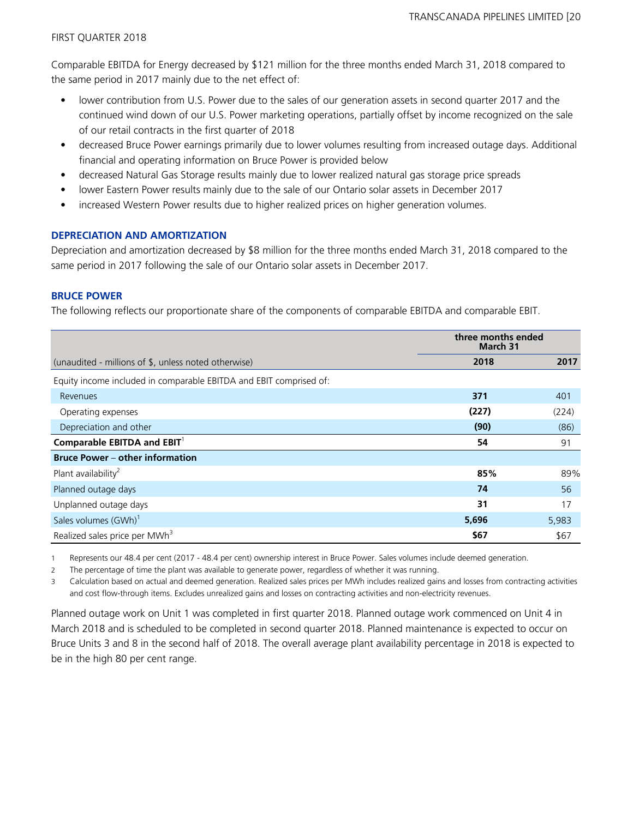Comparable EBITDA for Energy decreased by \$121 million for the three months ended March 31, 2018 compared to the same period in 2017 mainly due to the net effect of:

- lower contribution from U.S. Power due to the sales of our generation assets in second quarter 2017 and the continued wind down of our U.S. Power marketing operations, partially offset by income recognized on the sale of our retail contracts in the first quarter of 2018
- decreased Bruce Power earnings primarily due to lower volumes resulting from increased outage days. Additional financial and operating information on Bruce Power is provided below
- decreased Natural Gas Storage results mainly due to lower realized natural gas storage price spreads
- lower Eastern Power results mainly due to the sale of our Ontario solar assets in December 2017
- increased Western Power results due to higher realized prices on higher generation volumes.

# **DEPRECIATION AND AMORTIZATION**

Depreciation and amortization decreased by \$8 million for the three months ended March 31, 2018 compared to the same period in 2017 following the sale of our Ontario solar assets in December 2017.

# **BRUCE POWER**

The following reflects our proportionate share of the components of comparable EBITDA and comparable EBIT.

|                                                                    | three months ended<br>March 31 |       |
|--------------------------------------------------------------------|--------------------------------|-------|
| (unaudited - millions of \$, unless noted otherwise)               | 2018                           | 2017  |
| Equity income included in comparable EBITDA and EBIT comprised of: |                                |       |
| Revenues                                                           | 371                            | 401   |
| Operating expenses                                                 | (227)                          | (224) |
| Depreciation and other                                             | (90)                           | (86)  |
| Comparable EBITDA and $EBIT1$                                      | 54                             | 91    |
| <b>Bruce Power - other information</b>                             |                                |       |
| Plant availability <sup>2</sup>                                    | 85%                            | 89%   |
| Planned outage days                                                | 74                             | 56    |
| Unplanned outage days                                              | 31                             | 17    |
| Sales volumes (GWh) <sup>1</sup>                                   | 5,696                          | 5,983 |
| Realized sales price per MWh <sup>3</sup>                          | \$67                           | \$67  |

1 Represents our 48.4 per cent (2017 - 48.4 per cent) ownership interest in Bruce Power. Sales volumes include deemed generation.

2 The percentage of time the plant was available to generate power, regardless of whether it was running.

3 Calculation based on actual and deemed generation. Realized sales prices per MWh includes realized gains and losses from contracting activities and cost flow-through items. Excludes unrealized gains and losses on contracting activities and non-electricity revenues.

Planned outage work on Unit 1 was completed in first quarter 2018. Planned outage work commenced on Unit 4 in March 2018 and is scheduled to be completed in second quarter 2018. Planned maintenance is expected to occur on Bruce Units 3 and 8 in the second half of 2018. The overall average plant availability percentage in 2018 is expected to be in the high 80 per cent range.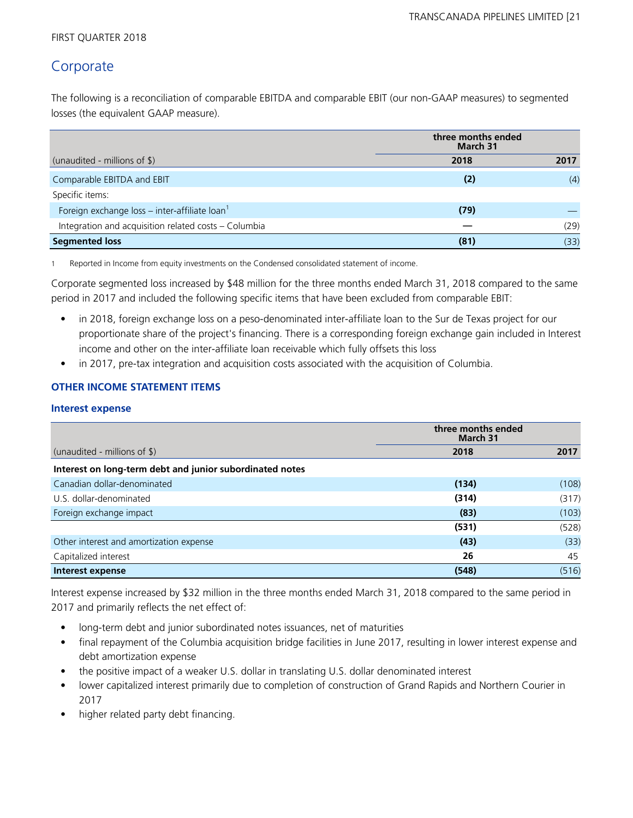# **Corporate**

The following is a reconciliation of comparable EBITDA and comparable EBIT (our non-GAAP measures) to segmented losses (the equivalent GAAP measure).

| three months ended<br><b>March 31</b>                     |      |      |
|-----------------------------------------------------------|------|------|
| (unaudited - millions of $\frac{1}{2}$ )                  | 2018 | 2017 |
| Comparable EBITDA and EBIT                                | (2)  | (4)  |
| Specific items:                                           |      |      |
| Foreign exchange loss – inter-affiliate loan <sup>1</sup> | (79) |      |
| Integration and acquisition related costs - Columbia      |      | (29) |
| <b>Segmented loss</b>                                     | (81) | (33) |

1 Reported in Income from equity investments on the Condensed consolidated statement of income.

Corporate segmented loss increased by \$48 million for the three months ended March 31, 2018 compared to the same period in 2017 and included the following specific items that have been excluded from comparable EBIT:

- in 2018, foreign exchange loss on a peso-denominated inter-affiliate loan to the Sur de Texas project for our proportionate share of the project's financing. There is a corresponding foreign exchange gain included in Interest income and other on the inter-affiliate loan receivable which fully offsets this loss
- in 2017, pre-tax integration and acquisition costs associated with the acquisition of Columbia.

# **OTHER INCOME STATEMENT ITEMS**

### **Interest expense**

| three months ended<br><b>March 31</b>                    |       |       |  |
|----------------------------------------------------------|-------|-------|--|
| (unaudited - millions of $\frac{1}{2}$ )                 | 2018  | 2017  |  |
| Interest on long-term debt and junior subordinated notes |       |       |  |
| Canadian dollar-denominated                              | (134) | (108) |  |
| U.S. dollar-denominated                                  | (314) | (317) |  |
| Foreign exchange impact                                  | (83)  | (103) |  |
|                                                          | (531) | (528) |  |
| Other interest and amortization expense                  | (43)  | (33)  |  |
| Capitalized interest                                     | 26    | 45    |  |
| Interest expense                                         | (548) | (516) |  |

Interest expense increased by \$32 million in the three months ended March 31, 2018 compared to the same period in 2017 and primarily reflects the net effect of:

- long-term debt and junior subordinated notes issuances, net of maturities
- final repayment of the Columbia acquisition bridge facilities in June 2017, resulting in lower interest expense and debt amortization expense
- the positive impact of a weaker U.S. dollar in translating U.S. dollar denominated interest
- lower capitalized interest primarily due to completion of construction of Grand Rapids and Northern Courier in 2017
- higher related party debt financing.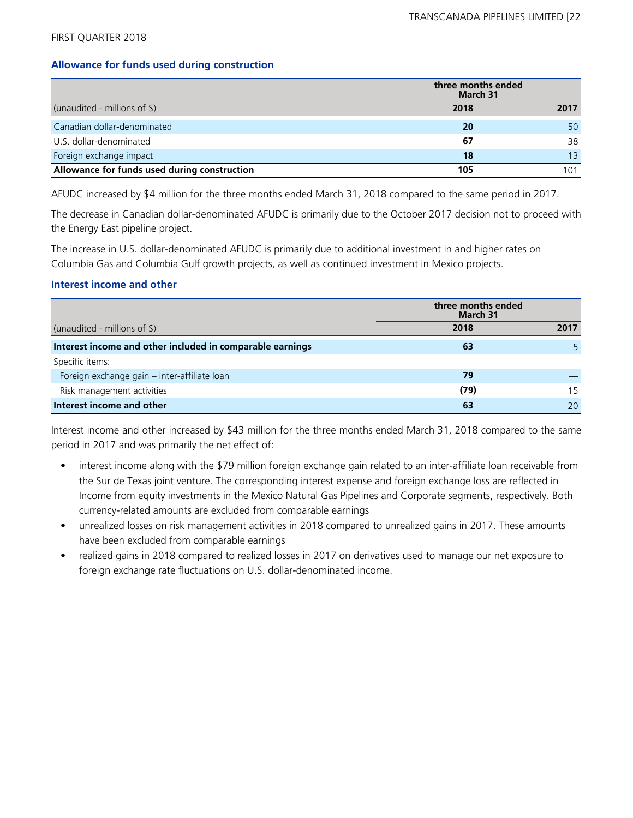### **Allowance for funds used during construction**

|                                              | three months ended<br>March 31 |      |
|----------------------------------------------|--------------------------------|------|
| (unaudited - millions of $\frac{1}{2}$ )     | 2018                           | 2017 |
| Canadian dollar-denominated                  | 20                             | 50   |
| U.S. dollar-denominated                      | 67                             | 38   |
| Foreign exchange impact                      | 18                             | 13   |
| Allowance for funds used during construction | 105                            | 101  |

AFUDC increased by \$4 million for the three months ended March 31, 2018 compared to the same period in 2017.

The decrease in Canadian dollar-denominated AFUDC is primarily due to the October 2017 decision not to proceed with the Energy East pipeline project.

The increase in U.S. dollar-denominated AFUDC is primarily due to additional investment in and higher rates on Columbia Gas and Columbia Gulf growth projects, as well as continued investment in Mexico projects.

## **Interest income and other**

|                                                           | three months ended<br>March 31 |      |
|-----------------------------------------------------------|--------------------------------|------|
| (unaudited - millions of $\frac{1}{2}$ )                  | 2018                           | 2017 |
| Interest income and other included in comparable earnings | 63                             |      |
| Specific items:                                           |                                |      |
| Foreign exchange gain - inter-affiliate loan              | 79                             |      |
| Risk management activities                                | (79)                           | 15   |
| Interest income and other                                 | 63                             | 20   |

Interest income and other increased by \$43 million for the three months ended March 31, 2018 compared to the same period in 2017 and was primarily the net effect of:

- interest income along with the \$79 million foreign exchange gain related to an inter-affiliate loan receivable from the Sur de Texas joint venture. The corresponding interest expense and foreign exchange loss are reflected in Income from equity investments in the Mexico Natural Gas Pipelines and Corporate segments, respectively. Both currency-related amounts are excluded from comparable earnings
- unrealized losses on risk management activities in 2018 compared to unrealized gains in 2017. These amounts have been excluded from comparable earnings
- realized gains in 2018 compared to realized losses in 2017 on derivatives used to manage our net exposure to foreign exchange rate fluctuations on U.S. dollar-denominated income.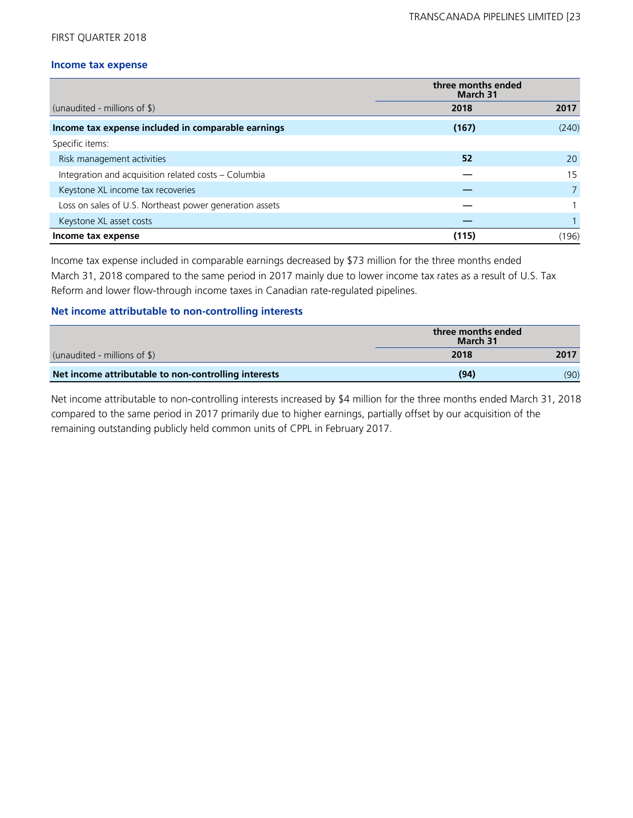### **Income tax expense**

| three months ended<br>March 31                          |       |       |  |
|---------------------------------------------------------|-------|-------|--|
| (unaudited - millions of \$)                            | 2018  | 2017  |  |
| Income tax expense included in comparable earnings      | (167) | (240) |  |
| Specific items:                                         |       |       |  |
| Risk management activities                              | 52    | 20    |  |
| Integration and acquisition related costs - Columbia    |       | 15    |  |
| Keystone XL income tax recoveries                       |       |       |  |
| Loss on sales of U.S. Northeast power generation assets |       |       |  |
| Keystone XL asset costs                                 |       |       |  |
| Income tax expense                                      | (115) | (196) |  |

Income tax expense included in comparable earnings decreased by \$73 million for the three months ended March 31, 2018 compared to the same period in 2017 mainly due to lower income tax rates as a result of U.S. Tax Reform and lower flow-through income taxes in Canadian rate-regulated pipelines.

### **Net income attributable to non-controlling interests**

|                                                      | three months ended<br>March 31 |      |
|------------------------------------------------------|--------------------------------|------|
| (unaudited - millions of $\$\$ )                     | 2018                           | 2017 |
| Net income attributable to non-controlling interests | (94)                           | (90) |

Net income attributable to non-controlling interests increased by \$4 million for the three months ended March 31, 2018 compared to the same period in 2017 primarily due to higher earnings, partially offset by our acquisition of the remaining outstanding publicly held common units of CPPL in February 2017.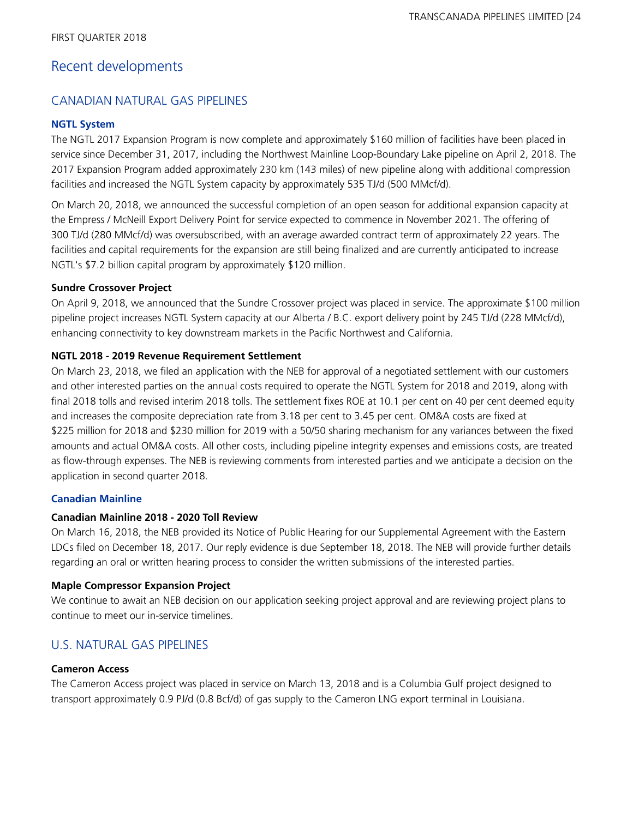# Recent developments

# CANADIAN NATURAL GAS PIPELINES

# **NGTL System**

The NGTL 2017 Expansion Program is now complete and approximately \$160 million of facilities have been placed in service since December 31, 2017, including the Northwest Mainline Loop-Boundary Lake pipeline on April 2, 2018. The 2017 Expansion Program added approximately 230 km (143 miles) of new pipeline along with additional compression facilities and increased the NGTL System capacity by approximately 535 TJ/d (500 MMcf/d).

On March 20, 2018, we announced the successful completion of an open season for additional expansion capacity at the Empress / McNeill Export Delivery Point for service expected to commence in November 2021. The offering of 300 TJ/d (280 MMcf/d) was oversubscribed, with an average awarded contract term of approximately 22 years. The facilities and capital requirements for the expansion are still being finalized and are currently anticipated to increase NGTL's \$7.2 billion capital program by approximately \$120 million.

# **Sundre Crossover Project**

On April 9, 2018, we announced that the Sundre Crossover project was placed in service. The approximate \$100 million pipeline project increases NGTL System capacity at our Alberta / B.C. export delivery point by 245 TJ/d (228 MMcf/d), enhancing connectivity to key downstream markets in the Pacific Northwest and California.

# **NGTL 2018 - 2019 Revenue Requirement Settlement**

On March 23, 2018, we filed an application with the NEB for approval of a negotiated settlement with our customers and other interested parties on the annual costs required to operate the NGTL System for 2018 and 2019, along with final 2018 tolls and revised interim 2018 tolls. The settlement fixes ROE at 10.1 per cent on 40 per cent deemed equity and increases the composite depreciation rate from 3.18 per cent to 3.45 per cent. OM&A costs are fixed at \$225 million for 2018 and \$230 million for 2019 with a 50/50 sharing mechanism for any variances between the fixed amounts and actual OM&A costs. All other costs, including pipeline integrity expenses and emissions costs, are treated as flow-through expenses. The NEB is reviewing comments from interested parties and we anticipate a decision on the application in second quarter 2018.

# **Canadian Mainline**

# **Canadian Mainline 2018 - 2020 Toll Review**

On March 16, 2018, the NEB provided its Notice of Public Hearing for our Supplemental Agreement with the Eastern LDCs filed on December 18, 2017. Our reply evidence is due September 18, 2018. The NEB will provide further details regarding an oral or written hearing process to consider the written submissions of the interested parties.

# **Maple Compressor Expansion Project**

We continue to await an NEB decision on our application seeking project approval and are reviewing project plans to continue to meet our in-service timelines.

# U.S. NATURAL GAS PIPELINES

# **Cameron Access**

The Cameron Access project was placed in service on March 13, 2018 and is a Columbia Gulf project designed to transport approximately 0.9 PJ/d (0.8 Bcf/d) of gas supply to the Cameron LNG export terminal in Louisiana.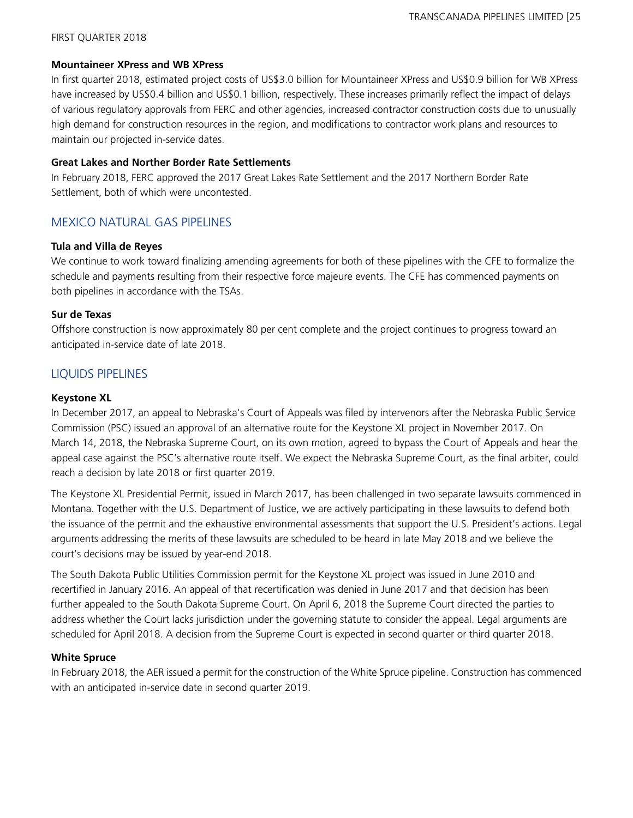### **Mountaineer XPress and WB XPress**

In first quarter 2018, estimated project costs of US\$3.0 billion for Mountaineer XPress and US\$0.9 billion for WB XPress have increased by US\$0.4 billion and US\$0.1 billion, respectively. These increases primarily reflect the impact of delays of various regulatory approvals from FERC and other agencies, increased contractor construction costs due to unusually high demand for construction resources in the region, and modifications to contractor work plans and resources to maintain our projected in-service dates.

## **Great Lakes and Norther Border Rate Settlements**

In February 2018, FERC approved the 2017 Great Lakes Rate Settlement and the 2017 Northern Border Rate Settlement, both of which were uncontested.

# MEXICO NATURAL GAS PIPELINES

### **Tula and Villa de Reyes**

We continue to work toward finalizing amending agreements for both of these pipelines with the CFE to formalize the schedule and payments resulting from their respective force majeure events. The CFE has commenced payments on both pipelines in accordance with the TSAs.

# **Sur de Texas**

Offshore construction is now approximately 80 per cent complete and the project continues to progress toward an anticipated in-service date of late 2018.

# LIQUIDS PIPELINES

# **Keystone XL**

In December 2017, an appeal to Nebraska's Court of Appeals was filed by intervenors after the Nebraska Public Service Commission (PSC) issued an approval of an alternative route for the Keystone XL project in November 2017. On March 14, 2018, the Nebraska Supreme Court, on its own motion, agreed to bypass the Court of Appeals and hear the appeal case against the PSC's alternative route itself. We expect the Nebraska Supreme Court, as the final arbiter, could reach a decision by late 2018 or first quarter 2019.

The Keystone XL Presidential Permit, issued in March 2017, has been challenged in two separate lawsuits commenced in Montana. Together with the U.S. Department of Justice, we are actively participating in these lawsuits to defend both the issuance of the permit and the exhaustive environmental assessments that support the U.S. President's actions. Legal arguments addressing the merits of these lawsuits are scheduled to be heard in late May 2018 and we believe the court's decisions may be issued by year-end 2018.

The South Dakota Public Utilities Commission permit for the Keystone XL project was issued in June 2010 and recertified in January 2016. An appeal of that recertification was denied in June 2017 and that decision has been further appealed to the South Dakota Supreme Court. On April 6, 2018 the Supreme Court directed the parties to address whether the Court lacks jurisdiction under the governing statute to consider the appeal. Legal arguments are scheduled for April 2018. A decision from the Supreme Court is expected in second quarter or third quarter 2018.

# **White Spruce**

In February 2018, the AER issued a permit for the construction of the White Spruce pipeline. Construction has commenced with an anticipated in-service date in second quarter 2019.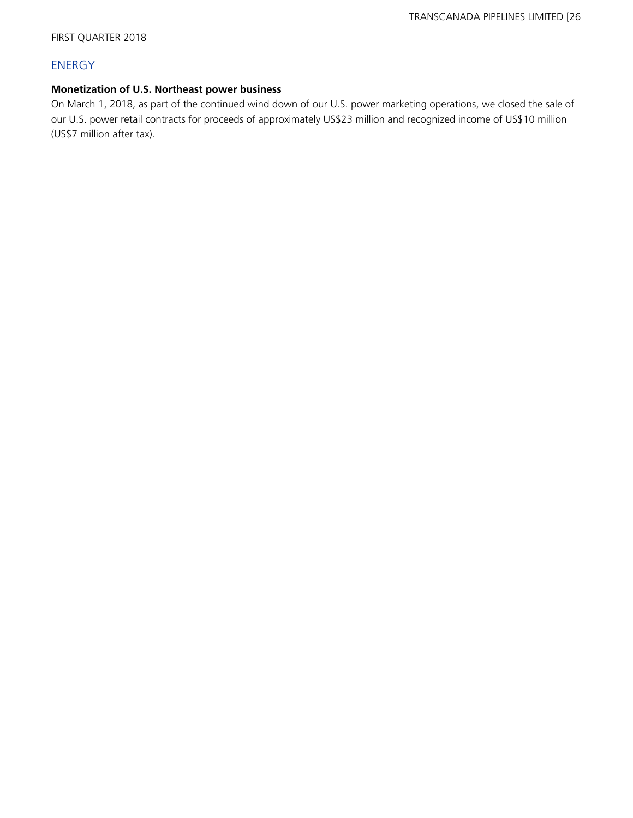# ENERGY

# **Monetization of U.S. Northeast power business**

On March 1, 2018, as part of the continued wind down of our U.S. power marketing operations, we closed the sale of our U.S. power retail contracts for proceeds of approximately US\$23 million and recognized income of US\$10 million (US\$7 million after tax).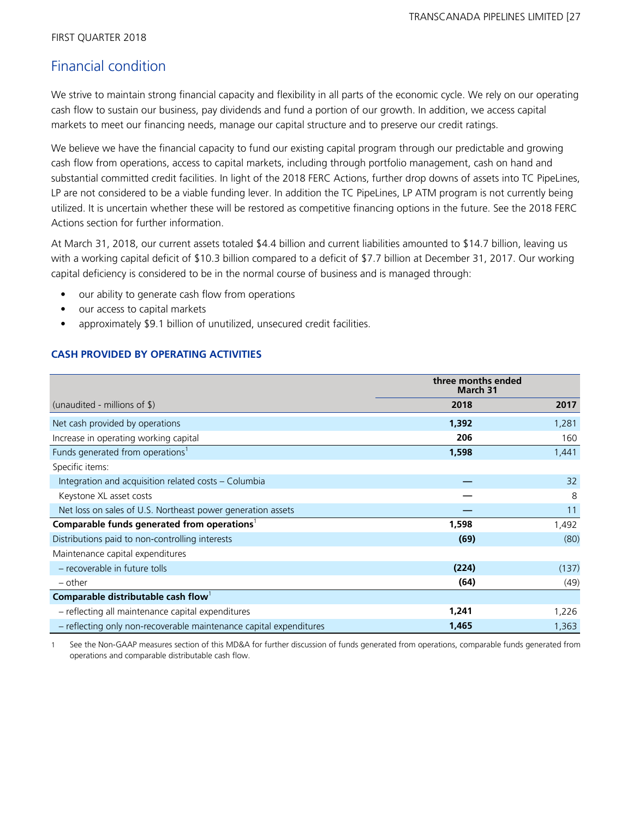# Financial condition

We strive to maintain strong financial capacity and flexibility in all parts of the economic cycle. We rely on our operating cash flow to sustain our business, pay dividends and fund a portion of our growth. In addition, we access capital markets to meet our financing needs, manage our capital structure and to preserve our credit ratings.

We believe we have the financial capacity to fund our existing capital program through our predictable and growing cash flow from operations, access to capital markets, including through portfolio management, cash on hand and substantial committed credit facilities. In light of the 2018 FERC Actions, further drop downs of assets into TC PipeLines, LP are not considered to be a viable funding lever. In addition the TC PipeLines, LP ATM program is not currently being utilized. It is uncertain whether these will be restored as competitive financing options in the future. See the 2018 FERC Actions section for further information.

At March 31, 2018, our current assets totaled \$4.4 billion and current liabilities amounted to \$14.7 billion, leaving us with a working capital deficit of \$10.3 billion compared to a deficit of \$7.7 billion at December 31, 2017. Our working capital deficiency is considered to be in the normal course of business and is managed through:

- our ability to generate cash flow from operations
- our access to capital markets
- approximately \$9.1 billion of unutilized, unsecured credit facilities.

# **CASH PROVIDED BY OPERATING ACTIVITIES**

| three months ended<br><b>March 31</b>                              |       |       |  |
|--------------------------------------------------------------------|-------|-------|--|
| (unaudited - millions of $\frac{1}{2}$ )                           | 2018  | 2017  |  |
| Net cash provided by operations                                    | 1,392 | 1,281 |  |
| Increase in operating working capital                              | 206   | 160   |  |
| Funds generated from operations <sup>1</sup>                       | 1,598 | 1,441 |  |
| Specific items:                                                    |       |       |  |
| Integration and acquisition related costs – Columbia               |       | 32    |  |
| Keystone XL asset costs                                            |       | 8     |  |
| Net loss on sales of U.S. Northeast power generation assets        |       | 11    |  |
| Comparable funds generated from operations <sup>1</sup>            | 1,598 | 1,492 |  |
| Distributions paid to non-controlling interests                    | (69)  | (80)  |  |
| Maintenance capital expenditures                                   |       |       |  |
| - recoverable in future tolls                                      | (224) | (137) |  |
| – other                                                            | (64)  | (49)  |  |
| Comparable distributable cash flow                                 |       |       |  |
| - reflecting all maintenance capital expenditures                  | 1,241 | 1,226 |  |
| - reflecting only non-recoverable maintenance capital expenditures | 1,465 | 1,363 |  |

1 See the Non-GAAP measures section of this MD&A for further discussion of funds generated from operations, comparable funds generated from operations and comparable distributable cash flow.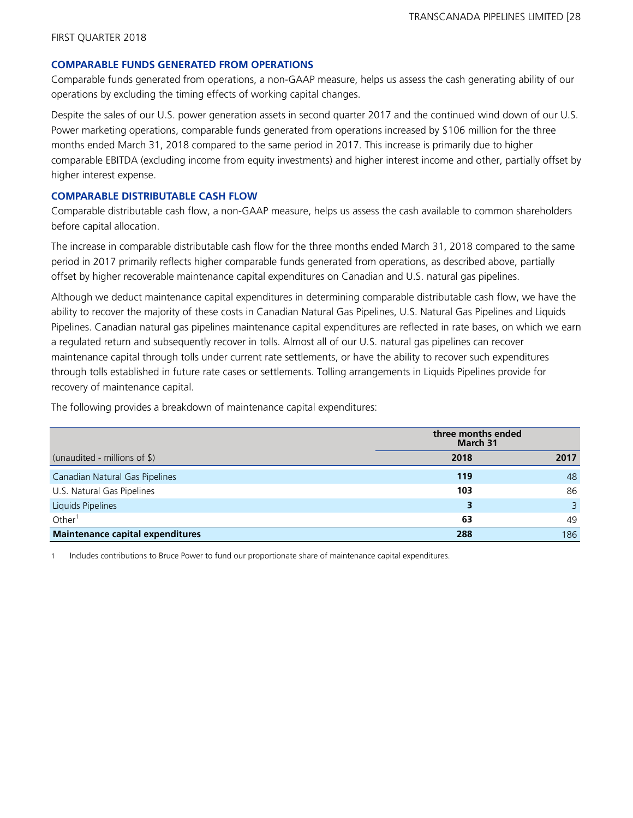### **COMPARABLE FUNDS GENERATED FROM OPERATIONS**

Comparable funds generated from operations, a non-GAAP measure, helps us assess the cash generating ability of our operations by excluding the timing effects of working capital changes.

Despite the sales of our U.S. power generation assets in second quarter 2017 and the continued wind down of our U.S. Power marketing operations, comparable funds generated from operations increased by \$106 million for the three months ended March 31, 2018 compared to the same period in 2017. This increase is primarily due to higher comparable EBITDA (excluding income from equity investments) and higher interest income and other, partially offset by higher interest expense.

### **COMPARABLE DISTRIBUTABLE CASH FLOW**

Comparable distributable cash flow, a non-GAAP measure, helps us assess the cash available to common shareholders before capital allocation.

The increase in comparable distributable cash flow for the three months ended March 31, 2018 compared to the same period in 2017 primarily reflects higher comparable funds generated from operations, as described above, partially offset by higher recoverable maintenance capital expenditures on Canadian and U.S. natural gas pipelines.

Although we deduct maintenance capital expenditures in determining comparable distributable cash flow, we have the ability to recover the majority of these costs in Canadian Natural Gas Pipelines, U.S. Natural Gas Pipelines and Liquids Pipelines. Canadian natural gas pipelines maintenance capital expenditures are reflected in rate bases, on which we earn a regulated return and subsequently recover in tolls. Almost all of our U.S. natural gas pipelines can recover maintenance capital through tolls under current rate settlements, or have the ability to recover such expenditures through tolls established in future rate cases or settlements. Tolling arrangements in Liquids Pipelines provide for recovery of maintenance capital.

The following provides a breakdown of maintenance capital expenditures:

|                                         | three months ended<br>March 31 |              |
|-----------------------------------------|--------------------------------|--------------|
| (unaudited - millions of \$)            | 2018                           | 2017         |
| Canadian Natural Gas Pipelines          | 119                            | 48           |
| U.S. Natural Gas Pipelines              | 103                            | 86           |
| Liquids Pipelines                       |                                | $\mathsf{R}$ |
| Other <sup>1</sup>                      | 63                             | 49           |
| <b>Maintenance capital expenditures</b> | 288                            | 186          |

1 Includes contributions to Bruce Power to fund our proportionate share of maintenance capital expenditures.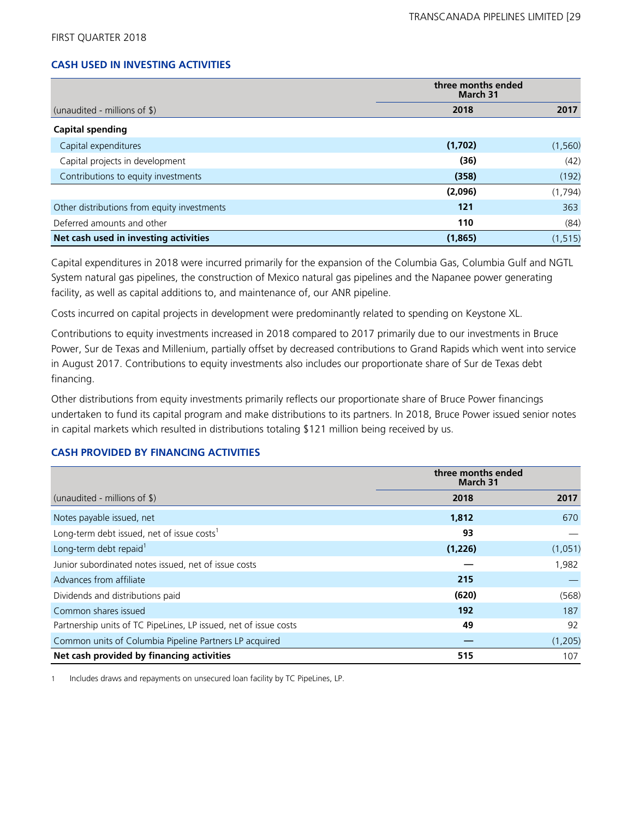# **CASH USED IN INVESTING ACTIVITIES**

|                                             | three months ended<br>March 31 |          |
|---------------------------------------------|--------------------------------|----------|
| (unaudited - millions of \$)                | 2018                           | 2017     |
| <b>Capital spending</b>                     |                                |          |
| Capital expenditures                        | (1,702)                        | (1, 560) |
| Capital projects in development             | (36)                           | (42)     |
| Contributions to equity investments         | (358)                          | (192)    |
|                                             | (2,096)                        | (1,794)  |
| Other distributions from equity investments | 121                            | 363      |
| Deferred amounts and other                  | 110                            | (84)     |
| Net cash used in investing activities       | (1,865)                        | (1, 515) |

Capital expenditures in 2018 were incurred primarily for the expansion of the Columbia Gas, Columbia Gulf and NGTL System natural gas pipelines, the construction of Mexico natural gas pipelines and the Napanee power generating facility, as well as capital additions to, and maintenance of, our ANR pipeline.

Costs incurred on capital projects in development were predominantly related to spending on Keystone XL.

Contributions to equity investments increased in 2018 compared to 2017 primarily due to our investments in Bruce Power, Sur de Texas and Millenium, partially offset by decreased contributions to Grand Rapids which went into service in August 2017. Contributions to equity investments also includes our proportionate share of Sur de Texas debt financing.

Other distributions from equity investments primarily reflects our proportionate share of Bruce Power financings undertaken to fund its capital program and make distributions to its partners. In 2018, Bruce Power issued senior notes in capital markets which resulted in distributions totaling \$121 million being received by us.

### **CASH PROVIDED BY FINANCING ACTIVITIES**

|                                                                  | three months ended<br>March 31 |         |
|------------------------------------------------------------------|--------------------------------|---------|
| (unaudited - millions of $\frac{1}{2}$ )                         | 2018                           | 2017    |
| Notes payable issued, net                                        | 1,812                          | 670     |
| Long-term debt issued, net of issue costs <sup>1</sup>           | 93                             |         |
| Long-term debt repaid <sup>1</sup>                               | (1,226)                        | (1,051) |
| Junior subordinated notes issued, net of issue costs             |                                | 1,982   |
| Advances from affiliate                                          | 215                            |         |
| Dividends and distributions paid                                 | (620)                          | (568)   |
| Common shares issued                                             | 192                            | 187     |
| Partnership units of TC PipeLines, LP issued, net of issue costs | 49                             | 92      |
| Common units of Columbia Pipeline Partners LP acquired           |                                | (1,205) |
| Net cash provided by financing activities                        | 515                            | 107     |

1 Includes draws and repayments on unsecured loan facility by TC PipeLines, LP.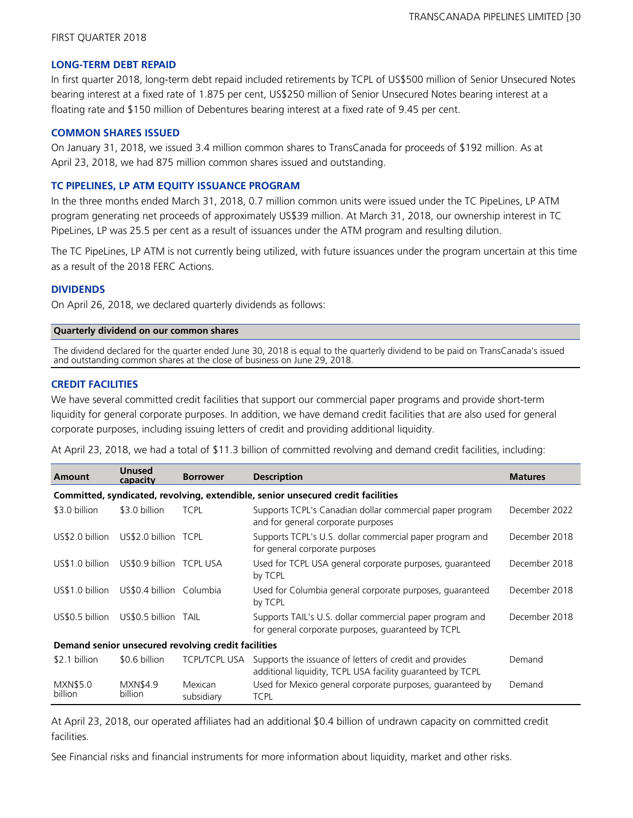#### **LONG-TERM DEBT REPAID**

In first quarter 2018, long-term debt repaid included retirements by TCPL of US\$500 million of Senior Unsecured Notes bearing interest at a fixed rate of 1.875 per cent, US\$250 million of Senior Unsecured Notes bearing interest at a floating rate and \$150 million of Debentures bearing interest at a fixed rate of 9.45 per cent.

### **COMMON SHARES ISSUED**

On January 31, 2018, we issued 3.4 million common shares to TransCanada for proceeds of \$192 million. As at April 23, 2018, we had 875 million common shares issued and outstanding.

### **TC PIPELINES, LP ATM EQUITY ISSUANCE PROGRAM**

In the three months ended March 31, 2018, 0.7 million common units were issued under the TC PipeLines, LP ATM program generating net proceeds of approximately US\$39 million. At March 31, 2018, our ownership interest in TC PipeLines, LP was 25.5 per cent as a result of issuances under the ATM program and resulting dilution.

The TC PipeLines, LP ATM is not currently being utilized, with future issuances under the program uncertain at this time as a result of the 2018 FERC Actions.

## **DIVIDENDS**

On April 26, 2018, we declared quarterly dividends as follows:

## **Quarterly dividend on our common shares**

The dividend declared for the quarter ended June 30, 2018 is equal to the quarterly dividend to be paid on TransCanada's issued and outstanding common shares at the close of business on June 29, 2018.

### **CREDIT FACILITIES**

We have several committed credit facilities that support our commercial paper programs and provide short-term liquidity for general corporate purposes. In addition, we have demand credit facilities that are also used for general corporate purposes, including issuing letters of credit and providing additional liquidity.

At April 23, 2018, we had a total of \$11.3 billion of committed revolving and demand credit facilities, including:

| Amount                                              | <b>Unused</b><br>capacity  | <b>Borrower</b>       | <b>Description</b>                                                                                                    | <b>Matures</b> |
|-----------------------------------------------------|----------------------------|-----------------------|-----------------------------------------------------------------------------------------------------------------------|----------------|
|                                                     |                            |                       | Committed, syndicated, revolving, extendible, senior unsecured credit facilities                                      |                |
| \$3.0 billion                                       | \$3.0 billion              | <b>TCPL</b>           | Supports TCPL's Canadian dollar commercial paper program<br>and for general corporate purposes                        | December 2022  |
| US\$2.0 billion                                     | US\$2.0 billion TCPL       |                       | Supports TCPL's U.S. dollar commercial paper program and<br>for general corporate purposes                            | December 2018  |
| US\$1.0 billion                                     | US\$0.9 billion TCPL USA   |                       | Used for TCPL USA general corporate purposes, guaranteed<br>by TCPL                                                   | December 2018  |
| US\$1.0 billion                                     | US\$0.4 billion Columbia   |                       | Used for Columbia general corporate purposes, guaranteed<br>by TCPL                                                   | December 2018  |
| US\$0.5 billion                                     | US\$0.5 billion TAIL       |                       | Supports TAIL's U.S. dollar commercial paper program and<br>for general corporate purposes, guaranteed by TCPL        | December 2018  |
| Demand senior unsecured revolving credit facilities |                            |                       |                                                                                                                       |                |
| \$2.1 billion                                       | \$0.6 billion              | <b>TCPL/TCPL USA</b>  | Supports the issuance of letters of credit and provides<br>additional liquidity, TCPL USA facility guaranteed by TCPL | Demand         |
| <b>MXN\$5.0</b><br>billion                          | <b>MXN\$4.9</b><br>billion | Mexican<br>subsidiary | Used for Mexico general corporate purposes, guaranteed by<br><b>TCPL</b>                                              | Demand         |

At April 23, 2018, our operated affiliates had an additional \$0.4 billion of undrawn capacity on committed credit facilities.

See Financial risks and financial instruments for more information about liquidity, market and other risks.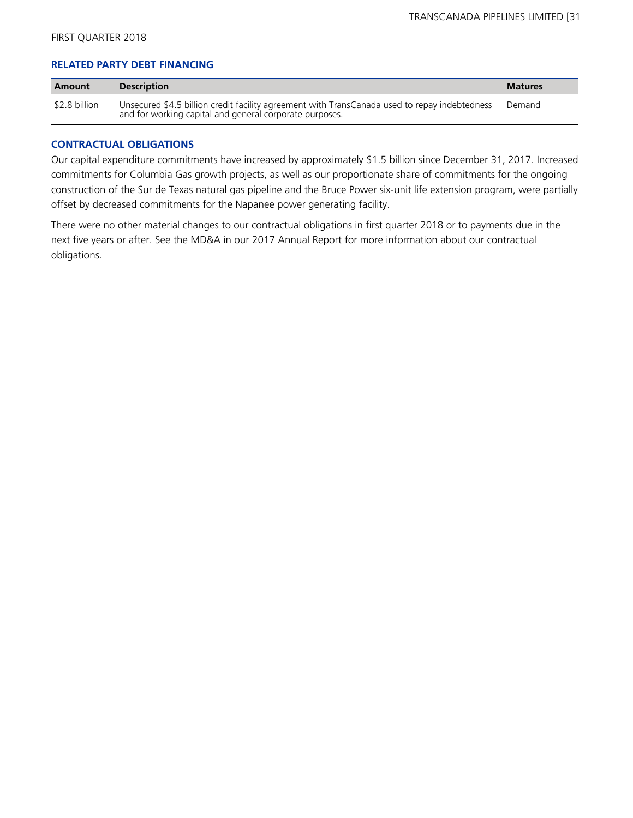## **RELATED PARTY DEBT FINANCING**

| Amount        | <b>Description</b>                                                                                                                                       | <b>Matures</b> |
|---------------|----------------------------------------------------------------------------------------------------------------------------------------------------------|----------------|
| \$2.8 billion | Unsecured \$4.5 billion credit facility agreement with TransCanada used to repay indebtedness<br>and for working capital and general corporate purposes. | Demand         |

### **CONTRACTUAL OBLIGATIONS**

Our capital expenditure commitments have increased by approximately \$1.5 billion since December 31, 2017. Increased commitments for Columbia Gas growth projects, as well as our proportionate share of commitments for the ongoing construction of the Sur de Texas natural gas pipeline and the Bruce Power six-unit life extension program, were partially offset by decreased commitments for the Napanee power generating facility.

There were no other material changes to our contractual obligations in first quarter 2018 or to payments due in the next five years or after. See the MD&A in our 2017 Annual Report for more information about our contractual obligations.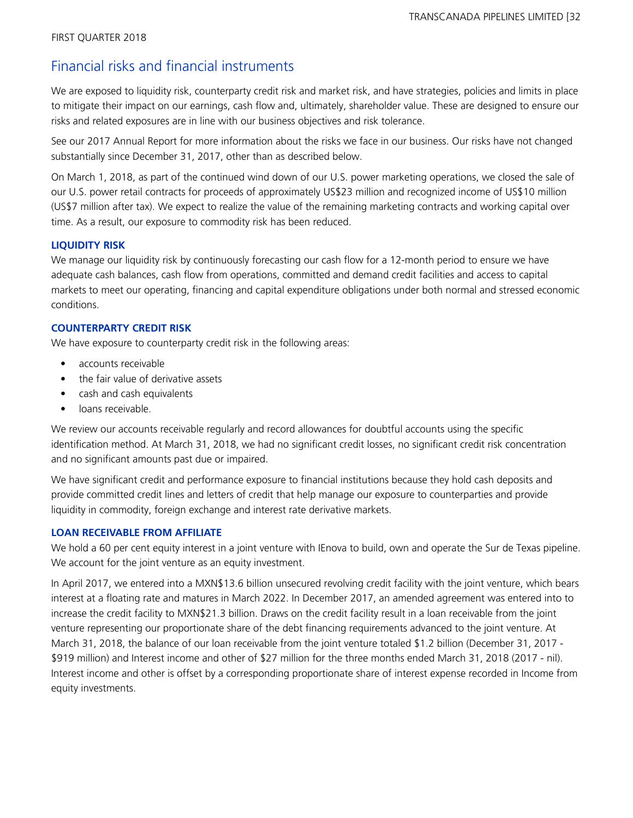# Financial risks and financial instruments

We are exposed to liquidity risk, counterparty credit risk and market risk, and have strategies, policies and limits in place to mitigate their impact on our earnings, cash flow and, ultimately, shareholder value. These are designed to ensure our risks and related exposures are in line with our business objectives and risk tolerance.

See our 2017 Annual Report for more information about the risks we face in our business. Our risks have not changed substantially since December 31, 2017, other than as described below.

On March 1, 2018, as part of the continued wind down of our U.S. power marketing operations, we closed the sale of our U.S. power retail contracts for proceeds of approximately US\$23 million and recognized income of US\$10 million (US\$7 million after tax). We expect to realize the value of the remaining marketing contracts and working capital over time. As a result, our exposure to commodity risk has been reduced.

# **LIQUIDITY RISK**

We manage our liquidity risk by continuously forecasting our cash flow for a 12-month period to ensure we have adequate cash balances, cash flow from operations, committed and demand credit facilities and access to capital markets to meet our operating, financing and capital expenditure obligations under both normal and stressed economic conditions.

# **COUNTERPARTY CREDIT RISK**

We have exposure to counterparty credit risk in the following areas:

- **•** accounts receivable
- **•** the fair value of derivative assets
- **•** cash and cash equivalents
- loans receivable.

We review our accounts receivable regularly and record allowances for doubtful accounts using the specific identification method. At March 31, 2018, we had no significant credit losses, no significant credit risk concentration and no significant amounts past due or impaired.

We have significant credit and performance exposure to financial institutions because they hold cash deposits and provide committed credit lines and letters of credit that help manage our exposure to counterparties and provide liquidity in commodity, foreign exchange and interest rate derivative markets.

# **LOAN RECEIVABLE FROM AFFILIATE**

We hold a 60 per cent equity interest in a joint venture with IEnova to build, own and operate the Sur de Texas pipeline. We account for the joint venture as an equity investment.

In April 2017, we entered into a MXN\$13.6 billion unsecured revolving credit facility with the joint venture, which bears interest at a floating rate and matures in March 2022. In December 2017, an amended agreement was entered into to increase the credit facility to MXN\$21.3 billion. Draws on the credit facility result in a loan receivable from the joint venture representing our proportionate share of the debt financing requirements advanced to the joint venture. At March 31, 2018, the balance of our loan receivable from the joint venture totaled \$1.2 billion (December 31, 2017 - \$919 million) and Interest income and other of \$27 million for the three months ended March 31, 2018 (2017 - nil). Interest income and other is offset by a corresponding proportionate share of interest expense recorded in Income from equity investments.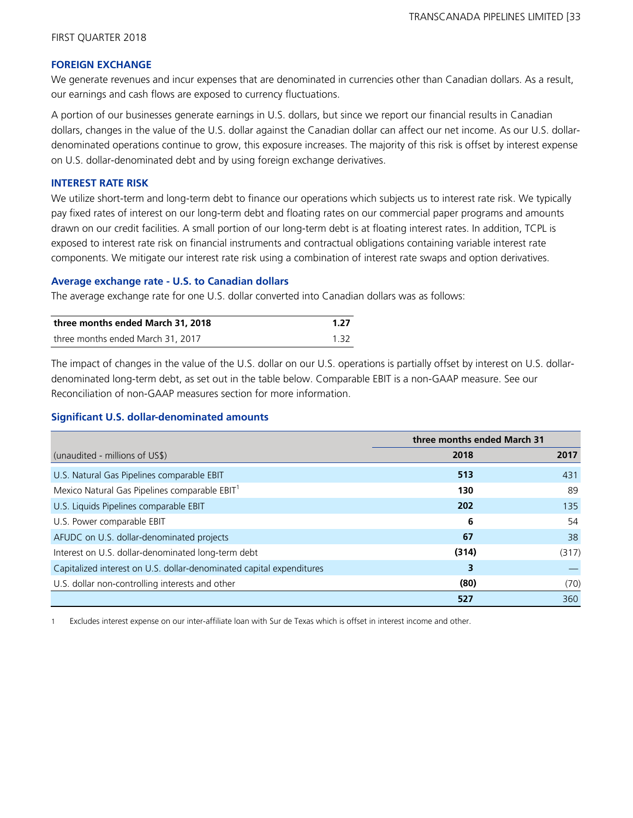### **FOREIGN EXCHANGE**

We generate revenues and incur expenses that are denominated in currencies other than Canadian dollars. As a result, our earnings and cash flows are exposed to currency fluctuations.

A portion of our businesses generate earnings in U.S. dollars, but since we report our financial results in Canadian dollars, changes in the value of the U.S. dollar against the Canadian dollar can affect our net income. As our U.S. dollardenominated operations continue to grow, this exposure increases. The majority of this risk is offset by interest expense on U.S. dollar-denominated debt and by using foreign exchange derivatives.

### **INTEREST RATE RISK**

We utilize short-term and long-term debt to finance our operations which subjects us to interest rate risk. We typically pay fixed rates of interest on our long-term debt and floating rates on our commercial paper programs and amounts drawn on our credit facilities. A small portion of our long-term debt is at floating interest rates. In addition, TCPL is exposed to interest rate risk on financial instruments and contractual obligations containing variable interest rate components. We mitigate our interest rate risk using a combination of interest rate swaps and option derivatives.

### **Average exchange rate - U.S. to Canadian dollars**

The average exchange rate for one U.S. dollar converted into Canadian dollars was as follows:

| three months ended March 31, 2018 | 1.27 |
|-----------------------------------|------|
| three months ended March 31, 2017 | 1.32 |

The impact of changes in the value of the U.S. dollar on our U.S. operations is partially offset by interest on U.S. dollardenominated long-term debt, as set out in the table below. Comparable EBIT is a non-GAAP measure. See our Reconciliation of non-GAAP measures section for more information.

### **Significant U.S. dollar-denominated amounts**

|                                                                      | three months ended March 31 |       |
|----------------------------------------------------------------------|-----------------------------|-------|
| (unaudited - millions of US\$)                                       | 2018                        | 2017  |
| U.S. Natural Gas Pipelines comparable EBIT                           | 513                         | 431   |
| Mexico Natural Gas Pipelines comparable EBIT <sup>1</sup>            | 130                         | 89    |
| U.S. Liquids Pipelines comparable EBIT                               | 202                         | 135   |
| U.S. Power comparable EBIT                                           | 6                           | 54    |
| AFUDC on U.S. dollar-denominated projects                            | 67                          | 38    |
| Interest on U.S. dollar-denominated long-term debt                   | (314)                       | (317) |
| Capitalized interest on U.S. dollar-denominated capital expenditures | 3                           |       |
| U.S. dollar non-controlling interests and other                      | (80)                        | (70)  |
|                                                                      | 527                         | 360   |

Excludes interest expense on our inter-affiliate loan with Sur de Texas which is offset in interest income and other.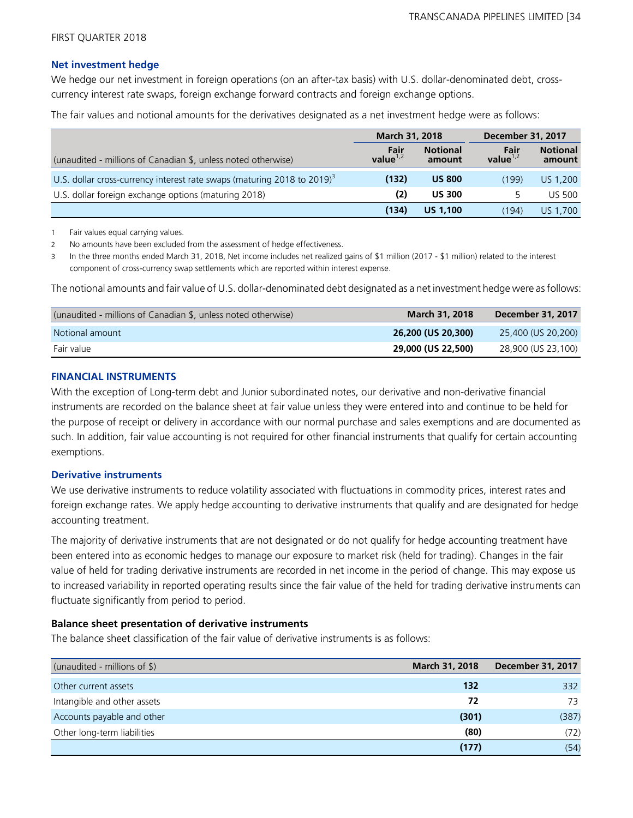## **Net investment hedge**

We hedge our net investment in foreign operations (on an after-tax basis) with U.S. dollar-denominated debt, crosscurrency interest rate swaps, foreign exchange forward contracts and foreign exchange options.

The fair values and notional amounts for the derivatives designated as a net investment hedge were as follows:

|                                                                                     | <b>March 31, 2018</b> |                           | <b>December 31, 2017</b> |                           |
|-------------------------------------------------------------------------------------|-----------------------|---------------------------|--------------------------|---------------------------|
| (unaudited - millions of Canadian \$, unless noted otherwise)                       | Fair<br>value $1,2$   | <b>Notional</b><br>amount | Fair<br>value $1,2$      | <b>Notional</b><br>amount |
| U.S. dollar cross-currency interest rate swaps (maturing 2018 to 2019) <sup>3</sup> | (132)                 | <b>US 800</b>             | (199)                    | US 1,200                  |
| U.S. dollar foreign exchange options (maturing 2018)                                | (2)                   | <b>US 300</b>             | 5                        | <b>US 500</b>             |
|                                                                                     | (134)                 | <b>US 1.100</b>           | (194)                    | US 1,700                  |

1 Fair values equal carrying values.

2 No amounts have been excluded from the assessment of hedge effectiveness.

3 In the three months ended March 31, 2018, Net income includes net realized gains of \$1 million (2017 - \$1 million) related to the interest component of cross-currency swap settlements which are reported within interest expense.

The notional amounts and fair value of U.S. dollar-denominated debt designated as a net investment hedge were as follows:

| (unaudited - millions of Canadian \$, unless noted otherwise) | <b>March 31, 2018</b> | December 31, 2017  |
|---------------------------------------------------------------|-----------------------|--------------------|
| Notional amount                                               | 26,200 (US 20,300)    | 25,400 (US 20,200) |
| Fair value                                                    | 29,000 (US 22,500)    | 28,900 (US 23,100) |

### **FINANCIAL INSTRUMENTS**

With the exception of Long-term debt and Junior subordinated notes, our derivative and non-derivative financial instruments are recorded on the balance sheet at fair value unless they were entered into and continue to be held for the purpose of receipt or delivery in accordance with our normal purchase and sales exemptions and are documented as such. In addition, fair value accounting is not required for other financial instruments that qualify for certain accounting exemptions.

### **Derivative instruments**

We use derivative instruments to reduce volatility associated with fluctuations in commodity prices, interest rates and foreign exchange rates. We apply hedge accounting to derivative instruments that qualify and are designated for hedge accounting treatment.

The majority of derivative instruments that are not designated or do not qualify for hedge accounting treatment have been entered into as economic hedges to manage our exposure to market risk (held for trading). Changes in the fair value of held for trading derivative instruments are recorded in net income in the period of change. This may expose us to increased variability in reported operating results since the fair value of the held for trading derivative instruments can fluctuate significantly from period to period.

### **Balance sheet presentation of derivative instruments**

The balance sheet classification of the fair value of derivative instruments is as follows:

| (unaudited - millions of \$) | <b>March 31, 2018</b> | December 31, 2017 |
|------------------------------|-----------------------|-------------------|
| Other current assets         | 132                   | 332               |
| Intangible and other assets  | 72                    | 73                |
| Accounts payable and other   | (301)                 | (387)             |
| Other long-term liabilities  | (80)                  | (72)              |
|                              | (177)                 | (54)              |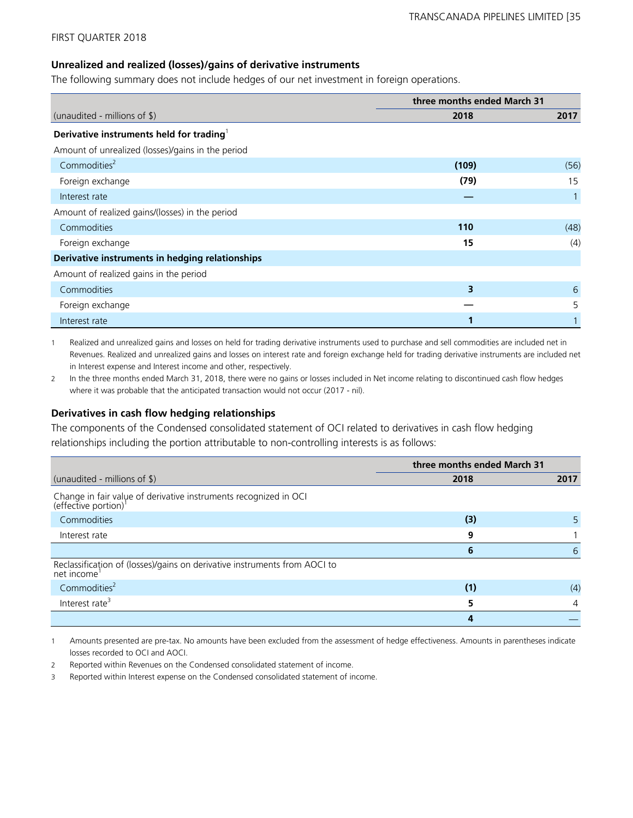## **Unrealized and realized (losses)/gains of derivative instruments**

The following summary does not include hedges of our net investment in foreign operations.

|                                                      | three months ended March 31 |      |
|------------------------------------------------------|-----------------------------|------|
| (unaudited - millions of $\frac{1}{2}$ )             | 2018                        | 2017 |
| Derivative instruments held for trading <sup>1</sup> |                             |      |
| Amount of unrealized (losses)/gains in the period    |                             |      |
| Commodities <sup>2</sup>                             | (109)                       | (56) |
| Foreign exchange                                     | (79)                        | 15   |
| Interest rate                                        |                             |      |
| Amount of realized gains/(losses) in the period      |                             |      |
| Commodities                                          | 110                         | (48) |
| Foreign exchange                                     | 15                          | (4)  |
| Derivative instruments in hedging relationships      |                             |      |
| Amount of realized gains in the period               |                             |      |
| Commodities                                          | 3                           | 6    |
| Foreign exchange                                     |                             | 5    |
| Interest rate                                        |                             |      |

1 Realized and unrealized gains and losses on held for trading derivative instruments used to purchase and sell commodities are included net in Revenues. Realized and unrealized gains and losses on interest rate and foreign exchange held for trading derivative instruments are included net in Interest expense and Interest income and other, respectively.

2 In the three months ended March 31, 2018, there were no gains or losses included in Net income relating to discontinued cash flow hedges where it was probable that the anticipated transaction would not occur (2017 - nil).

### **Derivatives in cash flow hedging relationships**

The components of the Condensed consolidated statement of OCI related to derivatives in cash flow hedging relationships including the portion attributable to non-controlling interests is as follows:

|                                                                                                   | three months ended March 31 |              |
|---------------------------------------------------------------------------------------------------|-----------------------------|--------------|
| (unaudited - millions of $\frac{1}{2}$ )                                                          | 2018                        | 2017         |
| Change in fair value of derivative instruments recognized in OCI (effective portion) <sup>1</sup> |                             |              |
| Commodities                                                                                       | (3)                         | 5.           |
| Interest rate                                                                                     | q                           |              |
|                                                                                                   | 6                           | $\mathsf{h}$ |
| Reclassification of (losses)/gains on derivative instruments from AOCI to<br>net income           |                             |              |
| Commodities <sup>2</sup>                                                                          | (1)                         | (4)          |
| Interest rate <sup>3</sup>                                                                        |                             | 4            |
|                                                                                                   |                             |              |

1 Amounts presented are pre-tax. No amounts have been excluded from the assessment of hedge effectiveness. Amounts in parentheses indicate losses recorded to OCI and AOCI.

2 Reported within Revenues on the Condensed consolidated statement of income.

3 Reported within Interest expense on the Condensed consolidated statement of income.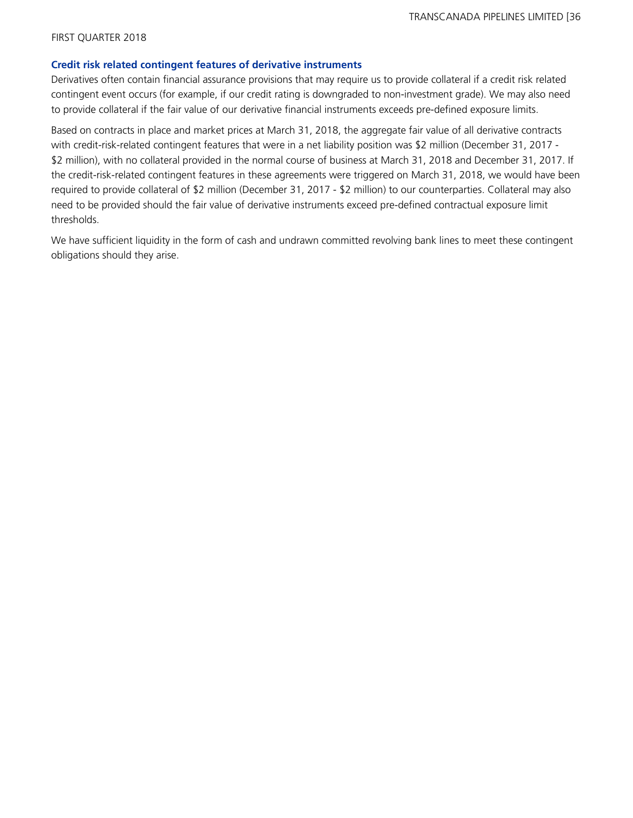### **Credit risk related contingent features of derivative instruments**

Derivatives often contain financial assurance provisions that may require us to provide collateral if a credit risk related contingent event occurs (for example, if our credit rating is downgraded to non-investment grade). We may also need to provide collateral if the fair value of our derivative financial instruments exceeds pre-defined exposure limits.

Based on contracts in place and market prices at March 31, 2018, the aggregate fair value of all derivative contracts with credit-risk-related contingent features that were in a net liability position was \$2 million (December 31, 2017 -\$2 million), with no collateral provided in the normal course of business at March 31, 2018 and December 31, 2017. If the credit-risk-related contingent features in these agreements were triggered on March 31, 2018, we would have been required to provide collateral of \$2 million (December 31, 2017 - \$2 million) to our counterparties. Collateral may also need to be provided should the fair value of derivative instruments exceed pre-defined contractual exposure limit thresholds.

We have sufficient liquidity in the form of cash and undrawn committed revolving bank lines to meet these contingent obligations should they arise.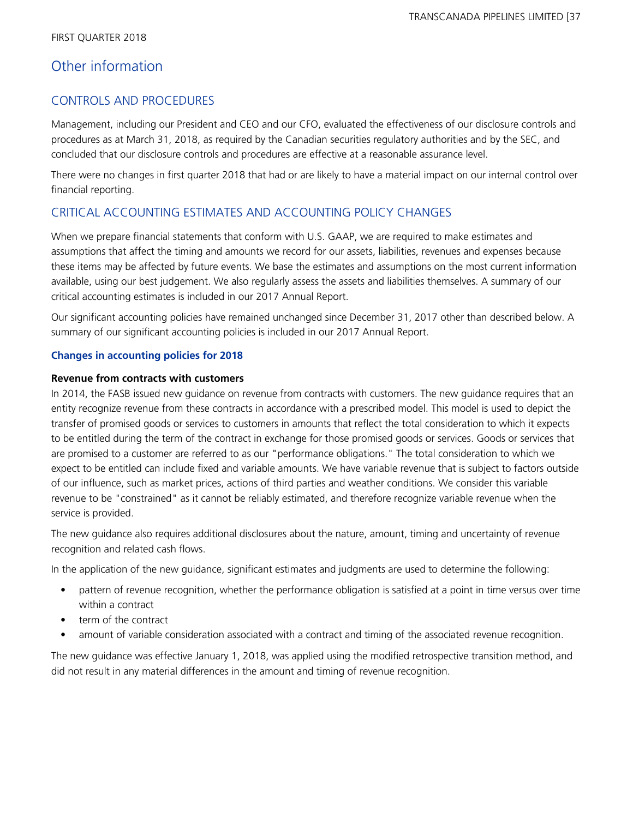# Other information

# CONTROLS AND PROCEDURES

Management, including our President and CEO and our CFO, evaluated the effectiveness of our disclosure controls and procedures as at March 31, 2018, as required by the Canadian securities regulatory authorities and by the SEC, and concluded that our disclosure controls and procedures are effective at a reasonable assurance level.

There were no changes in first quarter 2018 that had or are likely to have a material impact on our internal control over financial reporting.

# CRITICAL ACCOUNTING ESTIMATES AND ACCOUNTING POLICY CHANGES

When we prepare financial statements that conform with U.S. GAAP, we are required to make estimates and assumptions that affect the timing and amounts we record for our assets, liabilities, revenues and expenses because these items may be affected by future events. We base the estimates and assumptions on the most current information available, using our best judgement. We also regularly assess the assets and liabilities themselves. A summary of our critical accounting estimates is included in our 2017 Annual Report.

Our significant accounting policies have remained unchanged since December 31, 2017 other than described below. A summary of our significant accounting policies is included in our 2017 Annual Report.

## **Changes in accounting policies for 2018**

## **Revenue from contracts with customers**

In 2014, the FASB issued new guidance on revenue from contracts with customers. The new guidance requires that an entity recognize revenue from these contracts in accordance with a prescribed model. This model is used to depict the transfer of promised goods or services to customers in amounts that reflect the total consideration to which it expects to be entitled during the term of the contract in exchange for those promised goods or services. Goods or services that are promised to a customer are referred to as our "performance obligations." The total consideration to which we expect to be entitled can include fixed and variable amounts. We have variable revenue that is subject to factors outside of our influence, such as market prices, actions of third parties and weather conditions. We consider this variable revenue to be "constrained" as it cannot be reliably estimated, and therefore recognize variable revenue when the service is provided.

The new guidance also requires additional disclosures about the nature, amount, timing and uncertainty of revenue recognition and related cash flows.

In the application of the new guidance, significant estimates and judgments are used to determine the following:

- pattern of revenue recognition, whether the performance obligation is satisfied at a point in time versus over time within a contract
- term of the contract
- amount of variable consideration associated with a contract and timing of the associated revenue recognition.

The new guidance was effective January 1, 2018, was applied using the modified retrospective transition method, and did not result in any material differences in the amount and timing of revenue recognition.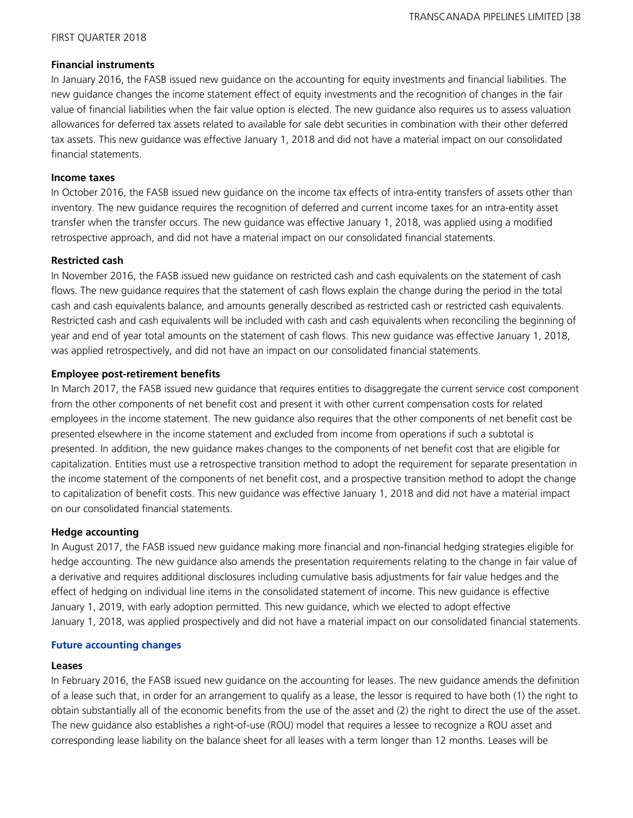## **Financial instruments**

In January 2016, the FASB issued new guidance on the accounting for equity investments and financial liabilities. The new guidance changes the income statement effect of equity investments and the recognition of changes in the fair value of financial liabilities when the fair value option is elected. The new guidance also requires us to assess valuation allowances for deferred tax assets related to available for sale debt securities in combination with their other deferred tax assets. This new guidance was effective January 1, 2018 and did not have a material impact on our consolidated financial statements.

## **Income taxes**

In October 2016, the FASB issued new guidance on the income tax effects of intra-entity transfers of assets other than inventory. The new guidance requires the recognition of deferred and current income taxes for an intra-entity asset transfer when the transfer occurs. The new guidance was effective January 1, 2018, was applied using a modified retrospective approach, and did not have a material impact on our consolidated financial statements.

## **Restricted cash**

In November 2016, the FASB issued new guidance on restricted cash and cash equivalents on the statement of cash flows. The new guidance requires that the statement of cash flows explain the change during the period in the total cash and cash equivalents balance, and amounts generally described as restricted cash or restricted cash equivalents. Restricted cash and cash equivalents will be included with cash and cash equivalents when reconciling the beginning of year and end of year total amounts on the statement of cash flows. This new guidance was effective January 1, 2018, was applied retrospectively, and did not have an impact on our consolidated financial statements.

# **Employee post-retirement benefits**

In March 2017, the FASB issued new guidance that requires entities to disaggregate the current service cost component from the other components of net benefit cost and present it with other current compensation costs for related employees in the income statement. The new guidance also requires that the other components of net benefit cost be presented elsewhere in the income statement and excluded from income from operations if such a subtotal is presented. In addition, the new guidance makes changes to the components of net benefit cost that are eligible for capitalization. Entities must use a retrospective transition method to adopt the requirement for separate presentation in the income statement of the components of net benefit cost, and a prospective transition method to adopt the change to capitalization of benefit costs. This new guidance was effective January 1, 2018 and did not have a material impact on our consolidated financial statements.

# **Hedge accounting**

In August 2017, the FASB issued new guidance making more financial and non-financial hedging strategies eligible for hedge accounting. The new guidance also amends the presentation requirements relating to the change in fair value of a derivative and requires additional disclosures including cumulative basis adjustments for fair value hedges and the effect of hedging on individual line items in the consolidated statement of income. This new guidance is effective January 1, 2019, with early adoption permitted. This new guidance, which we elected to adopt effective January 1, 2018, was applied prospectively and did not have a material impact on our consolidated financial statements.

# **Future accounting changes**

#### **Leases**

In February 2016, the FASB issued new guidance on the accounting for leases. The new guidance amends the definition of a lease such that, in order for an arrangement to qualify as a lease, the lessor is required to have both (1) the right to obtain substantially all of the economic benefits from the use of the asset and (2) the right to direct the use of the asset. The new guidance also establishes a right-of-use (ROU) model that requires a lessee to recognize a ROU asset and corresponding lease liability on the balance sheet for all leases with a term longer than 12 months. Leases will be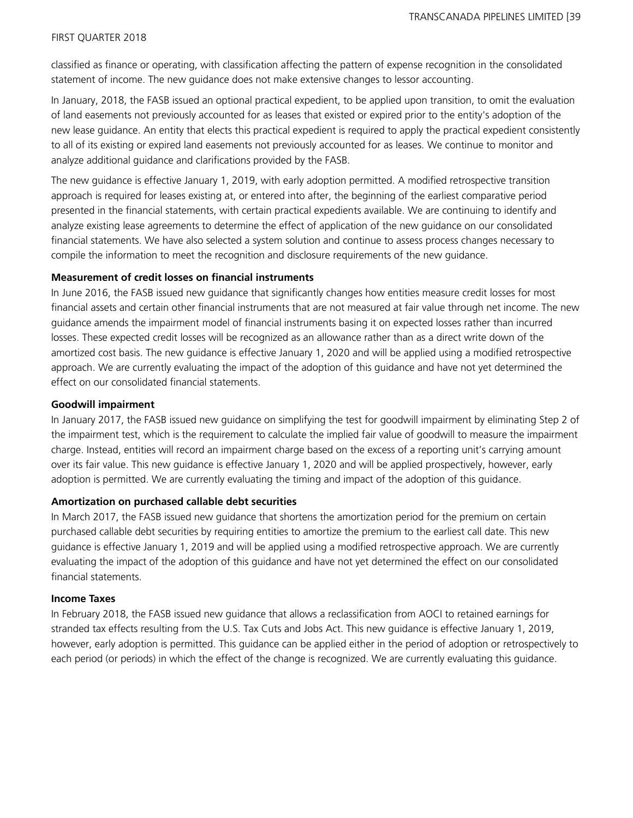classified as finance or operating, with classification affecting the pattern of expense recognition in the consolidated statement of income. The new guidance does not make extensive changes to lessor accounting.

In January, 2018, the FASB issued an optional practical expedient, to be applied upon transition, to omit the evaluation of land easements not previously accounted for as leases that existed or expired prior to the entity's adoption of the new lease guidance. An entity that elects this practical expedient is required to apply the practical expedient consistently to all of its existing or expired land easements not previously accounted for as leases. We continue to monitor and analyze additional guidance and clarifications provided by the FASB.

The new guidance is effective January 1, 2019, with early adoption permitted. A modified retrospective transition approach is required for leases existing at, or entered into after, the beginning of the earliest comparative period presented in the financial statements, with certain practical expedients available. We are continuing to identify and analyze existing lease agreements to determine the effect of application of the new guidance on our consolidated financial statements. We have also selected a system solution and continue to assess process changes necessary to compile the information to meet the recognition and disclosure requirements of the new guidance.

## **Measurement of credit losses on financial instruments**

In June 2016, the FASB issued new guidance that significantly changes how entities measure credit losses for most financial assets and certain other financial instruments that are not measured at fair value through net income. The new guidance amends the impairment model of financial instruments basing it on expected losses rather than incurred losses. These expected credit losses will be recognized as an allowance rather than as a direct write down of the amortized cost basis. The new guidance is effective January 1, 2020 and will be applied using a modified retrospective approach. We are currently evaluating the impact of the adoption of this guidance and have not yet determined the effect on our consolidated financial statements.

#### **Goodwill impairment**

In January 2017, the FASB issued new guidance on simplifying the test for goodwill impairment by eliminating Step 2 of the impairment test, which is the requirement to calculate the implied fair value of goodwill to measure the impairment charge. Instead, entities will record an impairment charge based on the excess of a reporting unit's carrying amount over its fair value. This new guidance is effective January 1, 2020 and will be applied prospectively, however, early adoption is permitted. We are currently evaluating the timing and impact of the adoption of this guidance.

#### **Amortization on purchased callable debt securities**

In March 2017, the FASB issued new guidance that shortens the amortization period for the premium on certain purchased callable debt securities by requiring entities to amortize the premium to the earliest call date. This new guidance is effective January 1, 2019 and will be applied using a modified retrospective approach. We are currently evaluating the impact of the adoption of this guidance and have not yet determined the effect on our consolidated financial statements.

# **Income Taxes**

In February 2018, the FASB issued new guidance that allows a reclassification from AOCI to retained earnings for stranded tax effects resulting from the U.S. Tax Cuts and Jobs Act. This new guidance is effective January 1, 2019, however, early adoption is permitted. This guidance can be applied either in the period of adoption or retrospectively to each period (or periods) in which the effect of the change is recognized. We are currently evaluating this guidance.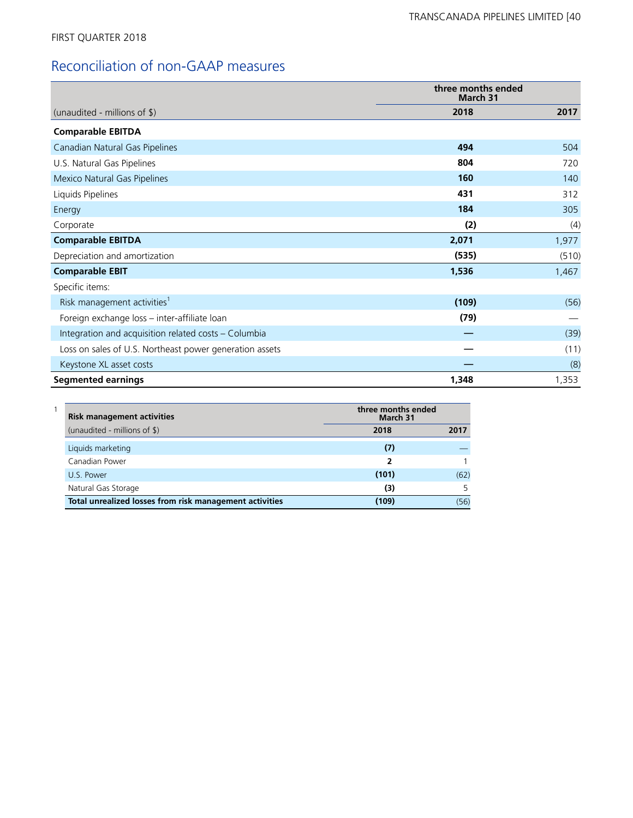# Reconciliation of non-GAAP measures

|                                                         | three months ended<br>March 31 |       |  |
|---------------------------------------------------------|--------------------------------|-------|--|
| (unaudited - millions of \$)                            | 2018                           | 2017  |  |
| <b>Comparable EBITDA</b>                                |                                |       |  |
| Canadian Natural Gas Pipelines                          | 494                            | 504   |  |
| U.S. Natural Gas Pipelines                              | 804                            | 720   |  |
| Mexico Natural Gas Pipelines                            | 160                            | 140   |  |
| Liquids Pipelines                                       | 431                            | 312   |  |
| Energy                                                  | 184                            | 305   |  |
| Corporate                                               | (2)                            | (4)   |  |
| <b>Comparable EBITDA</b>                                | 2,071                          | 1,977 |  |
| Depreciation and amortization                           | (535)                          | (510) |  |
| <b>Comparable EBIT</b>                                  | 1,536                          | 1,467 |  |
| Specific items:                                         |                                |       |  |
| Risk management activities <sup>1</sup>                 | (109)                          | (56)  |  |
| Foreign exchange loss – inter-affiliate loan            | (79)                           |       |  |
| Integration and acquisition related costs - Columbia    |                                | (39)  |  |
| Loss on sales of U.S. Northeast power generation assets |                                | (11)  |  |
| Keystone XL asset costs                                 |                                | (8)   |  |
| <b>Segmented earnings</b>                               | 1,348                          | 1,353 |  |

| <b>Risk management activities</b>                       | three months ended<br>March 31 |      |
|---------------------------------------------------------|--------------------------------|------|
| (unaudited - millions of \$)                            | 2018                           | 2017 |
| Liquids marketing                                       | (7)                            |      |
| Canadian Power                                          | 2                              |      |
| U.S. Power                                              | (101)                          | (62) |
| Natural Gas Storage                                     | (3)                            |      |
| Total unrealized losses from risk management activities | (109)                          | (56) |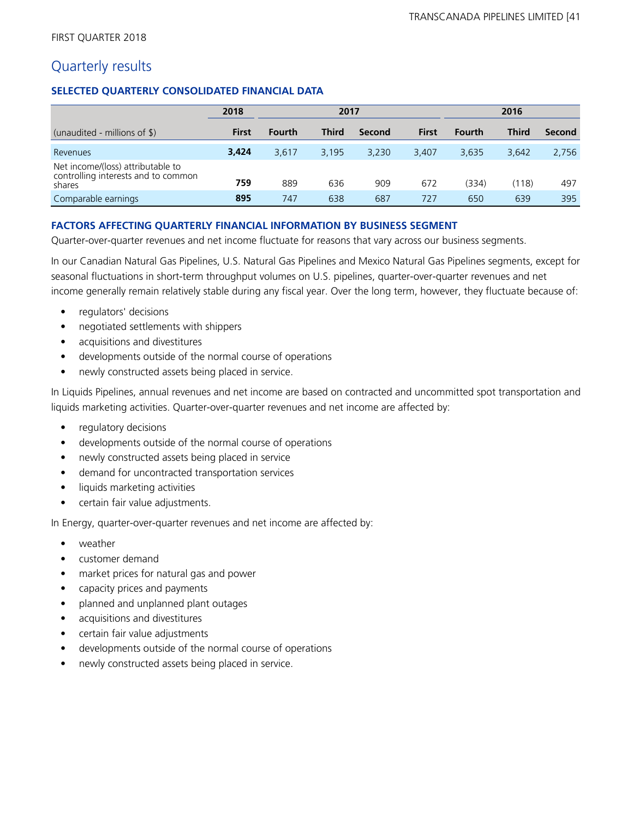# Quarterly results

# **SELECTED QUARTERLY CONSOLIDATED FINANCIAL DATA**

|                                                                                    | 2018         | 2017          |       |        |              | 2016          |              |        |
|------------------------------------------------------------------------------------|--------------|---------------|-------|--------|--------------|---------------|--------------|--------|
| (unaudited - millions of $\frac{1}{2}$ )                                           | <b>First</b> | <b>Fourth</b> | Third | Second | <b>First</b> | <b>Fourth</b> | <b>Third</b> | Second |
| Revenues                                                                           | 3,424        | 3,617         | 3,195 | 3,230  | 3.407        | 3.635         | 3.642        | 2,756  |
| Net income/(loss) attributable to<br>controlling interests and to common<br>shares | 759          | 889           | 636   | 909    | 672          | (334)         | (118)        | 497    |
| Comparable earnings                                                                | 895          | 747           | 638   | 687    | 727          | 650           | 639          | 395    |

# **FACTORS AFFECTING QUARTERLY FINANCIAL INFORMATION BY BUSINESS SEGMENT**

Quarter-over-quarter revenues and net income fluctuate for reasons that vary across our business segments.

In our Canadian Natural Gas Pipelines, U.S. Natural Gas Pipelines and Mexico Natural Gas Pipelines segments, except for seasonal fluctuations in short-term throughput volumes on U.S. pipelines, quarter-over-quarter revenues and net income generally remain relatively stable during any fiscal year. Over the long term, however, they fluctuate because of:

- regulators' decisions
- negotiated settlements with shippers
- acquisitions and divestitures
- developments outside of the normal course of operations
- newly constructed assets being placed in service.

In Liquids Pipelines, annual revenues and net income are based on contracted and uncommitted spot transportation and liquids marketing activities. Quarter-over-quarter revenues and net income are affected by:

- regulatory decisions
- developments outside of the normal course of operations
- newly constructed assets being placed in service
- demand for uncontracted transportation services
- liquids marketing activities
- certain fair value adjustments.

In Energy, quarter-over-quarter revenues and net income are affected by:

- weather
- customer demand
- market prices for natural gas and power
- capacity prices and payments
- planned and unplanned plant outages
- acquisitions and divestitures
- certain fair value adjustments
- developments outside of the normal course of operations
- newly constructed assets being placed in service.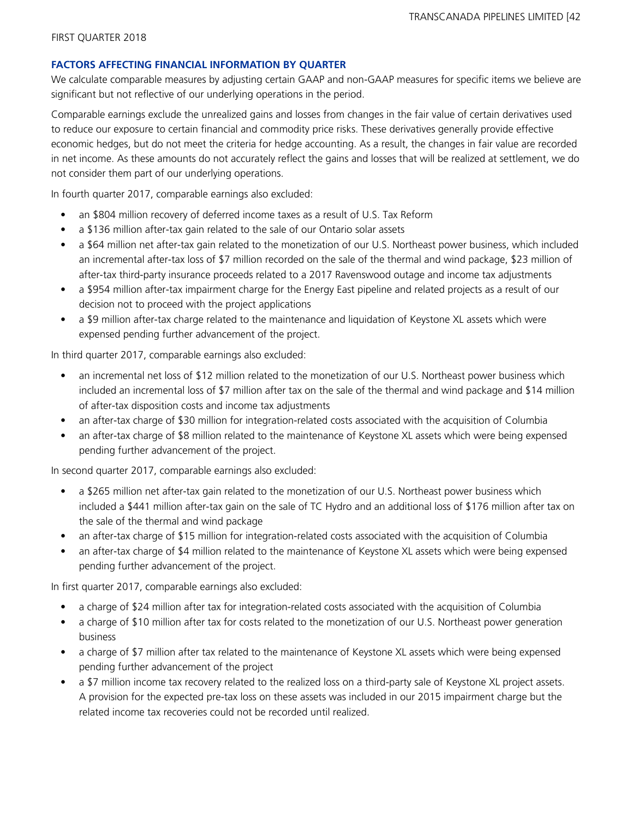## **FACTORS AFFECTING FINANCIAL INFORMATION BY QUARTER**

We calculate comparable measures by adjusting certain GAAP and non-GAAP measures for specific items we believe are significant but not reflective of our underlying operations in the period.

Comparable earnings exclude the unrealized gains and losses from changes in the fair value of certain derivatives used to reduce our exposure to certain financial and commodity price risks. These derivatives generally provide effective economic hedges, but do not meet the criteria for hedge accounting. As a result, the changes in fair value are recorded in net income. As these amounts do not accurately reflect the gains and losses that will be realized at settlement, we do not consider them part of our underlying operations.

In fourth quarter 2017, comparable earnings also excluded:

- an \$804 million recovery of deferred income taxes as a result of U.S. Tax Reform
- a \$136 million after-tax gain related to the sale of our Ontario solar assets
- a \$64 million net after-tax gain related to the monetization of our U.S. Northeast power business, which included an incremental after-tax loss of \$7 million recorded on the sale of the thermal and wind package, \$23 million of after-tax third-party insurance proceeds related to a 2017 Ravenswood outage and income tax adjustments
- a \$954 million after-tax impairment charge for the Energy East pipeline and related projects as a result of our decision not to proceed with the project applications
- a \$9 million after-tax charge related to the maintenance and liquidation of Keystone XL assets which were expensed pending further advancement of the project.

In third quarter 2017, comparable earnings also excluded:

- an incremental net loss of \$12 million related to the monetization of our U.S. Northeast power business which included an incremental loss of \$7 million after tax on the sale of the thermal and wind package and \$14 million of after-tax disposition costs and income tax adjustments
- an after-tax charge of \$30 million for integration-related costs associated with the acquisition of Columbia
- an after-tax charge of \$8 million related to the maintenance of Keystone XL assets which were being expensed pending further advancement of the project.

In second quarter 2017, comparable earnings also excluded:

- a \$265 million net after-tax gain related to the monetization of our U.S. Northeast power business which included a \$441 million after-tax gain on the sale of TC Hydro and an additional loss of \$176 million after tax on the sale of the thermal and wind package
- an after-tax charge of \$15 million for integration-related costs associated with the acquisition of Columbia
- an after-tax charge of \$4 million related to the maintenance of Keystone XL assets which were being expensed pending further advancement of the project.

In first quarter 2017, comparable earnings also excluded:

- a charge of \$24 million after tax for integration-related costs associated with the acquisition of Columbia
- a charge of \$10 million after tax for costs related to the monetization of our U.S. Northeast power generation business
- a charge of \$7 million after tax related to the maintenance of Keystone XL assets which were being expensed pending further advancement of the project
- a \$7 million income tax recovery related to the realized loss on a third-party sale of Keystone XL project assets. A provision for the expected pre-tax loss on these assets was included in our 2015 impairment charge but the related income tax recoveries could not be recorded until realized.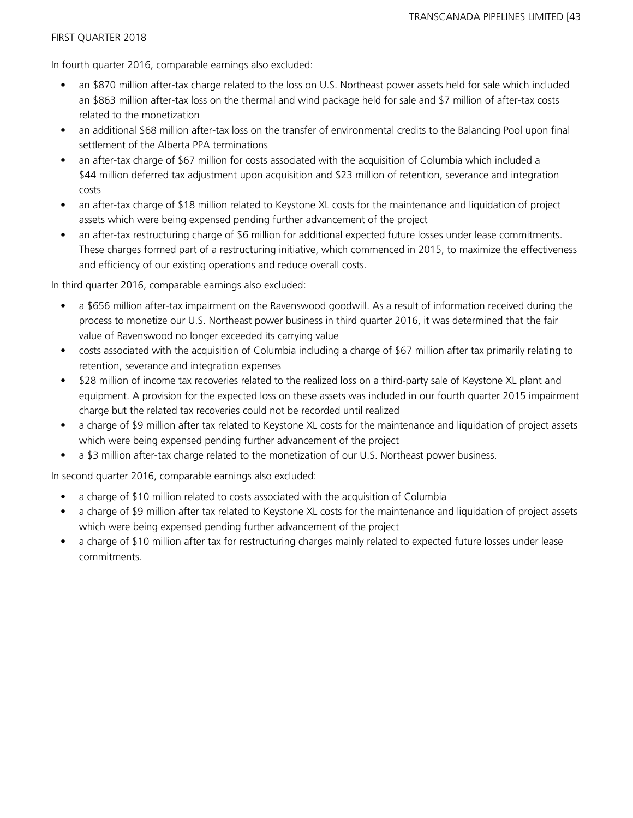In fourth quarter 2016, comparable earnings also excluded:

- an \$870 million after-tax charge related to the loss on U.S. Northeast power assets held for sale which included an \$863 million after-tax loss on the thermal and wind package held for sale and \$7 million of after-tax costs related to the monetization
- an additional \$68 million after-tax loss on the transfer of environmental credits to the Balancing Pool upon final settlement of the Alberta PPA terminations
- an after-tax charge of \$67 million for costs associated with the acquisition of Columbia which included a \$44 million deferred tax adjustment upon acquisition and \$23 million of retention, severance and integration costs
- an after-tax charge of \$18 million related to Keystone XL costs for the maintenance and liquidation of project assets which were being expensed pending further advancement of the project
- an after-tax restructuring charge of \$6 million for additional expected future losses under lease commitments. These charges formed part of a restructuring initiative, which commenced in 2015, to maximize the effectiveness and efficiency of our existing operations and reduce overall costs.

In third quarter 2016, comparable earnings also excluded:

- a \$656 million after-tax impairment on the Ravenswood goodwill. As a result of information received during the process to monetize our U.S. Northeast power business in third quarter 2016, it was determined that the fair value of Ravenswood no longer exceeded its carrying value
- costs associated with the acquisition of Columbia including a charge of \$67 million after tax primarily relating to retention, severance and integration expenses
- \$28 million of income tax recoveries related to the realized loss on a third-party sale of Keystone XL plant and equipment. A provision for the expected loss on these assets was included in our fourth quarter 2015 impairment charge but the related tax recoveries could not be recorded until realized
- a charge of \$9 million after tax related to Keystone XL costs for the maintenance and liquidation of project assets which were being expensed pending further advancement of the project
- a \$3 million after-tax charge related to the monetization of our U.S. Northeast power business.

In second quarter 2016, comparable earnings also excluded:

- a charge of \$10 million related to costs associated with the acquisition of Columbia
- a charge of \$9 million after tax related to Keystone XL costs for the maintenance and liquidation of project assets which were being expensed pending further advancement of the project
- a charge of \$10 million after tax for restructuring charges mainly related to expected future losses under lease commitments.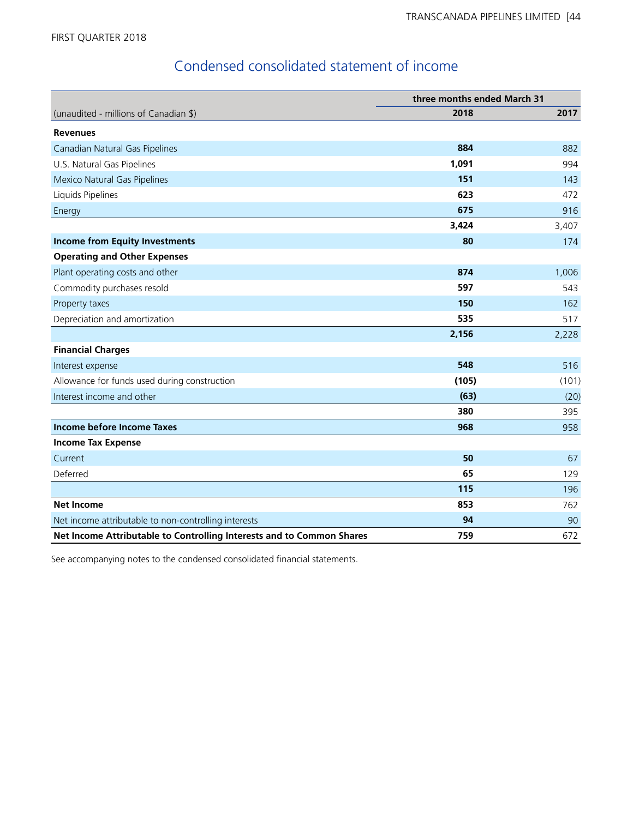# Condensed consolidated statement of income

|                                                                       | three months ended March 31 |       |  |  |
|-----------------------------------------------------------------------|-----------------------------|-------|--|--|
| (unaudited - millions of Canadian \$)                                 | 2018                        | 2017  |  |  |
| <b>Revenues</b>                                                       |                             |       |  |  |
| Canadian Natural Gas Pipelines                                        | 884                         | 882   |  |  |
| U.S. Natural Gas Pipelines                                            | 1,091                       | 994   |  |  |
| Mexico Natural Gas Pipelines                                          | 151                         | 143   |  |  |
| Liquids Pipelines                                                     | 623                         | 472   |  |  |
| Energy                                                                | 675                         | 916   |  |  |
|                                                                       | 3,424                       | 3,407 |  |  |
| <b>Income from Equity Investments</b>                                 | 80                          | 174   |  |  |
| <b>Operating and Other Expenses</b>                                   |                             |       |  |  |
| Plant operating costs and other                                       | 874                         | 1,006 |  |  |
| Commodity purchases resold                                            | 597                         | 543   |  |  |
| Property taxes                                                        | 150                         | 162   |  |  |
| Depreciation and amortization                                         | 535                         | 517   |  |  |
|                                                                       | 2,156                       | 2,228 |  |  |
| <b>Financial Charges</b>                                              |                             |       |  |  |
| Interest expense                                                      | 548                         | 516   |  |  |
| Allowance for funds used during construction                          | (105)                       | (101) |  |  |
| Interest income and other                                             | (63)                        | (20)  |  |  |
|                                                                       | 380                         | 395   |  |  |
| Income before Income Taxes                                            | 968                         | 958   |  |  |
| <b>Income Tax Expense</b>                                             |                             |       |  |  |
| Current                                                               | 50                          | 67    |  |  |
| Deferred                                                              | 65                          | 129   |  |  |
|                                                                       | 115                         | 196   |  |  |
| <b>Net Income</b>                                                     | 853                         | 762   |  |  |
| Net income attributable to non-controlling interests                  | 94                          | 90    |  |  |
| Net Income Attributable to Controlling Interests and to Common Shares | 759                         | 672   |  |  |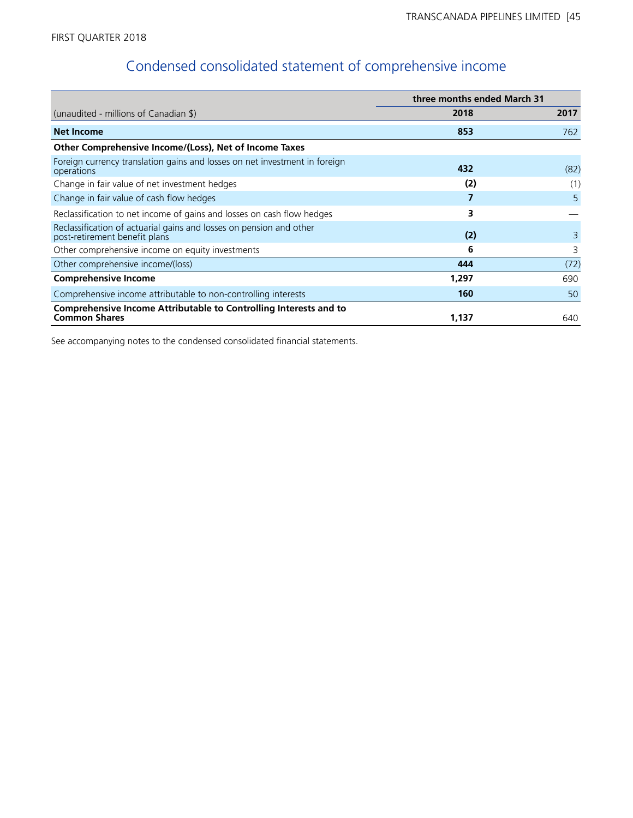# Condensed consolidated statement of comprehensive income

|                                                                                                      | three months ended March 31 |      |
|------------------------------------------------------------------------------------------------------|-----------------------------|------|
| (unaudited - millions of Canadian $\frac{1}{2}$ )                                                    | 2018                        | 2017 |
| <b>Net Income</b>                                                                                    | 853                         | 762  |
| Other Comprehensive Income/(Loss), Net of Income Taxes                                               |                             |      |
| Foreign currency translation gains and losses on net investment in foreign<br>operations             | 432                         | (82) |
| Change in fair value of net investment hedges                                                        | (2)                         | (1)  |
| Change in fair value of cash flow hedges                                                             |                             | 5    |
| Reclassification to net income of gains and losses on cash flow hedges                               | 3                           |      |
| Reclassification of actuarial gains and losses on pension and other<br>post-retirement benefit plans | (2)                         | 3    |
| Other comprehensive income on equity investments                                                     | 6                           | 3    |
| Other comprehensive income/(loss)                                                                    | 444                         | (72) |
| <b>Comprehensive Income</b>                                                                          | 1,297                       | 690  |
| Comprehensive income attributable to non-controlling interests                                       | 160                         | 50   |
| Comprehensive Income Attributable to Controlling Interests and to<br><b>Common Shares</b>            | 1,137                       | 640  |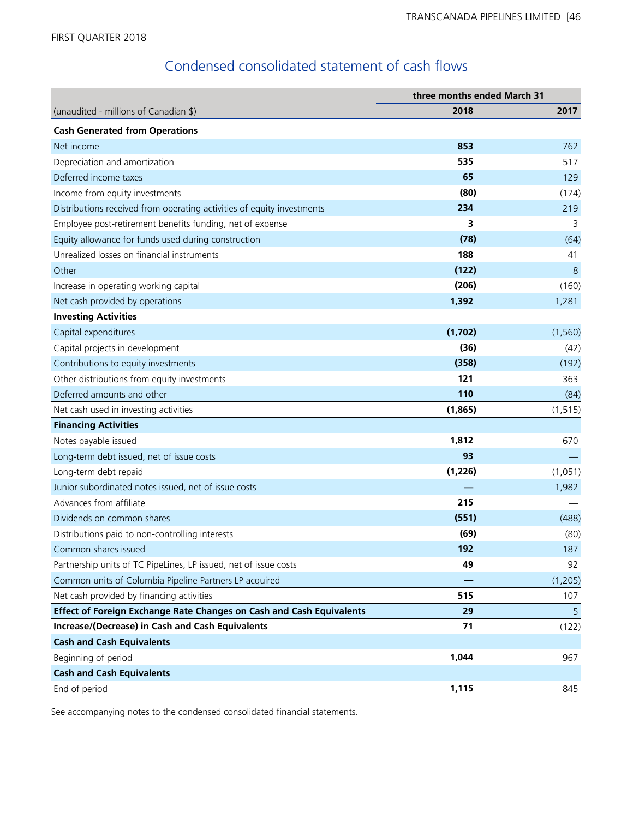# Condensed consolidated statement of cash flows

|                                                                        | three months ended March 31 |          |  |  |
|------------------------------------------------------------------------|-----------------------------|----------|--|--|
| (unaudited - millions of Canadian \$)                                  | 2018                        | 2017     |  |  |
| <b>Cash Generated from Operations</b>                                  |                             |          |  |  |
| Net income                                                             | 853                         | 762      |  |  |
| Depreciation and amortization                                          | 535                         | 517      |  |  |
| Deferred income taxes                                                  | 65                          | 129      |  |  |
| Income from equity investments                                         | (80)                        | (174)    |  |  |
| Distributions received from operating activities of equity investments | 234                         | 219      |  |  |
| Employee post-retirement benefits funding, net of expense              | 3                           | 3        |  |  |
| Equity allowance for funds used during construction                    | (78)                        | (64)     |  |  |
| Unrealized losses on financial instruments                             | 188                         | 41       |  |  |
| Other                                                                  | (122)                       | 8        |  |  |
| Increase in operating working capital                                  | (206)                       | (160)    |  |  |
| Net cash provided by operations                                        | 1,392                       | 1,281    |  |  |
| <b>Investing Activities</b>                                            |                             |          |  |  |
| Capital expenditures                                                   | (1,702)                     | (1, 560) |  |  |
| Capital projects in development                                        | (36)                        | (42)     |  |  |
| Contributions to equity investments                                    | (358)                       | (192)    |  |  |
| Other distributions from equity investments                            | 121                         | 363      |  |  |
| Deferred amounts and other                                             | 110                         | (84)     |  |  |
| Net cash used in investing activities                                  | (1,865)                     | (1, 515) |  |  |
| <b>Financing Activities</b>                                            |                             |          |  |  |
| Notes payable issued                                                   | 1,812                       | 670      |  |  |
| Long-term debt issued, net of issue costs                              | 93                          |          |  |  |
| Long-term debt repaid                                                  | (1,226)                     | (1,051)  |  |  |
| Junior subordinated notes issued, net of issue costs                   |                             | 1,982    |  |  |
| Advances from affiliate                                                | 215                         |          |  |  |
| Dividends on common shares                                             | (551)                       | (488)    |  |  |
| Distributions paid to non-controlling interests                        | (69)                        | (80)     |  |  |
| Common shares issued                                                   | 192                         | 187      |  |  |
| Partnership units of TC PipeLines, LP issued, net of issue costs       | 49                          | 92       |  |  |
| Common units of Columbia Pipeline Partners LP acquired                 |                             | (1, 205) |  |  |
| Net cash provided by financing activities                              | 515                         | 107      |  |  |
| Effect of Foreign Exchange Rate Changes on Cash and Cash Equivalents   | 29                          | 5        |  |  |
| <b>Increase/(Decrease) in Cash and Cash Equivalents</b>                | 71                          | (122)    |  |  |
| <b>Cash and Cash Equivalents</b>                                       |                             |          |  |  |
| Beginning of period                                                    | 1,044                       | 967      |  |  |
| <b>Cash and Cash Equivalents</b>                                       |                             |          |  |  |
| End of period                                                          | 1,115                       | 845      |  |  |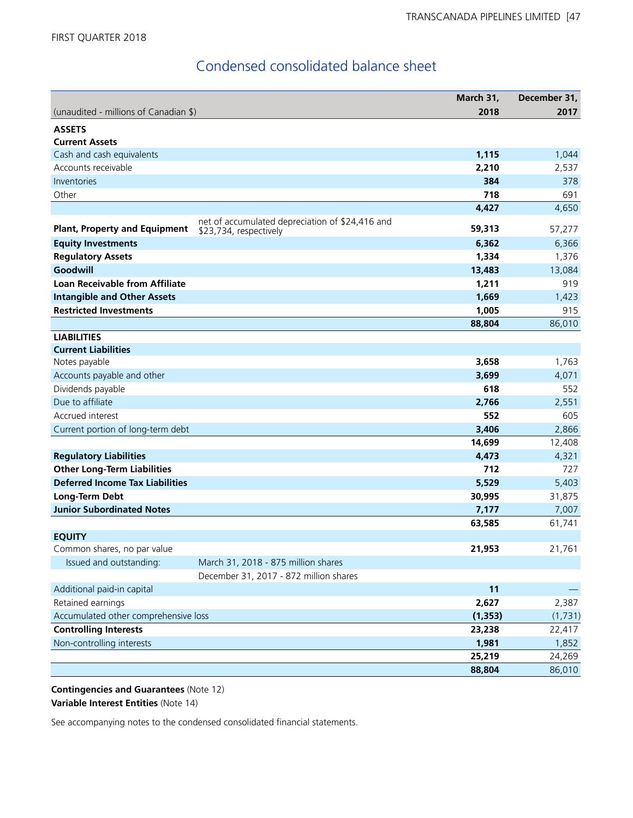# Condensed consolidated balance sheet

|                                        |                                                 | March 31, | December 31, |
|----------------------------------------|-------------------------------------------------|-----------|--------------|
| (unaudited - millions of Canadian \$)  |                                                 | 2018      | 2017         |
| <b>ASSETS</b>                          |                                                 |           |              |
| <b>Current Assets</b>                  |                                                 |           |              |
| Cash and cash equivalents              |                                                 | 1,115     | 1,044        |
| Accounts receivable                    |                                                 | 2,210     | 2,537        |
| Inventories                            |                                                 | 384       | 378          |
| Other                                  |                                                 | 718       | 691          |
|                                        |                                                 | 4,427     | 4,650        |
|                                        | net of accumulated depreciation of \$24,416 and |           |              |
| <b>Plant, Property and Equipment</b>   | \$23,734, respectively                          | 59,313    | 57,277       |
| <b>Equity Investments</b>              |                                                 | 6,362     | 6,366        |
| <b>Regulatory Assets</b>               |                                                 | 1,334     | 1,376        |
| Goodwill                               |                                                 | 13,483    | 13,084       |
| <b>Loan Receivable from Affiliate</b>  |                                                 | 1,211     | 919          |
| <b>Intangible and Other Assets</b>     |                                                 | 1,669     | 1,423        |
| <b>Restricted Investments</b>          |                                                 | 1,005     | 915          |
|                                        |                                                 | 88,804    | 86,010       |
| <b>LIABILITIES</b>                     |                                                 |           |              |
| <b>Current Liabilities</b>             |                                                 |           |              |
| Notes payable                          |                                                 | 3,658     | 1,763        |
| Accounts payable and other             |                                                 | 3,699     | 4,071        |
| Dividends payable                      |                                                 | 618       | 552          |
| Due to affiliate                       |                                                 | 2,766     | 2,551        |
| Accrued interest                       |                                                 | 552       | 605          |
| Current portion of long-term debt      |                                                 | 3,406     | 2,866        |
|                                        |                                                 | 14,699    | 12,408       |
| <b>Regulatory Liabilities</b>          |                                                 | 4,473     | 4,321        |
| <b>Other Long-Term Liabilities</b>     |                                                 | 712       | 727          |
| <b>Deferred Income Tax Liabilities</b> |                                                 | 5,529     | 5,403        |
| Long-Term Debt                         |                                                 | 30,995    | 31,875       |
| <b>Junior Subordinated Notes</b>       |                                                 | 7,177     | 7,007        |
|                                        |                                                 | 63,585    | 61,741       |
| <b>EQUITY</b>                          |                                                 |           |              |
| Common shares, no par value            |                                                 | 21,953    | 21,761       |
| Issued and outstanding:                | March 31, 2018 - 875 million shares             |           |              |
|                                        | December 31, 2017 - 872 million shares          |           |              |
| Additional paid-in capital             |                                                 | 11        |              |
| Retained earnings                      |                                                 | 2,627     | 2,387        |
| Accumulated other comprehensive loss   |                                                 | (1, 353)  | (1,731)      |
| <b>Controlling Interests</b>           |                                                 | 23,238    | 22,417       |
| Non-controlling interests              |                                                 | 1,981     | 1,852        |
|                                        |                                                 | 25,219    | 24,269       |
|                                        |                                                 | 88,804    | 86,010       |

**Contingencies and Guarantees** (Note 12) **Variable Interest Entities** (Note 14)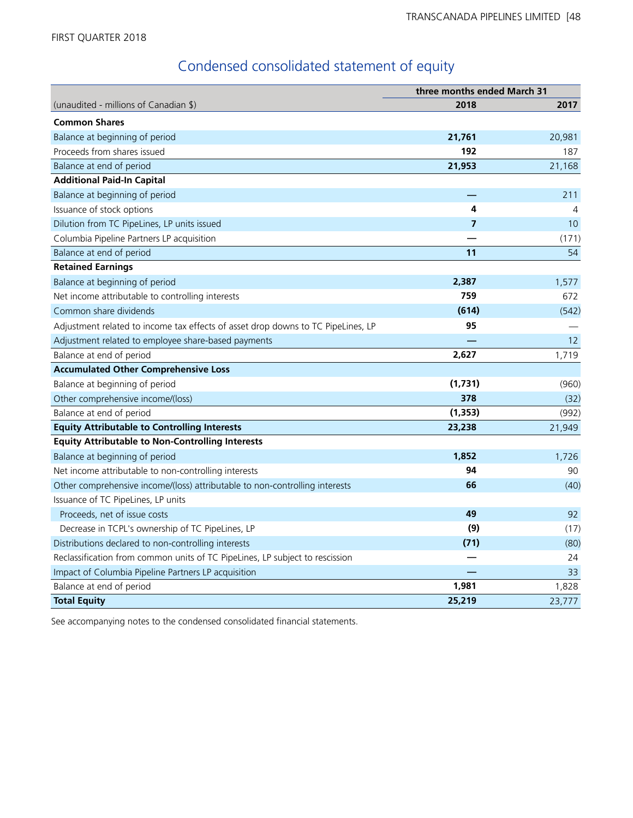# Condensed consolidated statement of equity

|                                                                                  | three months ended March 31 |        |
|----------------------------------------------------------------------------------|-----------------------------|--------|
| (unaudited - millions of Canadian \$)                                            | 2018                        | 2017   |
| <b>Common Shares</b>                                                             |                             |        |
| Balance at beginning of period                                                   | 21,761                      | 20,981 |
| Proceeds from shares issued                                                      | 192                         | 187    |
| Balance at end of period                                                         | 21,953                      | 21,168 |
| <b>Additional Paid-In Capital</b>                                                |                             |        |
| Balance at beginning of period                                                   |                             | 211    |
| Issuance of stock options                                                        | 4                           | 4      |
| Dilution from TC PipeLines, LP units issued                                      | $\overline{7}$              | 10     |
| Columbia Pipeline Partners LP acquisition                                        |                             | (171)  |
| Balance at end of period                                                         | 11                          | 54     |
| <b>Retained Earnings</b>                                                         |                             |        |
| Balance at beginning of period                                                   | 2,387                       | 1,577  |
| Net income attributable to controlling interests                                 | 759                         | 672    |
| Common share dividends                                                           | (614)                       | (542)  |
| Adjustment related to income tax effects of asset drop downs to TC PipeLines, LP | 95                          |        |
| Adjustment related to employee share-based payments                              |                             | 12     |
| Balance at end of period                                                         | 2,627                       | 1,719  |
| <b>Accumulated Other Comprehensive Loss</b>                                      |                             |        |
| Balance at beginning of period                                                   | (1,731)                     | (960)  |
| Other comprehensive income/(loss)                                                | 378                         | (32)   |
| Balance at end of period                                                         | (1, 353)                    | (992)  |
| <b>Equity Attributable to Controlling Interests</b>                              | 23,238                      | 21,949 |
| <b>Equity Attributable to Non-Controlling Interests</b>                          |                             |        |
| Balance at beginning of period                                                   | 1,852                       | 1,726  |
| Net income attributable to non-controlling interests                             | 94                          | 90     |
| Other comprehensive income/(loss) attributable to non-controlling interests      | 66                          | (40)   |
| Issuance of TC PipeLines, LP units                                               |                             |        |
| Proceeds, net of issue costs                                                     | 49                          | 92     |
| Decrease in TCPL's ownership of TC PipeLines, LP                                 | (9)                         | (17)   |
| Distributions declared to non-controlling interests                              | (71)                        | (80)   |
| Reclassification from common units of TC PipeLines, LP subject to rescission     |                             | 24     |
| Impact of Columbia Pipeline Partners LP acquisition                              |                             | 33     |
| Balance at end of period                                                         | 1,981                       | 1,828  |
| <b>Total Equity</b>                                                              | 25,219                      | 23,777 |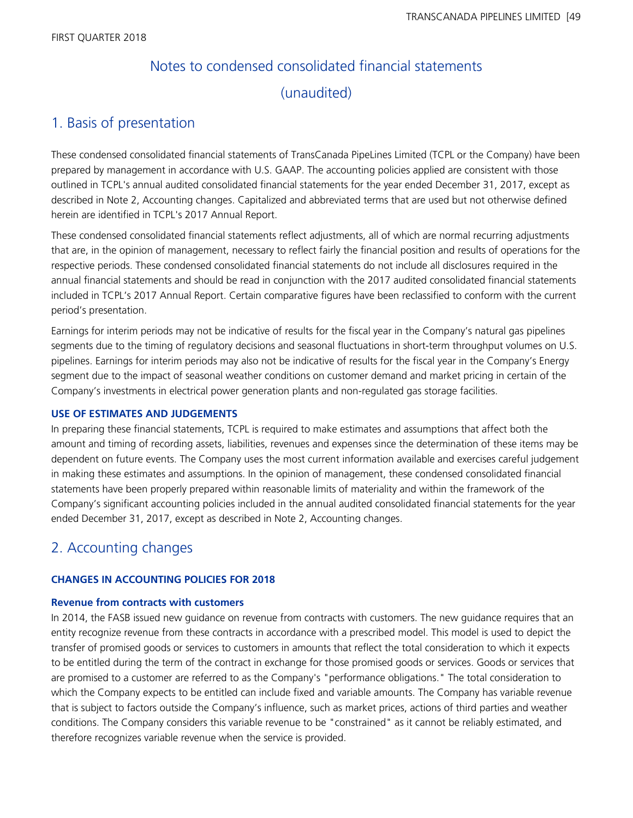# Notes to condensed consolidated financial statements (unaudited)

# 1. Basis of presentation

These condensed consolidated financial statements of TransCanada PipeLines Limited (TCPL or the Company) have been prepared by management in accordance with U.S. GAAP. The accounting policies applied are consistent with those outlined in TCPL's annual audited consolidated financial statements for the year ended December 31, 2017, except as described in Note 2, Accounting changes. Capitalized and abbreviated terms that are used but not otherwise defined herein are identified in TCPL's 2017 Annual Report.

These condensed consolidated financial statements reflect adjustments, all of which are normal recurring adjustments that are, in the opinion of management, necessary to reflect fairly the financial position and results of operations for the respective periods. These condensed consolidated financial statements do not include all disclosures required in the annual financial statements and should be read in conjunction with the 2017 audited consolidated financial statements included in TCPL's 2017 Annual Report. Certain comparative figures have been reclassified to conform with the current period's presentation.

Earnings for interim periods may not be indicative of results for the fiscal year in the Company's natural gas pipelines segments due to the timing of regulatory decisions and seasonal fluctuations in short-term throughput volumes on U.S. pipelines. Earnings for interim periods may also not be indicative of results for the fiscal year in the Company's Energy segment due to the impact of seasonal weather conditions on customer demand and market pricing in certain of the Company's investments in electrical power generation plants and non-regulated gas storage facilities.

# **USE OF ESTIMATES AND JUDGEMENTS**

In preparing these financial statements, TCPL is required to make estimates and assumptions that affect both the amount and timing of recording assets, liabilities, revenues and expenses since the determination of these items may be dependent on future events. The Company uses the most current information available and exercises careful judgement in making these estimates and assumptions. In the opinion of management, these condensed consolidated financial statements have been properly prepared within reasonable limits of materiality and within the framework of the Company's significant accounting policies included in the annual audited consolidated financial statements for the year ended December 31, 2017, except as described in Note 2, Accounting changes.

# 2. Accounting changes

# **CHANGES IN ACCOUNTING POLICIES FOR 2018**

# **Revenue from contracts with customers**

In 2014, the FASB issued new guidance on revenue from contracts with customers. The new guidance requires that an entity recognize revenue from these contracts in accordance with a prescribed model. This model is used to depict the transfer of promised goods or services to customers in amounts that reflect the total consideration to which it expects to be entitled during the term of the contract in exchange for those promised goods or services. Goods or services that are promised to a customer are referred to as the Company's "performance obligations." The total consideration to which the Company expects to be entitled can include fixed and variable amounts. The Company has variable revenue that is subject to factors outside the Company's influence, such as market prices, actions of third parties and weather conditions. The Company considers this variable revenue to be "constrained" as it cannot be reliably estimated, and therefore recognizes variable revenue when the service is provided.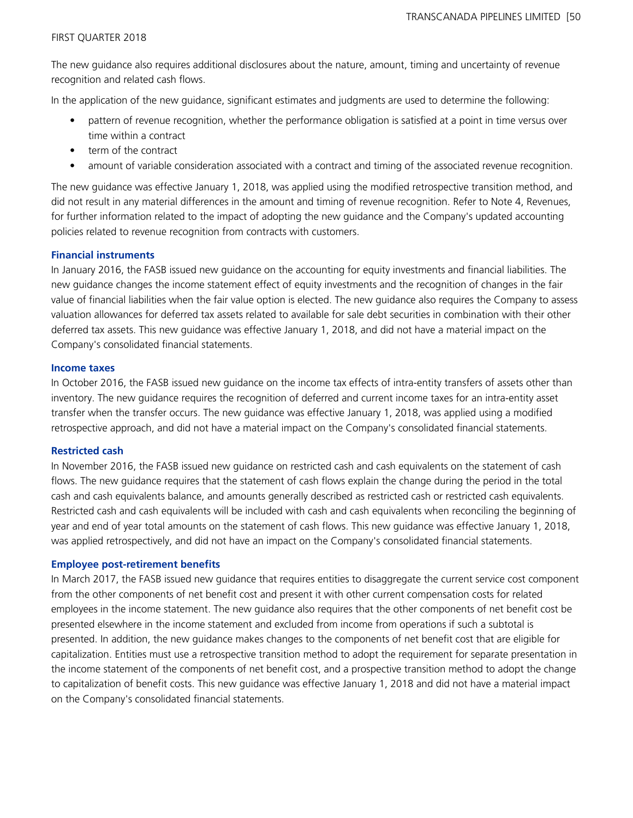The new guidance also requires additional disclosures about the nature, amount, timing and uncertainty of revenue recognition and related cash flows.

In the application of the new guidance, significant estimates and judgments are used to determine the following:

- pattern of revenue recognition, whether the performance obligation is satisfied at a point in time versus over time within a contract
- term of the contract
- amount of variable consideration associated with a contract and timing of the associated revenue recognition.

The new guidance was effective January 1, 2018, was applied using the modified retrospective transition method, and did not result in any material differences in the amount and timing of revenue recognition. Refer to Note 4, Revenues, for further information related to the impact of adopting the new guidance and the Company's updated accounting policies related to revenue recognition from contracts with customers.

# **Financial instruments**

In January 2016, the FASB issued new guidance on the accounting for equity investments and financial liabilities. The new guidance changes the income statement effect of equity investments and the recognition of changes in the fair value of financial liabilities when the fair value option is elected. The new guidance also requires the Company to assess valuation allowances for deferred tax assets related to available for sale debt securities in combination with their other deferred tax assets. This new guidance was effective January 1, 2018, and did not have a material impact on the Company's consolidated financial statements.

## **Income taxes**

In October 2016, the FASB issued new guidance on the income tax effects of intra-entity transfers of assets other than inventory. The new guidance requires the recognition of deferred and current income taxes for an intra-entity asset transfer when the transfer occurs. The new guidance was effective January 1, 2018, was applied using a modified retrospective approach, and did not have a material impact on the Company's consolidated financial statements.

# **Restricted cash**

In November 2016, the FASB issued new guidance on restricted cash and cash equivalents on the statement of cash flows. The new guidance requires that the statement of cash flows explain the change during the period in the total cash and cash equivalents balance, and amounts generally described as restricted cash or restricted cash equivalents. Restricted cash and cash equivalents will be included with cash and cash equivalents when reconciling the beginning of year and end of year total amounts on the statement of cash flows. This new guidance was effective January 1, 2018, was applied retrospectively, and did not have an impact on the Company's consolidated financial statements.

#### **Employee post-retirement benefits**

In March 2017, the FASB issued new guidance that requires entities to disaggregate the current service cost component from the other components of net benefit cost and present it with other current compensation costs for related employees in the income statement. The new guidance also requires that the other components of net benefit cost be presented elsewhere in the income statement and excluded from income from operations if such a subtotal is presented. In addition, the new guidance makes changes to the components of net benefit cost that are eligible for capitalization. Entities must use a retrospective transition method to adopt the requirement for separate presentation in the income statement of the components of net benefit cost, and a prospective transition method to adopt the change to capitalization of benefit costs. This new guidance was effective January 1, 2018 and did not have a material impact on the Company's consolidated financial statements.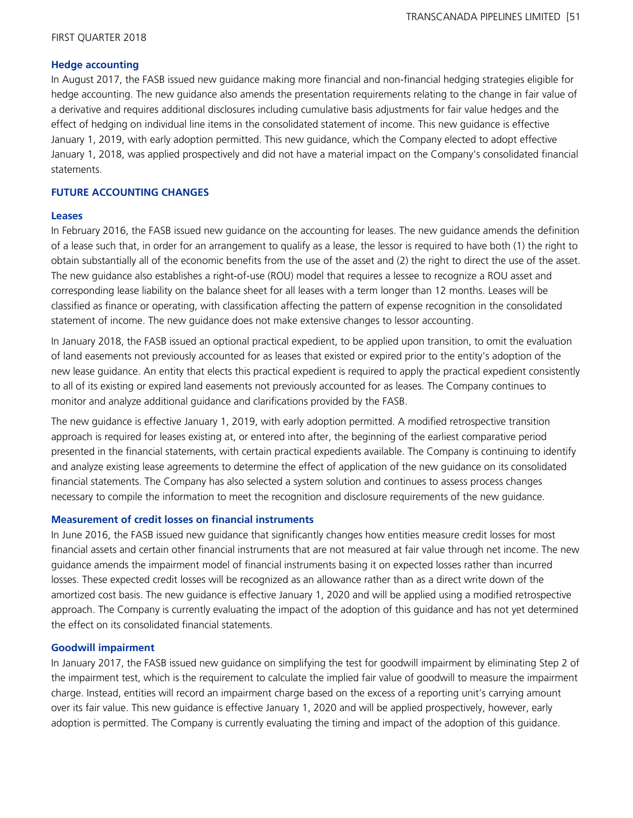#### **Hedge accounting**

In August 2017, the FASB issued new guidance making more financial and non-financial hedging strategies eligible for hedge accounting. The new guidance also amends the presentation requirements relating to the change in fair value of a derivative and requires additional disclosures including cumulative basis adjustments for fair value hedges and the effect of hedging on individual line items in the consolidated statement of income. This new guidance is effective January 1, 2019, with early adoption permitted. This new guidance, which the Company elected to adopt effective January 1, 2018, was applied prospectively and did not have a material impact on the Company's consolidated financial statements.

#### **FUTURE ACCOUNTING CHANGES**

#### **Leases**

In February 2016, the FASB issued new guidance on the accounting for leases. The new guidance amends the definition of a lease such that, in order for an arrangement to qualify as a lease, the lessor is required to have both (1) the right to obtain substantially all of the economic benefits from the use of the asset and (2) the right to direct the use of the asset. The new guidance also establishes a right-of-use (ROU) model that requires a lessee to recognize a ROU asset and corresponding lease liability on the balance sheet for all leases with a term longer than 12 months. Leases will be classified as finance or operating, with classification affecting the pattern of expense recognition in the consolidated statement of income. The new guidance does not make extensive changes to lessor accounting.

In January 2018, the FASB issued an optional practical expedient, to be applied upon transition, to omit the evaluation of land easements not previously accounted for as leases that existed or expired prior to the entity's adoption of the new lease guidance. An entity that elects this practical expedient is required to apply the practical expedient consistently to all of its existing or expired land easements not previously accounted for as leases. The Company continues to monitor and analyze additional guidance and clarifications provided by the FASB.

The new guidance is effective January 1, 2019, with early adoption permitted. A modified retrospective transition approach is required for leases existing at, or entered into after, the beginning of the earliest comparative period presented in the financial statements, with certain practical expedients available. The Company is continuing to identify and analyze existing lease agreements to determine the effect of application of the new guidance on its consolidated financial statements. The Company has also selected a system solution and continues to assess process changes necessary to compile the information to meet the recognition and disclosure requirements of the new guidance.

#### **Measurement of credit losses on financial instruments**

In June 2016, the FASB issued new guidance that significantly changes how entities measure credit losses for most financial assets and certain other financial instruments that are not measured at fair value through net income. The new guidance amends the impairment model of financial instruments basing it on expected losses rather than incurred losses. These expected credit losses will be recognized as an allowance rather than as a direct write down of the amortized cost basis. The new guidance is effective January 1, 2020 and will be applied using a modified retrospective approach. The Company is currently evaluating the impact of the adoption of this guidance and has not yet determined the effect on its consolidated financial statements.

#### **Goodwill impairment**

In January 2017, the FASB issued new guidance on simplifying the test for goodwill impairment by eliminating Step 2 of the impairment test, which is the requirement to calculate the implied fair value of goodwill to measure the impairment charge. Instead, entities will record an impairment charge based on the excess of a reporting unit's carrying amount over its fair value. This new guidance is effective January 1, 2020 and will be applied prospectively, however, early adoption is permitted. The Company is currently evaluating the timing and impact of the adoption of this guidance.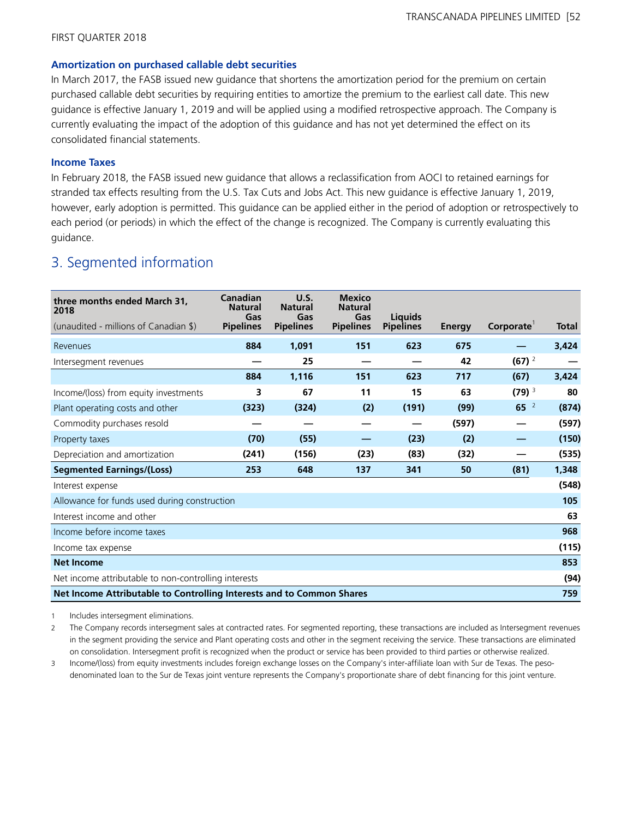#### **Amortization on purchased callable debt securities**

In March 2017, the FASB issued new guidance that shortens the amortization period for the premium on certain purchased callable debt securities by requiring entities to amortize the premium to the earliest call date. This new guidance is effective January 1, 2019 and will be applied using a modified retrospective approach. The Company is currently evaluating the impact of the adoption of this guidance and has not yet determined the effect on its consolidated financial statements.

# **Income Taxes**

In February 2018, the FASB issued new guidance that allows a reclassification from AOCI to retained earnings for stranded tax effects resulting from the U.S. Tax Cuts and Jobs Act. This new guidance is effective January 1, 2019, however, early adoption is permitted. This guidance can be applied either in the period of adoption or retrospectively to each period (or periods) in which the effect of the change is recognized. The Company is currently evaluating this guidance.

# 3. Segmented information

| three months ended March 31,<br>2018                                  | Canadian<br><b>Natural</b> | U.S.<br><b>Natural</b>  | <b>Mexico</b><br><b>Natural</b> | Liauids          |        |                        |              |
|-----------------------------------------------------------------------|----------------------------|-------------------------|---------------------------------|------------------|--------|------------------------|--------------|
| (unaudited - millions of Canadian \$)                                 | Gas<br><b>Pipelines</b>    | Gas<br><b>Pipelines</b> | Gas<br><b>Pipelines</b>         | <b>Pipelines</b> | Energy | Corporate <sup>1</sup> | <b>Total</b> |
| Revenues                                                              | 884                        | 1,091                   | 151                             | 623              | 675    |                        | 3,424        |
| Intersegment revenues                                                 |                            | 25                      |                                 |                  | 42     | $(67)$ <sup>2</sup>    |              |
|                                                                       | 884                        | 1,116                   | 151                             | 623              | 717    | (67)                   | 3,424        |
| Income/(loss) from equity investments                                 | 3                          | 67                      | 11                              | 15               | 63     | $(79)$ <sup>3</sup>    | 80           |
| Plant operating costs and other                                       | (323)                      | (324)                   | (2)                             | (191)            | (99)   | 65 <sup>2</sup>        | (874)        |
| Commodity purchases resold                                            |                            |                         |                                 |                  | (597)  |                        | (597)        |
| Property taxes                                                        | (70)                       | (55)                    |                                 | (23)             | (2)    |                        | (150)        |
| Depreciation and amortization                                         | (241)                      | (156)                   | (23)                            | (83)             | (32)   |                        | (535)        |
| <b>Segmented Earnings/(Loss)</b>                                      | 253                        | 648                     | 137                             | 341              | 50     | (81)                   | 1,348        |
| Interest expense                                                      |                            |                         |                                 |                  |        |                        | (548)        |
| Allowance for funds used during construction                          |                            |                         |                                 |                  |        |                        | 105          |
| Interest income and other                                             |                            |                         |                                 |                  |        |                        | 63           |
| Income before income taxes                                            |                            |                         |                                 |                  |        |                        | 968          |
| Income tax expense                                                    |                            |                         |                                 |                  |        |                        | (115)        |
| <b>Net Income</b>                                                     |                            |                         |                                 |                  |        |                        | 853          |
| Net income attributable to non-controlling interests                  |                            |                         |                                 |                  |        |                        | (94)         |
| Net Income Attributable to Controlling Interests and to Common Shares |                            |                         |                                 |                  |        |                        | 759          |

1 Includes intersegment eliminations.

2 The Company records intersegment sales at contracted rates. For segmented reporting, these transactions are included as Intersegment revenues in the segment providing the service and Plant operating costs and other in the segment receiving the service. These transactions are eliminated on consolidation. Intersegment profit is recognized when the product or service has been provided to third parties or otherwise realized.

3 Income/(loss) from equity investments includes foreign exchange losses on the Company's inter-affiliate loan with Sur de Texas. The pesodenominated loan to the Sur de Texas joint venture represents the Company's proportionate share of debt financing for this joint venture.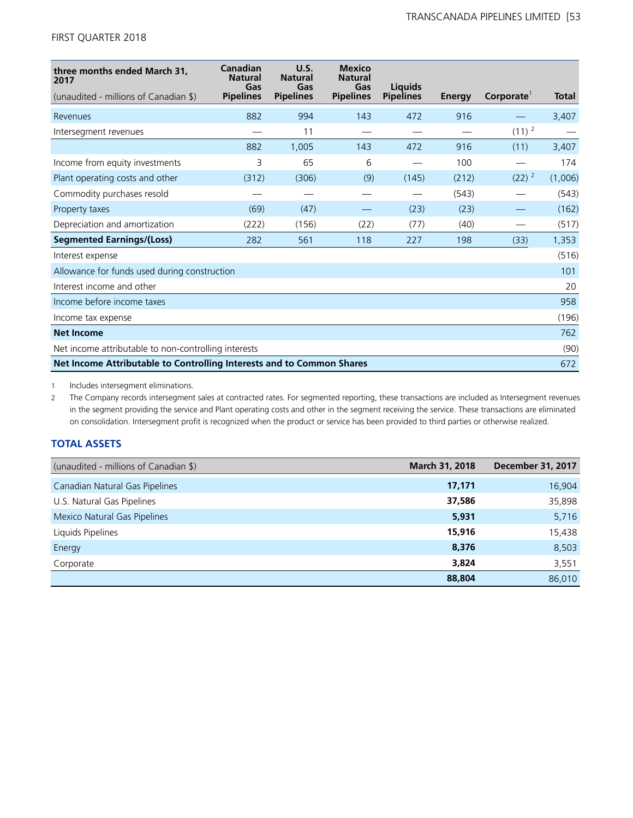| three months ended March 31,<br>2017                                  | Canadian<br><b>Natural</b><br>Gas | U.S.<br><b>Natural</b><br>Gas | <b>Mexico</b><br><b>Natural</b><br>Gas | Liauids          |        |           |              |
|-----------------------------------------------------------------------|-----------------------------------|-------------------------------|----------------------------------------|------------------|--------|-----------|--------------|
| (unaudited - millions of Canadian \$)                                 | <b>Pipelines</b>                  | <b>Pipelines</b>              | <b>Pipelines</b>                       | <b>Pipelines</b> | Energy | Corporate | <b>Total</b> |
| Revenues                                                              | 882                               | 994                           | 143                                    | 472              | 916    |           | 3,407        |
| Intersegment revenues                                                 |                                   | 11                            |                                        |                  |        | $(11)^2$  |              |
|                                                                       | 882                               | 1,005                         | 143                                    | 472              | 916    | (11)      | 3,407        |
| Income from equity investments                                        | 3                                 | 65                            | 6                                      |                  | 100    |           | 174          |
| Plant operating costs and other                                       | (312)                             | (306)                         | (9)                                    | (145)            | (212)  | $(22)^2$  | (1,006)      |
| Commodity purchases resold                                            |                                   |                               |                                        |                  | (543)  |           | (543)        |
| Property taxes                                                        | (69)                              | (47)                          |                                        | (23)             | (23)   |           | (162)        |
| Depreciation and amortization                                         | (222)                             | (156)                         | (22)                                   | (77)             | (40)   |           | (517)        |
| <b>Segmented Earnings/(Loss)</b>                                      | 282                               | 561                           | 118                                    | 227              | 198    | (33)      | 1,353        |
| Interest expense                                                      |                                   |                               |                                        |                  |        |           | (516)        |
| Allowance for funds used during construction                          |                                   |                               |                                        |                  |        |           | 101          |
| Interest income and other                                             |                                   |                               |                                        |                  |        |           | 20           |
| Income before income taxes                                            |                                   |                               |                                        |                  |        |           | 958          |
| Income tax expense                                                    |                                   |                               |                                        |                  |        |           | (196)        |
| <b>Net Income</b>                                                     |                                   |                               |                                        |                  |        |           | 762          |
| Net income attributable to non-controlling interests                  |                                   |                               |                                        |                  |        |           | (90)         |
| Net Income Attributable to Controlling Interests and to Common Shares |                                   |                               |                                        |                  |        |           | 672          |

1 Includes intersegment eliminations.

2 The Company records intersegment sales at contracted rates. For segmented reporting, these transactions are included as Intersegment revenues in the segment providing the service and Plant operating costs and other in the segment receiving the service. These transactions are eliminated on consolidation. Intersegment profit is recognized when the product or service has been provided to third parties or otherwise realized.

# **TOTAL ASSETS**

| (unaudited - millions of Canadian \$) | March 31, 2018 | <b>December 31, 2017</b> |
|---------------------------------------|----------------|--------------------------|
| Canadian Natural Gas Pipelines        | 17,171         | 16,904                   |
| U.S. Natural Gas Pipelines            | 37,586         | 35,898                   |
| Mexico Natural Gas Pipelines          | 5,931          | 5,716                    |
| Liquids Pipelines                     | 15,916         | 15,438                   |
| Energy                                | 8,376          | 8,503                    |
| Corporate                             | 3,824          | 3,551                    |
|                                       | 88,804         | 86,010                   |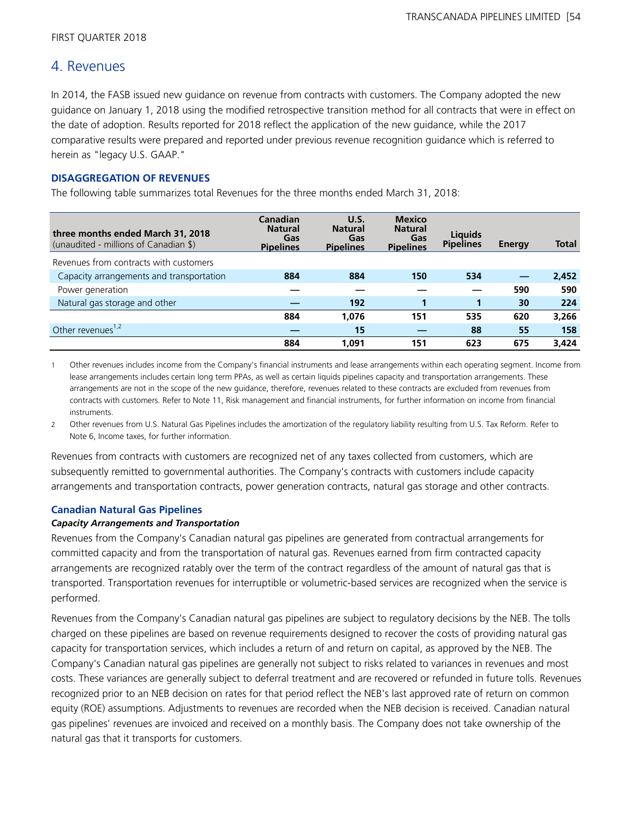# 4. Revenues

In 2014, the FASB issued new guidance on revenue from contracts with customers. The Company adopted the new guidance on January 1, 2018 using the modified retrospective transition method for all contracts that were in effect on the date of adoption. Results reported for 2018 reflect the application of the new guidance, while the 2017 comparative results were prepared and reported under previous revenue recognition guidance which is referred to herein as "legacy U.S. GAAP."

# **DISAGGREGATION OF REVENUES**

The following table summarizes total Revenues for the three months ended March 31, 2018:

| three months ended March 31, 2018<br>(unaudited - millions of Canadian \$) | Canadian<br><b>Natural</b><br>Gas<br><b>Pipelines</b> | U.S.<br><b>Natural</b><br>Gas<br><b>Pipelines</b> | <b>Mexico</b><br><b>Natural</b><br>Gas<br><b>Pipelines</b> | <b>Liquids</b><br><b>Pipelines</b> | Energy | <b>Total</b> |
|----------------------------------------------------------------------------|-------------------------------------------------------|---------------------------------------------------|------------------------------------------------------------|------------------------------------|--------|--------------|
| Revenues from contracts with customers                                     |                                                       |                                                   |                                                            |                                    |        |              |
| Capacity arrangements and transportation                                   | 884                                                   | 884                                               | 150                                                        | 534                                |        | 2,452        |
| Power generation                                                           |                                                       |                                                   |                                                            |                                    | 590    | 590          |
| Natural gas storage and other                                              |                                                       | 192                                               |                                                            |                                    | 30     | 224          |
|                                                                            | 884                                                   | 1,076                                             | 151                                                        | 535                                | 620    | 3,266        |
| Other revenues <sup>1,2</sup>                                              |                                                       | 15                                                |                                                            | 88                                 | 55     | 158          |
|                                                                            | 884                                                   | 1,091                                             | 151                                                        | 623                                | 675    | 3,424        |

1 Other revenues includes income from the Company's financial instruments and lease arrangements within each operating segment. Income from lease arrangements includes certain long term PPAs, as well as certain liquids pipelines capacity and transportation arrangements. These arrangements are not in the scope of the new guidance, therefore, revenues related to these contracts are excluded from revenues from contracts with customers. Refer to Note 11, Risk management and financial instruments, for further information on income from financial instruments.

2 Other revenues from U.S. Natural Gas Pipelines includes the amortization of the regulatory liability resulting from U.S. Tax Reform. Refer to Note 6, Income taxes, for further information.

Revenues from contracts with customers are recognized net of any taxes collected from customers, which are subsequently remitted to governmental authorities. The Company's contracts with customers include capacity arrangements and transportation contracts, power generation contracts, natural gas storage and other contracts.

#### **Canadian Natural Gas Pipelines**

#### *Capacity Arrangements and Transportation*

Revenues from the Company's Canadian natural gas pipelines are generated from contractual arrangements for committed capacity and from the transportation of natural gas. Revenues earned from firm contracted capacity arrangements are recognized ratably over the term of the contract regardless of the amount of natural gas that is transported. Transportation revenues for interruptible or volumetric-based services are recognized when the service is performed.

Revenues from the Company's Canadian natural gas pipelines are subject to regulatory decisions by the NEB. The tolls charged on these pipelines are based on revenue requirements designed to recover the costs of providing natural gas capacity for transportation services, which includes a return of and return on capital, as approved by the NEB. The Company's Canadian natural gas pipelines are generally not subject to risks related to variances in revenues and most costs. These variances are generally subject to deferral treatment and are recovered or refunded in future tolls. Revenues recognized prior to an NEB decision on rates for that period reflect the NEB's last approved rate of return on common equity (ROE) assumptions. Adjustments to revenues are recorded when the NEB decision is received. Canadian natural gas pipelines' revenues are invoiced and received on a monthly basis. The Company does not take ownership of the natural gas that it transports for customers.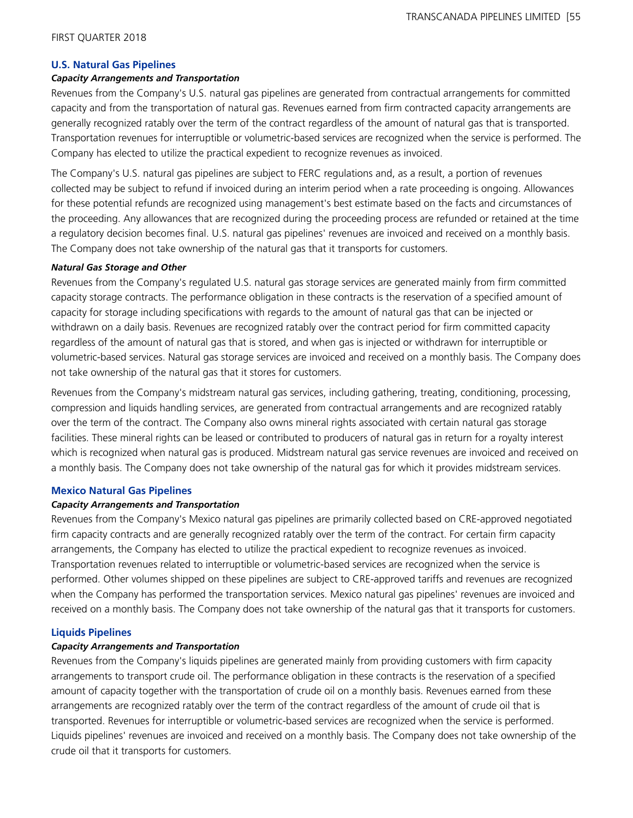#### **U.S. Natural Gas Pipelines**

#### *Capacity Arrangements and Transportation*

Revenues from the Company's U.S. natural gas pipelines are generated from contractual arrangements for committed capacity and from the transportation of natural gas. Revenues earned from firm contracted capacity arrangements are generally recognized ratably over the term of the contract regardless of the amount of natural gas that is transported. Transportation revenues for interruptible or volumetric-based services are recognized when the service is performed. The Company has elected to utilize the practical expedient to recognize revenues as invoiced.

The Company's U.S. natural gas pipelines are subject to FERC regulations and, as a result, a portion of revenues collected may be subject to refund if invoiced during an interim period when a rate proceeding is ongoing. Allowances for these potential refunds are recognized using management's best estimate based on the facts and circumstances of the proceeding. Any allowances that are recognized during the proceeding process are refunded or retained at the time a regulatory decision becomes final. U.S. natural gas pipelines' revenues are invoiced and received on a monthly basis. The Company does not take ownership of the natural gas that it transports for customers.

#### *Natural Gas Storage and Other*

Revenues from the Company's regulated U.S. natural gas storage services are generated mainly from firm committed capacity storage contracts. The performance obligation in these contracts is the reservation of a specified amount of capacity for storage including specifications with regards to the amount of natural gas that can be injected or withdrawn on a daily basis. Revenues are recognized ratably over the contract period for firm committed capacity regardless of the amount of natural gas that is stored, and when gas is injected or withdrawn for interruptible or volumetric-based services. Natural gas storage services are invoiced and received on a monthly basis. The Company does not take ownership of the natural gas that it stores for customers.

Revenues from the Company's midstream natural gas services, including gathering, treating, conditioning, processing, compression and liquids handling services, are generated from contractual arrangements and are recognized ratably over the term of the contract. The Company also owns mineral rights associated with certain natural gas storage facilities. These mineral rights can be leased or contributed to producers of natural gas in return for a royalty interest which is recognized when natural gas is produced. Midstream natural gas service revenues are invoiced and received on a monthly basis. The Company does not take ownership of the natural gas for which it provides midstream services.

#### **Mexico Natural Gas Pipelines**

#### *Capacity Arrangements and Transportation*

Revenues from the Company's Mexico natural gas pipelines are primarily collected based on CRE-approved negotiated firm capacity contracts and are generally recognized ratably over the term of the contract. For certain firm capacity arrangements, the Company has elected to utilize the practical expedient to recognize revenues as invoiced. Transportation revenues related to interruptible or volumetric-based services are recognized when the service is performed. Other volumes shipped on these pipelines are subject to CRE-approved tariffs and revenues are recognized when the Company has performed the transportation services. Mexico natural gas pipelines' revenues are invoiced and received on a monthly basis. The Company does not take ownership of the natural gas that it transports for customers.

#### **Liquids Pipelines**

## *Capacity Arrangements and Transportation*

Revenues from the Company's liquids pipelines are generated mainly from providing customers with firm capacity arrangements to transport crude oil. The performance obligation in these contracts is the reservation of a specified amount of capacity together with the transportation of crude oil on a monthly basis. Revenues earned from these arrangements are recognized ratably over the term of the contract regardless of the amount of crude oil that is transported. Revenues for interruptible or volumetric-based services are recognized when the service is performed. Liquids pipelines' revenues are invoiced and received on a monthly basis. The Company does not take ownership of the crude oil that it transports for customers.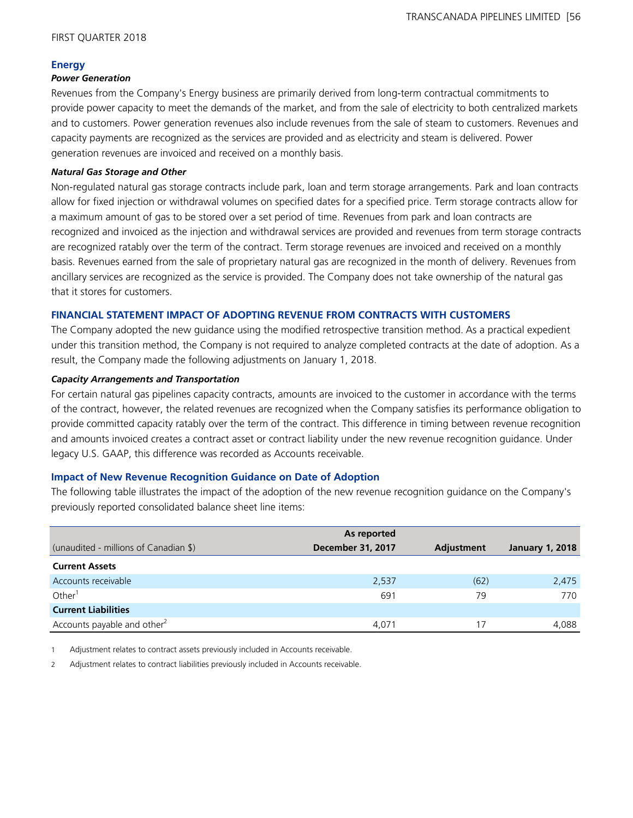#### **Energy**

#### *Power Generation*

Revenues from the Company's Energy business are primarily derived from long-term contractual commitments to provide power capacity to meet the demands of the market, and from the sale of electricity to both centralized markets and to customers. Power generation revenues also include revenues from the sale of steam to customers. Revenues and capacity payments are recognized as the services are provided and as electricity and steam is delivered. Power generation revenues are invoiced and received on a monthly basis.

#### *Natural Gas Storage and Other*

Non-regulated natural gas storage contracts include park, loan and term storage arrangements. Park and loan contracts allow for fixed injection or withdrawal volumes on specified dates for a specified price. Term storage contracts allow for a maximum amount of gas to be stored over a set period of time. Revenues from park and loan contracts are recognized and invoiced as the injection and withdrawal services are provided and revenues from term storage contracts are recognized ratably over the term of the contract. Term storage revenues are invoiced and received on a monthly basis. Revenues earned from the sale of proprietary natural gas are recognized in the month of delivery. Revenues from ancillary services are recognized as the service is provided. The Company does not take ownership of the natural gas that it stores for customers.

## **FINANCIAL STATEMENT IMPACT OF ADOPTING REVENUE FROM CONTRACTS WITH CUSTOMERS**

The Company adopted the new guidance using the modified retrospective transition method. As a practical expedient under this transition method, the Company is not required to analyze completed contracts at the date of adoption. As a result, the Company made the following adjustments on January 1, 2018.

#### *Capacity Arrangements and Transportation*

For certain natural gas pipelines capacity contracts, amounts are invoiced to the customer in accordance with the terms of the contract, however, the related revenues are recognized when the Company satisfies its performance obligation to provide committed capacity ratably over the term of the contract. This difference in timing between revenue recognition and amounts invoiced creates a contract asset or contract liability under the new revenue recognition guidance. Under legacy U.S. GAAP, this difference was recorded as Accounts receivable.

#### **Impact of New Revenue Recognition Guidance on Date of Adoption**

The following table illustrates the impact of the adoption of the new revenue recognition guidance on the Company's previously reported consolidated balance sheet line items:

|                                         | As reported              |            |                        |
|-----------------------------------------|--------------------------|------------|------------------------|
| (unaudited - millions of Canadian \$)   | <b>December 31, 2017</b> | Adjustment | <b>January 1, 2018</b> |
| <b>Current Assets</b>                   |                          |            |                        |
| Accounts receivable                     | 2,537                    | (62)       | 2,475                  |
| Other <sup>1</sup>                      | 691                      | 79         | 770                    |
| <b>Current Liabilities</b>              |                          |            |                        |
| Accounts payable and other <sup>2</sup> | 4.071                    | 17         | 4.088                  |

1 Adjustment relates to contract assets previously included in Accounts receivable.

2 Adjustment relates to contract liabilities previously included in Accounts receivable.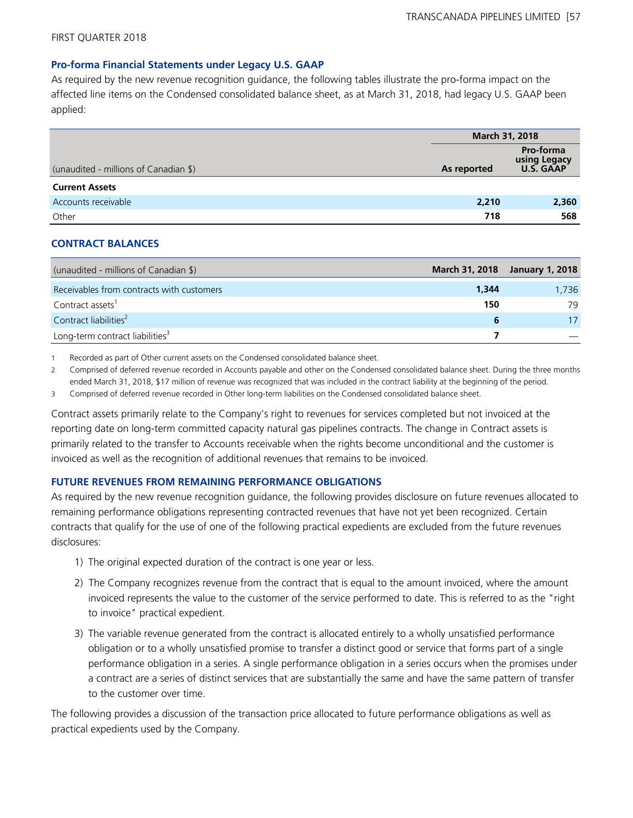#### **Pro-forma Financial Statements under Legacy U.S. GAAP**

As required by the new revenue recognition guidance, the following tables illustrate the pro-forma impact on the affected line items on the Condensed consolidated balance sheet, as at March 31, 2018, had legacy U.S. GAAP been applied:

|                                       | <b>March 31, 2018</b> |                                                      |
|---------------------------------------|-----------------------|------------------------------------------------------|
| (unaudited - millions of Canadian \$) | As reported           | <b>Pro-forma</b><br>using Legacy<br><b>U.S. GAAP</b> |
| <b>Current Assets</b>                 |                       |                                                      |
| Accounts receivable                   | 2,210                 | 2,360                                                |
| Other                                 | 718                   | 568                                                  |

#### **CONTRACT BALANCES**

| (unaudited - millions of Canadian \$)       |       | March 31, 2018 January 1, 2018 |
|---------------------------------------------|-------|--------------------------------|
| Receivables from contracts with customers   | 1,344 | 1.736                          |
| Contract assets <sup>1</sup>                | 150   | 79                             |
| Contract liabilities <sup>2</sup>           |       | 17                             |
| Long-term contract liabilities <sup>3</sup> |       |                                |

1 Recorded as part of Other current assets on the Condensed consolidated balance sheet.

2 Comprised of deferred revenue recorded in Accounts payable and other on the Condensed consolidated balance sheet. During the three months ended March 31, 2018, \$17 million of revenue was recognized that was included in the contract liability at the beginning of the period.

3 Comprised of deferred revenue recorded in Other long-term liabilities on the Condensed consolidated balance sheet.

Contract assets primarily relate to the Company's right to revenues for services completed but not invoiced at the reporting date on long-term committed capacity natural gas pipelines contracts. The change in Contract assets is primarily related to the transfer to Accounts receivable when the rights become unconditional and the customer is invoiced as well as the recognition of additional revenues that remains to be invoiced.

#### **FUTURE REVENUES FROM REMAINING PERFORMANCE OBLIGATIONS**

As required by the new revenue recognition guidance, the following provides disclosure on future revenues allocated to remaining performance obligations representing contracted revenues that have not yet been recognized. Certain contracts that qualify for the use of one of the following practical expedients are excluded from the future revenues disclosures:

- 1) The original expected duration of the contract is one year or less.
- 2) The Company recognizes revenue from the contract that is equal to the amount invoiced, where the amount invoiced represents the value to the customer of the service performed to date. This is referred to as the "right to invoice" practical expedient.
- 3) The variable revenue generated from the contract is allocated entirely to a wholly unsatisfied performance obligation or to a wholly unsatisfied promise to transfer a distinct good or service that forms part of a single performance obligation in a series. A single performance obligation in a series occurs when the promises under a contract are a series of distinct services that are substantially the same and have the same pattern of transfer to the customer over time.

The following provides a discussion of the transaction price allocated to future performance obligations as well as practical expedients used by the Company.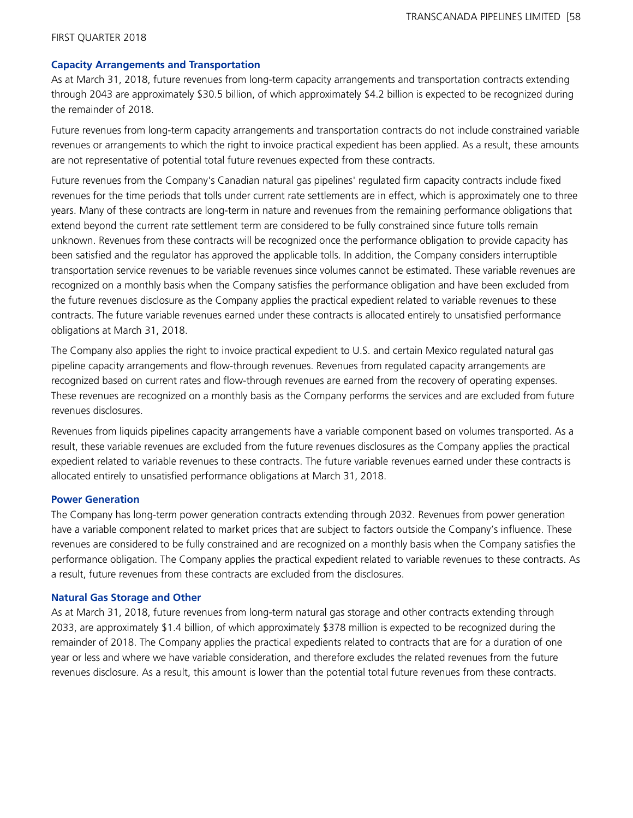#### **Capacity Arrangements and Transportation**

As at March 31, 2018, future revenues from long-term capacity arrangements and transportation contracts extending through 2043 are approximately \$30.5 billion, of which approximately \$4.2 billion is expected to be recognized during the remainder of 2018.

Future revenues from long-term capacity arrangements and transportation contracts do not include constrained variable revenues or arrangements to which the right to invoice practical expedient has been applied. As a result, these amounts are not representative of potential total future revenues expected from these contracts.

Future revenues from the Company's Canadian natural gas pipelines' regulated firm capacity contracts include fixed revenues for the time periods that tolls under current rate settlements are in effect, which is approximately one to three years. Many of these contracts are long-term in nature and revenues from the remaining performance obligations that extend beyond the current rate settlement term are considered to be fully constrained since future tolls remain unknown. Revenues from these contracts will be recognized once the performance obligation to provide capacity has been satisfied and the regulator has approved the applicable tolls. In addition, the Company considers interruptible transportation service revenues to be variable revenues since volumes cannot be estimated. These variable revenues are recognized on a monthly basis when the Company satisfies the performance obligation and have been excluded from the future revenues disclosure as the Company applies the practical expedient related to variable revenues to these contracts. The future variable revenues earned under these contracts is allocated entirely to unsatisfied performance obligations at March 31, 2018.

The Company also applies the right to invoice practical expedient to U.S. and certain Mexico regulated natural gas pipeline capacity arrangements and flow-through revenues. Revenues from regulated capacity arrangements are recognized based on current rates and flow-through revenues are earned from the recovery of operating expenses. These revenues are recognized on a monthly basis as the Company performs the services and are excluded from future revenues disclosures.

Revenues from liquids pipelines capacity arrangements have a variable component based on volumes transported. As a result, these variable revenues are excluded from the future revenues disclosures as the Company applies the practical expedient related to variable revenues to these contracts. The future variable revenues earned under these contracts is allocated entirely to unsatisfied performance obligations at March 31, 2018.

#### **Power Generation**

The Company has long-term power generation contracts extending through 2032. Revenues from power generation have a variable component related to market prices that are subject to factors outside the Company's influence. These revenues are considered to be fully constrained and are recognized on a monthly basis when the Company satisfies the performance obligation. The Company applies the practical expedient related to variable revenues to these contracts. As a result, future revenues from these contracts are excluded from the disclosures.

#### **Natural Gas Storage and Other**

As at March 31, 2018, future revenues from long-term natural gas storage and other contracts extending through 2033, are approximately \$1.4 billion, of which approximately \$378 million is expected to be recognized during the remainder of 2018. The Company applies the practical expedients related to contracts that are for a duration of one year or less and where we have variable consideration, and therefore excludes the related revenues from the future revenues disclosure. As a result, this amount is lower than the potential total future revenues from these contracts.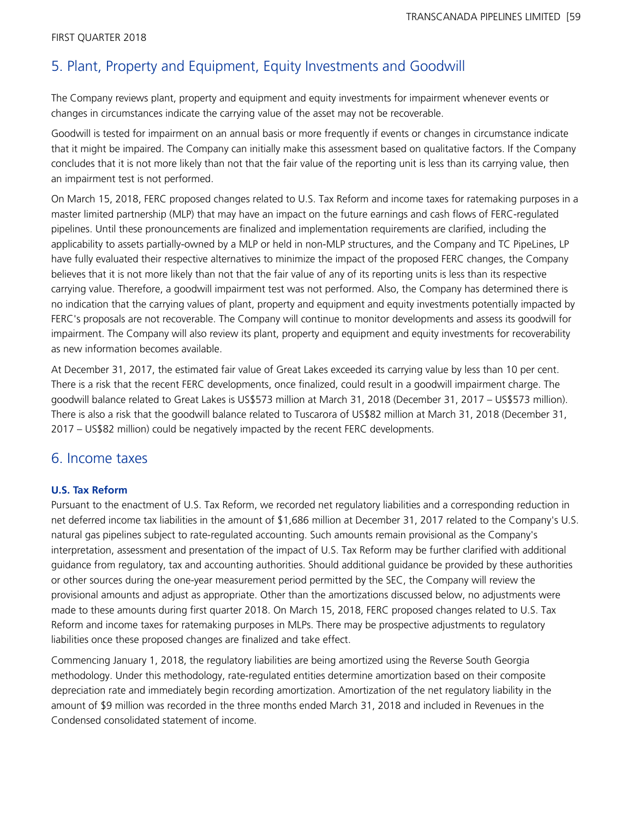# 5. Plant, Property and Equipment, Equity Investments and Goodwill

The Company reviews plant, property and equipment and equity investments for impairment whenever events or changes in circumstances indicate the carrying value of the asset may not be recoverable.

Goodwill is tested for impairment on an annual basis or more frequently if events or changes in circumstance indicate that it might be impaired. The Company can initially make this assessment based on qualitative factors. If the Company concludes that it is not more likely than not that the fair value of the reporting unit is less than its carrying value, then an impairment test is not performed.

On March 15, 2018, FERC proposed changes related to U.S. Tax Reform and income taxes for ratemaking purposes in a master limited partnership (MLP) that may have an impact on the future earnings and cash flows of FERC-regulated pipelines. Until these pronouncements are finalized and implementation requirements are clarified, including the applicability to assets partially-owned by a MLP or held in non-MLP structures, and the Company and TC PipeLines, LP have fully evaluated their respective alternatives to minimize the impact of the proposed FERC changes, the Company believes that it is not more likely than not that the fair value of any of its reporting units is less than its respective carrying value. Therefore, a goodwill impairment test was not performed. Also, the Company has determined there is no indication that the carrying values of plant, property and equipment and equity investments potentially impacted by FERC's proposals are not recoverable. The Company will continue to monitor developments and assess its goodwill for impairment. The Company will also review its plant, property and equipment and equity investments for recoverability as new information becomes available.

At December 31, 2017, the estimated fair value of Great Lakes exceeded its carrying value by less than 10 per cent. There is a risk that the recent FERC developments, once finalized, could result in a goodwill impairment charge. The goodwill balance related to Great Lakes is US\$573 million at March 31, 2018 (December 31, 2017 – US\$573 million). There is also a risk that the goodwill balance related to Tuscarora of US\$82 million at March 31, 2018 (December 31, 2017 – US\$82 million) could be negatively impacted by the recent FERC developments.

# 6. Income taxes

# **U.S. Tax Reform**

Pursuant to the enactment of U.S. Tax Reform, we recorded net regulatory liabilities and a corresponding reduction in net deferred income tax liabilities in the amount of \$1,686 million at December 31, 2017 related to the Company's U.S. natural gas pipelines subject to rate-regulated accounting. Such amounts remain provisional as the Company's interpretation, assessment and presentation of the impact of U.S. Tax Reform may be further clarified with additional guidance from regulatory, tax and accounting authorities. Should additional guidance be provided by these authorities or other sources during the one-year measurement period permitted by the SEC, the Company will review the provisional amounts and adjust as appropriate. Other than the amortizations discussed below, no adjustments were made to these amounts during first quarter 2018. On March 15, 2018, FERC proposed changes related to U.S. Tax Reform and income taxes for ratemaking purposes in MLPs. There may be prospective adjustments to regulatory liabilities once these proposed changes are finalized and take effect.

Commencing January 1, 2018, the regulatory liabilities are being amortized using the Reverse South Georgia methodology. Under this methodology, rate-regulated entities determine amortization based on their composite depreciation rate and immediately begin recording amortization. Amortization of the net regulatory liability in the amount of \$9 million was recorded in the three months ended March 31, 2018 and included in Revenues in the Condensed consolidated statement of income.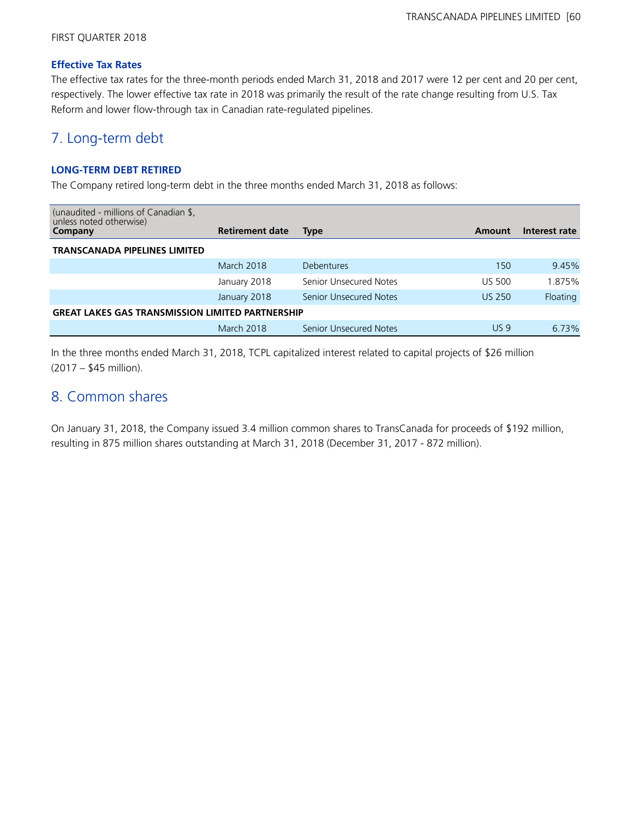#### **Effective Tax Rates**

The effective tax rates for the three-month periods ended March 31, 2018 and 2017 were 12 per cent and 20 per cent, respectively. The lower effective tax rate in 2018 was primarily the result of the rate change resulting from U.S. Tax Reform and lower flow-through tax in Canadian rate-regulated pipelines.

# 7. Long-term debt

# **LONG-TERM DEBT RETIRED**

The Company retired long-term debt in the three months ended March 31, 2018 as follows:

| (unaudited - millions of Canadian \$,<br>unless noted otherwise)<br>Company | <b>Retirement date</b> | <b>Type</b>                   | Amount          | Interest rate |
|-----------------------------------------------------------------------------|------------------------|-------------------------------|-----------------|---------------|
| <b>TRANSCANADA PIPELINES LIMITED</b>                                        |                        |                               |                 |               |
|                                                                             | March 2018             | <b>Debentures</b>             | 150             | 9.45%         |
|                                                                             | January 2018           | Senior Unsecured Notes        | <b>US 500</b>   | 1.875%        |
|                                                                             | January 2018           | <b>Senior Unsecured Notes</b> | <b>US 250</b>   | Floating      |
| <b>GREAT LAKES GAS TRANSMISSION LIMITED PARTNERSHIP</b>                     |                        |                               |                 |               |
|                                                                             | March 2018             | Senior Unsecured Notes        | US <sub>9</sub> | 6.73%         |

In the three months ended March 31, 2018, TCPL capitalized interest related to capital projects of \$26 million (2017 – \$45 million).

# 8. Common shares

On January 31, 2018, the Company issued 3.4 million common shares to TransCanada for proceeds of \$192 million, resulting in 875 million shares outstanding at March 31, 2018 (December 31, 2017 - 872 million).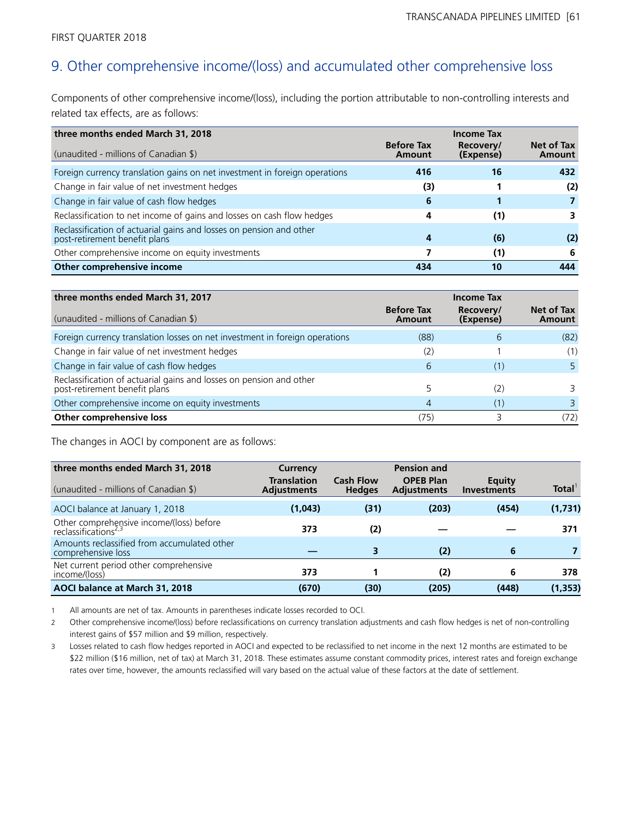# 9. Other comprehensive income/(loss) and accumulated other comprehensive loss

Components of other comprehensive income/(loss), including the portion attributable to non-controlling interests and related tax effects, are as follows:

| three months ended March 31, 2018                                                                    |                             | <b>Income Tax</b>      |                      |
|------------------------------------------------------------------------------------------------------|-----------------------------|------------------------|----------------------|
| (unaudited - millions of Canadian \$)                                                                | <b>Before Tax</b><br>Amount | Recovery/<br>(Expense) | Net of Tax<br>Amount |
| Foreign currency translation gains on net investment in foreign operations                           | 416                         | 16                     | 432                  |
| Change in fair value of net investment hedges                                                        | (3)                         |                        | (2)                  |
| Change in fair value of cash flow hedges                                                             | 6                           |                        |                      |
| Reclassification to net income of gains and losses on cash flow hedges                               | 4                           | (1)                    | 3                    |
| Reclassification of actuarial gains and losses on pension and other<br>post-retirement benefit plans | 4                           | (6)                    | (2)                  |
| Other comprehensive income on equity investments                                                     |                             | (1)                    | -6                   |
| Other comprehensive income                                                                           | 434                         | 10                     | 444                  |

| three months ended March 31, 2017                                                                 | <b>Income Tax</b>           |                        |                             |
|---------------------------------------------------------------------------------------------------|-----------------------------|------------------------|-----------------------------|
| (unaudited - millions of Canadian \$)                                                             | <b>Before Tax</b><br>Amount | Recovery/<br>(Expense) | Net of Tax<br><b>Amount</b> |
| Foreign currency translation losses on net investment in foreign operations                       | (88)                        | 6                      | (82)                        |
| Change in fair value of net investment hedges                                                     | (2)                         |                        | (1)                         |
| Change in fair value of cash flow hedges                                                          | 6                           | (1)                    |                             |
| Reclassification of actuarial gains and losses on pension and other post-retirement benefit plans |                             | (2)                    |                             |
| Other comprehensive income on equity investments                                                  | 4                           | (1)                    |                             |
| Other comprehensive loss                                                                          | (75)                        |                        | 72)                         |

The changes in AOCI by component are as follows:

| three months ended March 31, 2018<br>(unaudited - millions of Canadian \$)   | Currency<br><b>Translation</b><br><b>Adjustments</b> | <b>Cash Flow</b><br><b>Hedges</b> | <b>Pension and</b><br><b>OPEB Plan</b><br><b>Adjustments</b> | Equity<br><b>Investments</b> | Total <sup>1</sup> |
|------------------------------------------------------------------------------|------------------------------------------------------|-----------------------------------|--------------------------------------------------------------|------------------------------|--------------------|
| AOCI balance at January 1, 2018                                              | (1,043)                                              | (31)                              | (203)                                                        | (454)                        | (1,731)            |
| Other comprehensive income/(loss) before<br>reclassifications <sup>2,3</sup> | 373                                                  | (2)                               |                                                              |                              | 371                |
| Amounts reclassified from accumulated other<br>comprehensive loss            |                                                      | 3                                 | (2)                                                          | 6                            |                    |
| Net current period other comprehensive<br>income/(loss)                      | 373                                                  |                                   | (2)                                                          | 6                            | 378                |
| AOCI balance at March 31, 2018                                               | (670)                                                | (30)                              | (205)                                                        | (448)                        | (1, 353)           |

1 All amounts are net of tax. Amounts in parentheses indicate losses recorded to OCI.

2 Other comprehensive income/(loss) before reclassifications on currency translation adjustments and cash flow hedges is net of non-controlling interest gains of \$57 million and \$9 million, respectively.

3 Losses related to cash flow hedges reported in AOCI and expected to be reclassified to net income in the next 12 months are estimated to be \$22 million (\$16 million, net of tax) at March 31, 2018. These estimates assume constant commodity prices, interest rates and foreign exchange rates over time, however, the amounts reclassified will vary based on the actual value of these factors at the date of settlement.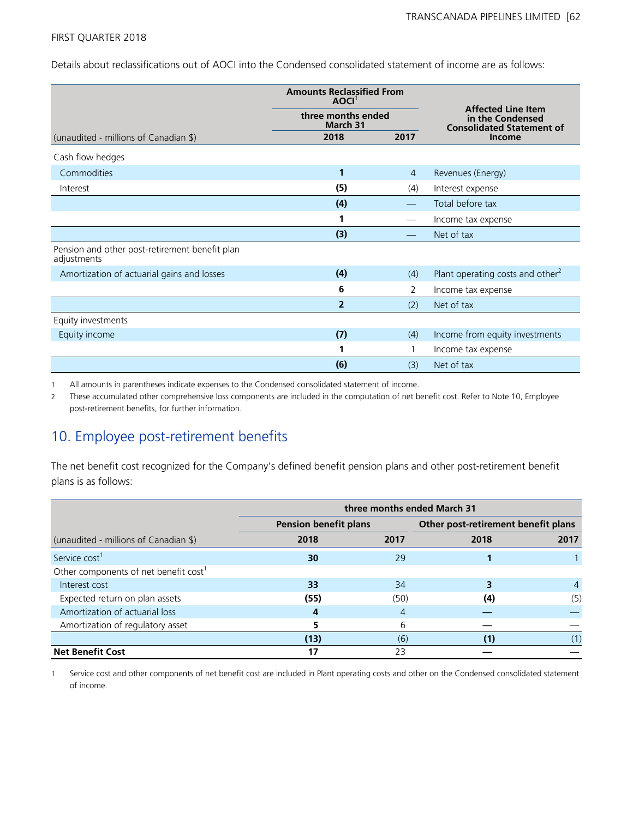Details about reclassifications out of AOCI into the Condensed consolidated statement of income are as follows:

|                                                               | <b>Amounts Reclassified From</b><br><b>AOCI</b> |                |                                                                                   |  |  |
|---------------------------------------------------------------|-------------------------------------------------|----------------|-----------------------------------------------------------------------------------|--|--|
|                                                               | three months ended<br>March 31                  |                | <b>Affected Line Item</b><br>in the Condensed<br><b>Consolidated Statement of</b> |  |  |
| (unaudited - millions of Canadian \$)                         | 2018                                            | 2017           | Income                                                                            |  |  |
| Cash flow hedges                                              |                                                 |                |                                                                                   |  |  |
| Commodities                                                   | 1                                               | $\overline{4}$ | Revenues (Energy)                                                                 |  |  |
| Interest                                                      | (5)                                             | (4)            | Interest expense                                                                  |  |  |
|                                                               | (4)                                             |                | Total before tax                                                                  |  |  |
|                                                               | 1                                               |                | Income tax expense                                                                |  |  |
|                                                               | (3)                                             |                | Net of tax                                                                        |  |  |
| Pension and other post-retirement benefit plan<br>adjustments |                                                 |                |                                                                                   |  |  |
| Amortization of actuarial gains and losses                    | (4)                                             | (4)            | Plant operating costs and other <sup>2</sup>                                      |  |  |
|                                                               | 6                                               | 2              | Income tax expense                                                                |  |  |
|                                                               | $\overline{2}$                                  | (2)            | Net of tax                                                                        |  |  |
| Equity investments                                            |                                                 |                |                                                                                   |  |  |
| Equity income                                                 | (7)                                             | (4)            | Income from equity investments                                                    |  |  |
|                                                               | 1                                               | 1              | Income tax expense                                                                |  |  |
|                                                               | (6)                                             | (3)            | Net of tax                                                                        |  |  |

1 All amounts in parentheses indicate expenses to the Condensed consolidated statement of income.

2 These accumulated other comprehensive loss components are included in the computation of net benefit cost. Refer to Note 10, Employee post-retirement benefits, for further information.

# 10. Employee post-retirement benefits

The net benefit cost recognized for the Company's defined benefit pension plans and other post-retirement benefit plans is as follows:

|                                                   | three months ended March 31  |      |                                     |      |  |
|---------------------------------------------------|------------------------------|------|-------------------------------------|------|--|
|                                                   | <b>Pension benefit plans</b> |      | Other post-retirement benefit plans |      |  |
| (unaudited - millions of Canadian \$)             | 2018                         | 2017 | 2018                                | 2017 |  |
| Service cost <sup>1</sup>                         | 30                           | 29   |                                     |      |  |
| Other components of net benefit cost <sup>1</sup> |                              |      |                                     |      |  |
| Interest cost                                     | 33                           | 34   |                                     | 4    |  |
| Expected return on plan assets                    | (55)                         | (50) | (4)                                 | (5)  |  |
| Amortization of actuarial loss                    | 4                            | 4    |                                     |      |  |
| Amortization of regulatory asset                  |                              | 6    |                                     |      |  |
|                                                   | (13)                         | (6)  | (1)                                 | (1)  |  |
| <b>Net Benefit Cost</b>                           | 17                           | 23   |                                     |      |  |

1 Service cost and other components of net benefit cost are included in Plant operating costs and other on the Condensed consolidated statement of income.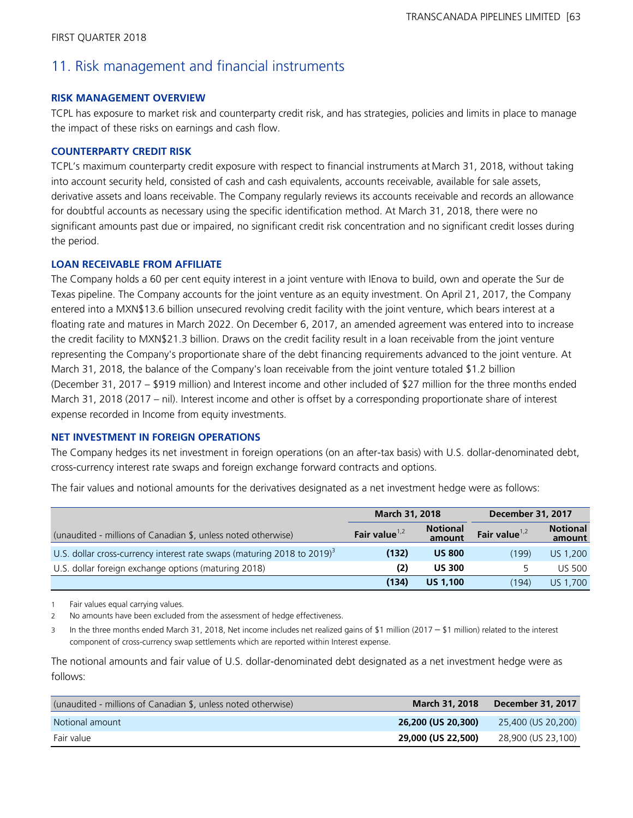# 11. Risk management and financial instruments

## **RISK MANAGEMENT OVERVIEW**

TCPL has exposure to market risk and counterparty credit risk, and has strategies, policies and limits in place to manage the impact of these risks on earnings and cash flow.

## **COUNTERPARTY CREDIT RISK**

TCPL's maximum counterparty credit exposure with respect to financial instruments at March 31, 2018, without taking into account security held, consisted of cash and cash equivalents, accounts receivable, available for sale assets, derivative assets and loans receivable. The Company regularly reviews its accounts receivable and records an allowance for doubtful accounts as necessary using the specific identification method. At March 31, 2018, there were no significant amounts past due or impaired, no significant credit risk concentration and no significant credit losses during the period.

## **LOAN RECEIVABLE FROM AFFILIATE**

The Company holds a 60 per cent equity interest in a joint venture with IEnova to build, own and operate the Sur de Texas pipeline. The Company accounts for the joint venture as an equity investment. On April 21, 2017, the Company entered into a MXN\$13.6 billion unsecured revolving credit facility with the joint venture, which bears interest at a floating rate and matures in March 2022. On December 6, 2017, an amended agreement was entered into to increase the credit facility to MXN\$21.3 billion. Draws on the credit facility result in a loan receivable from the joint venture representing the Company's proportionate share of the debt financing requirements advanced to the joint venture. At March 31, 2018, the balance of the Company's loan receivable from the joint venture totaled \$1.2 billion (December 31, 2017 – \$919 million) and Interest income and other included of \$27 million for the three months ended March 31, 2018 (2017 – nil). Interest income and other is offset by a corresponding proportionate share of interest expense recorded in Income from equity investments.

# **NET INVESTMENT IN FOREIGN OPERATIONS**

The Company hedges its net investment in foreign operations (on an after-tax basis) with U.S. dollar-denominated debt, cross-currency interest rate swaps and foreign exchange forward contracts and options.

The fair values and notional amounts for the derivatives designated as a net investment hedge were as follows:

|                                                                                     | <b>March 31, 2018</b> |                           | <b>December 31, 2017</b> |                           |
|-------------------------------------------------------------------------------------|-----------------------|---------------------------|--------------------------|---------------------------|
| (unaudited - millions of Canadian \$, unless noted otherwise)                       | Fair value $1,2$      | <b>Notional</b><br>amount | Fair value $1,2$         | <b>Notional</b><br>amount |
| U.S. dollar cross-currency interest rate swaps (maturing 2018 to 2019) <sup>3</sup> | (132)                 | <b>US 800</b>             | (199)                    | US 1,200                  |
| U.S. dollar foreign exchange options (maturing 2018)                                | (2)                   | <b>US 300</b>             | 5.                       | <b>US 500</b>             |
|                                                                                     | (134)                 | <b>US 1,100</b>           | (194)                    | US 1,700                  |

1 Fair values equal carrying values.

2 No amounts have been excluded from the assessment of hedge effectiveness.

<sup>3</sup> In the three months ended March 31, 2018, Net income includes net realized gains of \$1 million (2017 – \$1 million) related to the interest component of cross-currency swap settlements which are reported within Interest expense.

The notional amounts and fair value of U.S. dollar-denominated debt designated as a net investment hedge were as follows:

| (unaudited - millions of Canadian \$, unless noted otherwise) | <b>March 31, 2018</b> | December 31, 2017  |
|---------------------------------------------------------------|-----------------------|--------------------|
| Notional amount                                               | 26,200 (US 20,300)    | 25,400 (US 20,200) |
| Fair value                                                    | 29,000 (US 22,500)    | 28,900 (US 23,100) |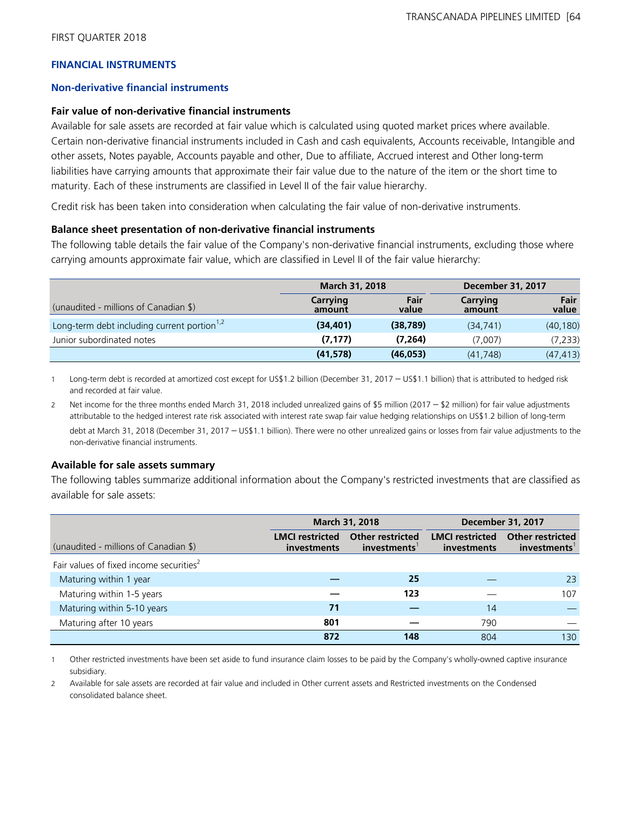# **FINANCIAL INSTRUMENTS**

## **Non-derivative financial instruments**

## **Fair value of non-derivative financial instruments**

Available for sale assets are recorded at fair value which is calculated using quoted market prices where available. Certain non-derivative financial instruments included in Cash and cash equivalents, Accounts receivable, Intangible and other assets, Notes payable, Accounts payable and other, Due to affiliate, Accrued interest and Other long-term liabilities have carrying amounts that approximate their fair value due to the nature of the item or the short time to maturity. Each of these instruments are classified in Level II of the fair value hierarchy.

Credit risk has been taken into consideration when calculating the fair value of non-derivative instruments.

## **Balance sheet presentation of non-derivative financial instruments**

The following table details the fair value of the Company's non-derivative financial instruments, excluding those where carrying amounts approximate fair value, which are classified in Level II of the fair value hierarchy:

|                                                         | March 31, 2018     |               | <b>December 31, 2017</b> |               |
|---------------------------------------------------------|--------------------|---------------|--------------------------|---------------|
| (unaudited - millions of Canadian \$)                   | Carrying<br>amount | Fair<br>value | Carrying<br>amount       | Fair<br>value |
| Long-term debt including current portion <sup>1,2</sup> | (34, 401)          | (38, 789)     | (34, 741)                | (40, 180)     |
| Junior subordinated notes                               | (7, 177)           | (7,264)       | (7.007)                  | (7, 233)      |
|                                                         | (41, 578)          | (46, 053)     | (41, 748)                | (47, 413)     |

<sup>1</sup> Long-term debt is recorded at amortized cost except for US\$1.2 billion (December 31, 2017 – US\$1.1 billion) that is attributed to hedged risk and recorded at fair value.

2 Net income for the three months ended March 31, 2018 included unrealized gains of \$5 million (2017 – \$2 million) for fair value adjustments attributable to the hedged interest rate risk associated with interest rate swap fair value hedging relationships on US\$1.2 billion of long-term debt at March 31, 2018 (December 31, 2017 – US\$1.1 billion). There were no other unrealized gains or losses from fair value adjustments to the non-derivative financial instruments.

#### **Available for sale assets summary**

The following tables summarize additional information about the Company's restricted investments that are classified as available for sale assets:

|                                                     |                                       | March 31, 2018                         | <b>December 31, 2017</b>                     |                                        |  |  |
|-----------------------------------------------------|---------------------------------------|----------------------------------------|----------------------------------------------|----------------------------------------|--|--|
| (unaudited - millions of Canadian \$)               | <b>LMCI</b> restricted<br>investments | <b>Other restricted</b><br>investments | <b>LMCI</b> restricted<br><i>investments</i> | <b>Other restricted</b><br>investments |  |  |
| Fair values of fixed income securities <sup>2</sup> |                                       |                                        |                                              |                                        |  |  |
| Maturing within 1 year                              |                                       | 25                                     |                                              | 23                                     |  |  |
| Maturing within 1-5 years                           |                                       | 123                                    |                                              | 107                                    |  |  |
| Maturing within 5-10 years                          | 71                                    |                                        | 14                                           |                                        |  |  |
| Maturing after 10 years                             | 801                                   |                                        | 790                                          |                                        |  |  |
|                                                     | 872                                   | 148                                    | 804                                          | 130                                    |  |  |

1 Other restricted investments have been set aside to fund insurance claim losses to be paid by the Company's wholly-owned captive insurance subsidiary.

2 Available for sale assets are recorded at fair value and included in Other current assets and Restricted investments on the Condensed consolidated balance sheet.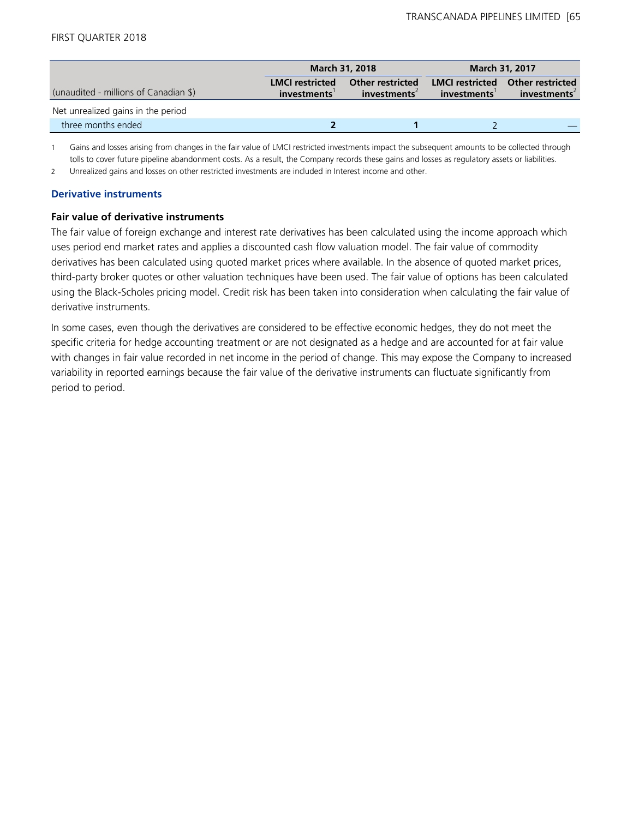|                                       |                                       | <b>March 31, 2018</b>                               | <b>March 31, 2017</b>                  |                                                     |  |
|---------------------------------------|---------------------------------------|-----------------------------------------------------|----------------------------------------|-----------------------------------------------------|--|
| (unaudited - millions of Canadian \$) | <b>LMCI</b> restricted<br>investments | <b>Other restricted</b><br>investments <sup>2</sup> | <b>LMCI</b> restricted<br>investments' | <b>Other restricted</b><br>investments <sup>2</sup> |  |
| Net unrealized gains in the period    |                                       |                                                     |                                        |                                                     |  |
| three months ended                    |                                       |                                                     |                                        |                                                     |  |

1 Gains and losses arising from changes in the fair value of LMCI restricted investments impact the subsequent amounts to be collected through tolls to cover future pipeline abandonment costs. As a result, the Company records these gains and losses as regulatory assets or liabilities.

2 Unrealized gains and losses on other restricted investments are included in Interest income and other.

## **Derivative instruments**

# **Fair value of derivative instruments**

The fair value of foreign exchange and interest rate derivatives has been calculated using the income approach which uses period end market rates and applies a discounted cash flow valuation model. The fair value of commodity derivatives has been calculated using quoted market prices where available. In the absence of quoted market prices, third-party broker quotes or other valuation techniques have been used. The fair value of options has been calculated using the Black-Scholes pricing model. Credit risk has been taken into consideration when calculating the fair value of derivative instruments.

In some cases, even though the derivatives are considered to be effective economic hedges, they do not meet the specific criteria for hedge accounting treatment or are not designated as a hedge and are accounted for at fair value with changes in fair value recorded in net income in the period of change. This may expose the Company to increased variability in reported earnings because the fair value of the derivative instruments can fluctuate significantly from period to period.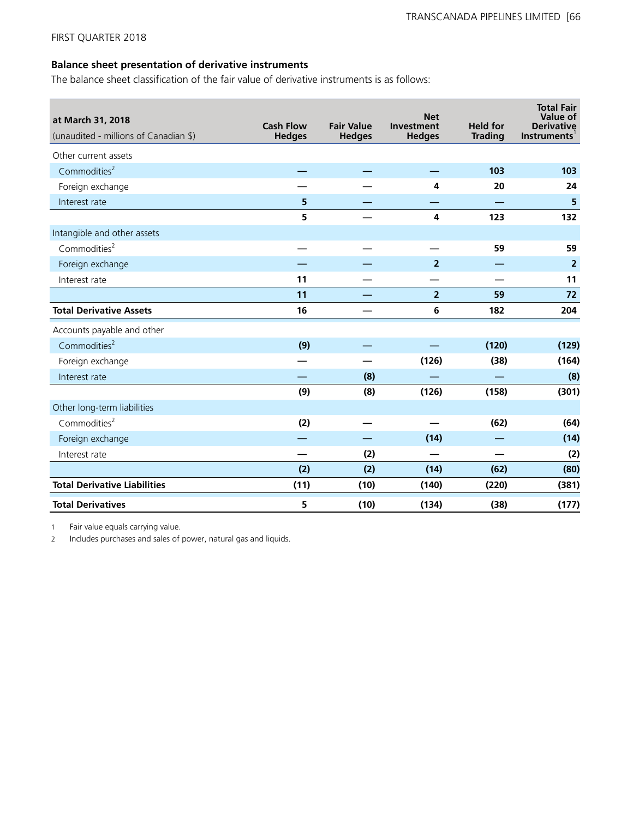# **Balance sheet presentation of derivative instruments**

The balance sheet classification of the fair value of derivative instruments is as follows:

| at March 31, 2018<br>(unaudited - millions of Canadian \$) | <b>Cash Flow</b><br><b>Hedges</b> | <b>Fair Value</b><br><b>Hedges</b> | <b>Net</b><br>Investment<br><b>Hedges</b> | <b>Held for</b><br><b>Trading</b> | <b>Total Fair</b><br>Value of<br><b>Derivative</b><br>Instruments |
|------------------------------------------------------------|-----------------------------------|------------------------------------|-------------------------------------------|-----------------------------------|-------------------------------------------------------------------|
| Other current assets                                       |                                   |                                    |                                           |                                   |                                                                   |
| Commodities <sup>2</sup>                                   |                                   |                                    |                                           | 103                               | 103                                                               |
| Foreign exchange                                           |                                   |                                    | 4                                         | 20                                | 24                                                                |
| Interest rate                                              | 5                                 |                                    |                                           |                                   | 5                                                                 |
|                                                            | 5                                 |                                    | 4                                         | 123                               | 132                                                               |
| Intangible and other assets                                |                                   |                                    |                                           |                                   |                                                                   |
| Commodities $2$                                            |                                   |                                    |                                           | 59                                | 59                                                                |
| Foreign exchange                                           |                                   |                                    | $\overline{2}$                            |                                   | $\overline{2}$                                                    |
| Interest rate                                              | 11                                |                                    |                                           |                                   | 11                                                                |
|                                                            | 11                                |                                    | $\overline{2}$                            | 59                                | 72                                                                |
| <b>Total Derivative Assets</b>                             | 16                                |                                    | $\bf 6$                                   | 182                               | 204                                                               |
| Accounts payable and other                                 |                                   |                                    |                                           |                                   |                                                                   |
| Commodities <sup>2</sup>                                   | (9)                               |                                    |                                           | (120)                             | (129)                                                             |
| Foreign exchange                                           |                                   |                                    | (126)                                     | (38)                              | (164)                                                             |
| Interest rate                                              |                                   | (8)                                |                                           |                                   | (8)                                                               |
|                                                            | (9)                               | (8)                                | (126)                                     | (158)                             | (301)                                                             |
| Other long-term liabilities                                |                                   |                                    |                                           |                                   |                                                                   |
| Commodities <sup>2</sup>                                   | (2)                               |                                    |                                           | (62)                              | (64)                                                              |
| Foreign exchange                                           |                                   |                                    | (14)                                      |                                   | (14)                                                              |
| Interest rate                                              |                                   | (2)                                |                                           |                                   | (2)                                                               |
|                                                            | (2)                               | (2)                                | (14)                                      | (62)                              | (80)                                                              |
| <b>Total Derivative Liabilities</b>                        | (11)                              | (10)                               | (140)                                     | (220)                             | (381)                                                             |
| <b>Total Derivatives</b>                                   | 5                                 | (10)                               | (134)                                     | (38)                              | (177)                                                             |

1 Fair value equals carrying value.

2 Includes purchases and sales of power, natural gas and liquids.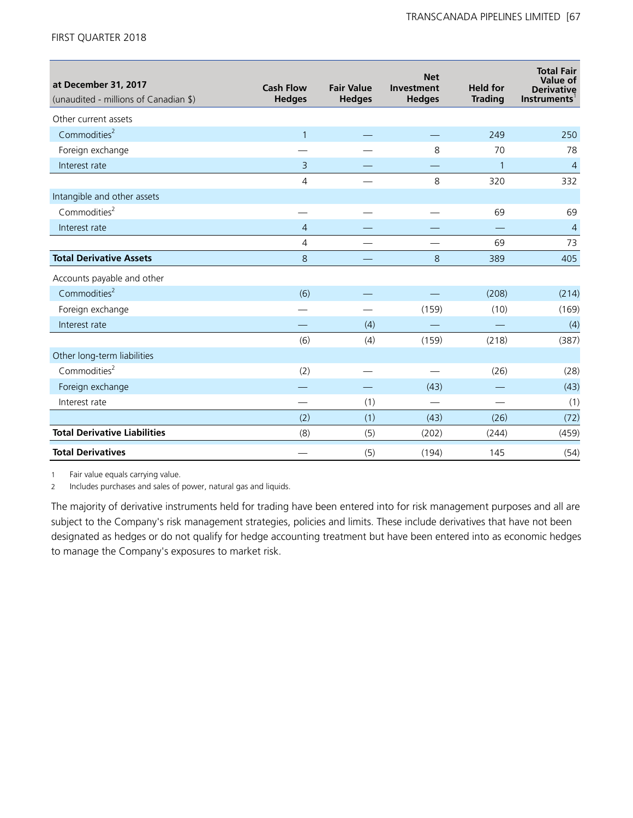| at December 31, 2017<br>(unaudited - millions of Canadian \$) | <b>Cash Flow</b><br><b>Hedges</b> | <b>Fair Value</b><br><b>Hedges</b> | <b>Net</b><br>Investment<br><b>Hedges</b> | <b>Held for</b><br><b>Trading</b> | <b>Total Fair</b><br>Value of<br><b>Derivative</b><br><b>Instruments</b> |
|---------------------------------------------------------------|-----------------------------------|------------------------------------|-------------------------------------------|-----------------------------------|--------------------------------------------------------------------------|
| Other current assets                                          |                                   |                                    |                                           |                                   |                                                                          |
| Commodities <sup>2</sup>                                      | $\mathbf{1}$                      |                                    |                                           | 249                               | 250                                                                      |
| Foreign exchange                                              |                                   |                                    | 8                                         | 70                                | 78                                                                       |
| Interest rate                                                 | 3                                 |                                    |                                           | $\mathbf{1}$                      | $\overline{4}$                                                           |
|                                                               | 4                                 |                                    | 8                                         | 320                               | 332                                                                      |
| Intangible and other assets                                   |                                   |                                    |                                           |                                   |                                                                          |
| Commodities <sup>2</sup>                                      |                                   |                                    |                                           | 69                                | 69                                                                       |
| Interest rate                                                 | 4                                 |                                    |                                           |                                   | $\overline{4}$                                                           |
|                                                               | 4                                 |                                    |                                           | 69                                | 73                                                                       |
| <b>Total Derivative Assets</b>                                | 8                                 |                                    | 8                                         | 389                               | 405                                                                      |
| Accounts payable and other                                    |                                   |                                    |                                           |                                   |                                                                          |
| Commodities <sup>2</sup>                                      | (6)                               |                                    |                                           | (208)                             | (214)                                                                    |
| Foreign exchange                                              |                                   |                                    | (159)                                     | (10)                              | (169)                                                                    |
| Interest rate                                                 |                                   | (4)                                |                                           |                                   | (4)                                                                      |
|                                                               | (6)                               | (4)                                | (159)                                     | (218)                             | (387)                                                                    |
| Other long-term liabilities                                   |                                   |                                    |                                           |                                   |                                                                          |
| Commodities <sup>2</sup>                                      | (2)                               |                                    |                                           | (26)                              | (28)                                                                     |
| Foreign exchange                                              |                                   |                                    | (43)                                      |                                   | (43)                                                                     |
| Interest rate                                                 |                                   | (1)                                |                                           | $\overline{\phantom{0}}$          | (1)                                                                      |
|                                                               | (2)                               | (1)                                | (43)                                      | (26)                              | (72)                                                                     |
| <b>Total Derivative Liabilities</b>                           | (8)                               | (5)                                | (202)                                     | (244)                             | (459)                                                                    |
| <b>Total Derivatives</b>                                      |                                   | (5)                                | (194)                                     | 145                               | (54)                                                                     |

1 Fair value equals carrying value.

2 Includes purchases and sales of power, natural gas and liquids.

The majority of derivative instruments held for trading have been entered into for risk management purposes and all are subject to the Company's risk management strategies, policies and limits. These include derivatives that have not been designated as hedges or do not qualify for hedge accounting treatment but have been entered into as economic hedges to manage the Company's exposures to market risk.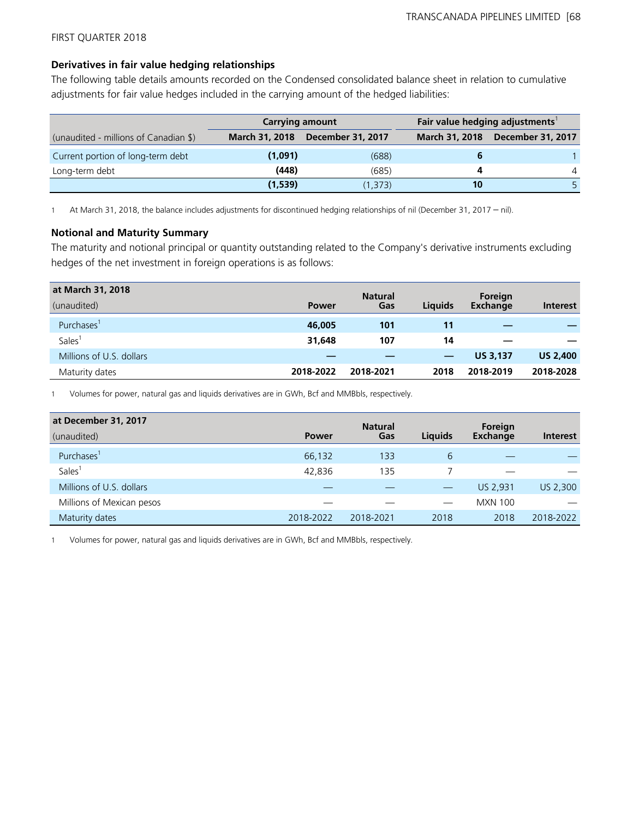# **Derivatives in fair value hedging relationships**

The following table details amounts recorded on the Condensed consolidated balance sheet in relation to cumulative adjustments for fair value hedges included in the carrying amount of the hedged liabilities:

|                                       | <b>Carrying amount</b> |                          | Fair value hedging adjustments <sup>1</sup> |                          |
|---------------------------------------|------------------------|--------------------------|---------------------------------------------|--------------------------|
| (unaudited - millions of Canadian \$) | <b>March 31, 2018</b>  | <b>December 31, 2017</b> | <b>March 31, 2018</b>                       | <b>December 31, 2017</b> |
| Current portion of long-term debt     | (1,091)                | (688)                    |                                             |                          |
| Long-term debt                        | (448)                  | (685)                    |                                             |                          |
|                                       | (1,539)                | (1, 373)                 | 10                                          |                          |

<sup>1</sup> At March 31, 2018, the balance includes adjustments for discontinued hedging relationships of nil (December 31, 2017 – nil).

# **Notional and Maturity Summary**

The maturity and notional principal or quantity outstanding related to the Company's derivative instruments excluding hedges of the net investment in foreign operations is as follows:

| at March 31, 2018        |              | <b>Natural</b> |                | Foreign         |                 |
|--------------------------|--------------|----------------|----------------|-----------------|-----------------|
| (unaudited)              | <b>Power</b> | Gas            | <b>Liquids</b> | <b>Exchange</b> | <b>Interest</b> |
| Purchases <sup>1</sup>   | 46,005       | 101            | 11             |                 |                 |
| Sales <sup>1</sup>       | 31,648       | 107            | 14             |                 |                 |
| Millions of U.S. dollars |              |                |                | <b>US 3.137</b> | <b>US 2,400</b> |
| Maturity dates           | 2018-2022    | 2018-2021      | 2018           | 2018-2019       | 2018-2028       |

1 Volumes for power, natural gas and liquids derivatives are in GWh, Bcf and MMBbls, respectively.

| at December 31, 2017      |              | <b>Natural</b> |                | Foreign         |                 |
|---------------------------|--------------|----------------|----------------|-----------------|-----------------|
| (unaudited)               | <b>Power</b> | Gas            | <b>Liquids</b> | <b>Exchange</b> | <b>Interest</b> |
| Purchases <sup>1</sup>    | 66,132       | 133            | 6              |                 |                 |
| Sales <sup>1</sup>        | 42.836       | 135            |                |                 |                 |
| Millions of U.S. dollars  |              |                |                | US 2,931        | US 2,300        |
| Millions of Mexican pesos |              |                |                | <b>MXN 100</b>  |                 |
| Maturity dates            | 2018-2022    | 2018-2021      | 2018           | 2018            | 2018-2022       |

1 Volumes for power, natural gas and liquids derivatives are in GWh, Bcf and MMBbls, respectively.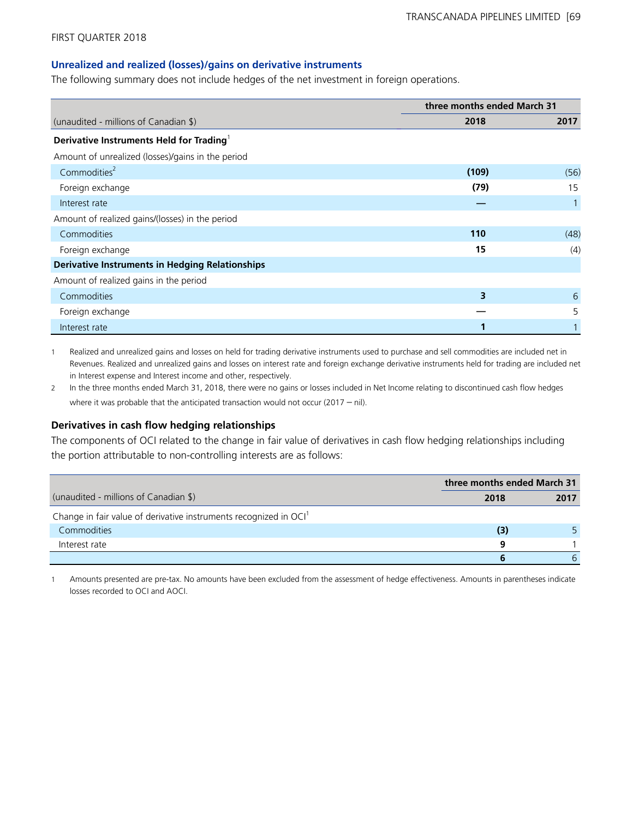#### **Unrealized and realized (losses)/gains on derivative instruments**

The following summary does not include hedges of the net investment in foreign operations.

|                                                        | three months ended March 31 |      |
|--------------------------------------------------------|-----------------------------|------|
| (unaudited - millions of Canadian \$)                  | 2018                        | 2017 |
| Derivative Instruments Held for Trading <sup>1</sup>   |                             |      |
| Amount of unrealized (losses)/gains in the period      |                             |      |
| Commodities <sup>2</sup>                               | (109)                       | (56) |
| Foreign exchange                                       | (79)                        | 15   |
| Interest rate                                          |                             |      |
| Amount of realized gains/(losses) in the period        |                             |      |
| Commodities                                            | 110                         | (48) |
| Foreign exchange                                       | 15                          | (4)  |
| <b>Derivative Instruments in Hedging Relationships</b> |                             |      |
| Amount of realized gains in the period                 |                             |      |
| Commodities                                            | 3                           | 6    |
| Foreign exchange                                       |                             | 5    |
| Interest rate                                          |                             |      |

1 Realized and unrealized gains and losses on held for trading derivative instruments used to purchase and sell commodities are included net in Revenues. Realized and unrealized gains and losses on interest rate and foreign exchange derivative instruments held for trading are included net in Interest expense and Interest income and other, respectively.

2 In the three months ended March 31, 2018, there were no gains or losses included in Net Income relating to discontinued cash flow hedges where it was probable that the anticipated transaction would not occur (2017 – nil).

#### **Derivatives in cash flow hedging relationships**

The components of OCI related to the change in fair value of derivatives in cash flow hedging relationships including the portion attributable to non-controlling interests are as follows:

|                                                                               | three months ended March 31 |      |
|-------------------------------------------------------------------------------|-----------------------------|------|
| (unaudited - millions of Canadian \$)                                         | 2018                        | 2017 |
| Change in fair value of derivative instruments recognized in OCI <sup>1</sup> |                             |      |
| <b>Commodities</b>                                                            | (3)                         |      |
| Interest rate                                                                 | q                           |      |
|                                                                               | b                           | b    |

1 Amounts presented are pre-tax. No amounts have been excluded from the assessment of hedge effectiveness. Amounts in parentheses indicate losses recorded to OCI and AOCI.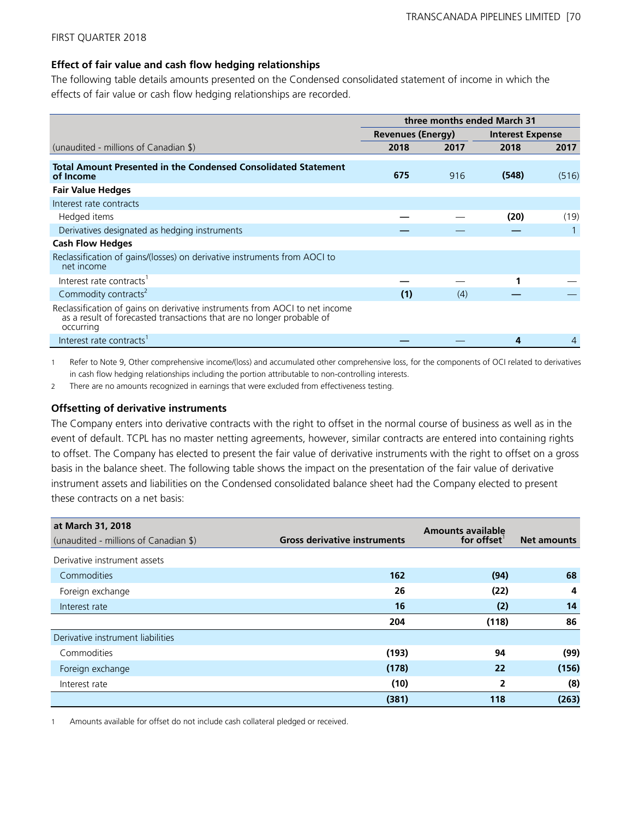## **Effect of fair value and cash flow hedging relationships**

The following table details amounts presented on the Condensed consolidated statement of income in which the effects of fair value or cash flow hedging relationships are recorded.

|                                                                                                                                                                   | three months ended March 31 |      |                         |       |
|-------------------------------------------------------------------------------------------------------------------------------------------------------------------|-----------------------------|------|-------------------------|-------|
|                                                                                                                                                                   | <b>Revenues (Energy)</b>    |      | <b>Interest Expense</b> |       |
| (unaudited - millions of Canadian \$)                                                                                                                             | 2018                        | 2017 | 2018                    | 2017  |
| <b>Total Amount Presented in the Condensed Consolidated Statement</b><br>of Income                                                                                | 675                         | 916  | (548)                   | (516) |
| <b>Fair Value Hedges</b>                                                                                                                                          |                             |      |                         |       |
| Interest rate contracts                                                                                                                                           |                             |      |                         |       |
| Hedged items                                                                                                                                                      |                             |      | (20)                    | (19)  |
| Derivatives designated as hedging instruments                                                                                                                     |                             |      |                         |       |
| <b>Cash Flow Hedges</b>                                                                                                                                           |                             |      |                         |       |
| Reclassification of gains/(losses) on derivative instruments from AOCI to<br>net income                                                                           |                             |      |                         |       |
| Interest rate contracts <sup>1</sup>                                                                                                                              |                             |      |                         |       |
| Commodity contracts <sup>2</sup>                                                                                                                                  | (1)                         | (4)  |                         |       |
| Reclassification of gains on derivative instruments from AOCI to net income<br>as a result of forecasted transactions that are no longer probable of<br>occurring |                             |      |                         |       |
| Interest rate contracts <sup>1</sup>                                                                                                                              |                             |      | 4                       | 4     |

1 Refer to Note 9, Other comprehensive income/(loss) and accumulated other comprehensive loss, for the components of OCI related to derivatives in cash flow hedging relationships including the portion attributable to non-controlling interests.

2 There are no amounts recognized in earnings that were excluded from effectiveness testing.

#### **Offsetting of derivative instruments**

The Company enters into derivative contracts with the right to offset in the normal course of business as well as in the event of default. TCPL has no master netting agreements, however, similar contracts are entered into containing rights to offset. The Company has elected to present the fair value of derivative instruments with the right to offset on a gross basis in the balance sheet. The following table shows the impact on the presentation of the fair value of derivative instrument assets and liabilities on the Condensed consolidated balance sheet had the Company elected to present these contracts on a net basis:

| at March 31, 2018<br>(unaudited - millions of Canadian \$) | <b>Gross derivative instruments</b> | <b>Amounts available</b><br>for offset | <b>Net amounts</b> |
|------------------------------------------------------------|-------------------------------------|----------------------------------------|--------------------|
|                                                            |                                     |                                        |                    |
| Derivative instrument assets                               |                                     |                                        |                    |
| Commodities                                                | 162                                 | (94)                                   | 68                 |
| Foreign exchange                                           | 26                                  | (22)                                   | 4                  |
| Interest rate                                              | 16                                  | (2)                                    | 14                 |
|                                                            | 204                                 | (118)                                  | 86                 |
| Derivative instrument liabilities                          |                                     |                                        |                    |
| Commodities                                                | (193)                               | 94                                     | (99)               |
| Foreign exchange                                           | (178)                               | 22                                     | (156)              |
| Interest rate                                              | (10)                                | $\overline{2}$                         | (8)                |
|                                                            | (381)                               | 118                                    | (263)              |

1 Amounts available for offset do not include cash collateral pledged or received.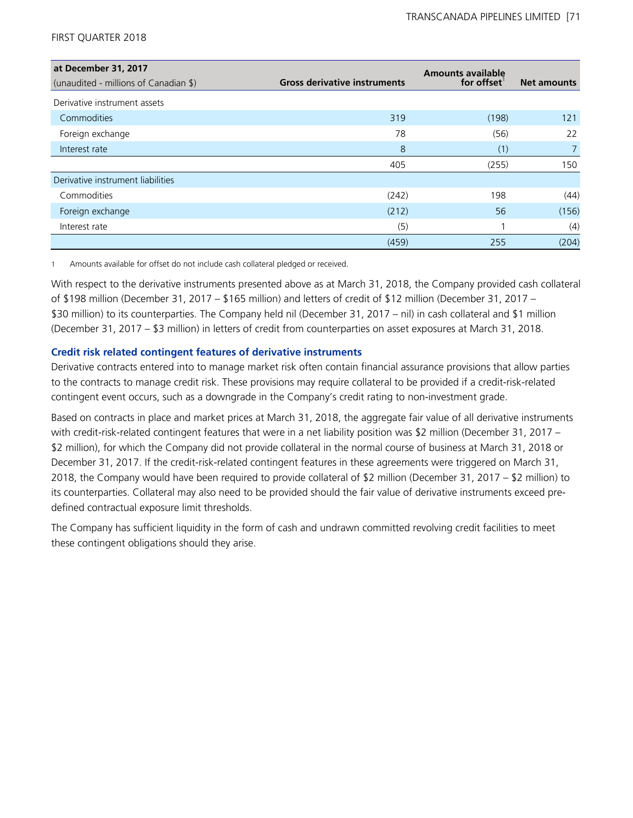| at December 31, 2017                  |                                     | <b>Amounts available</b> |                    |
|---------------------------------------|-------------------------------------|--------------------------|--------------------|
| (unaudited - millions of Canadian \$) | <b>Gross derivative instruments</b> | for offset               | <b>Net amounts</b> |
| Derivative instrument assets          |                                     |                          |                    |
| Commodities                           | 319                                 | (198)                    | 121                |
| Foreign exchange                      | 78                                  | (56)                     | 22                 |
| Interest rate                         | 8                                   | (1)                      |                    |
|                                       | 405                                 | (255)                    | 150                |
| Derivative instrument liabilities     |                                     |                          |                    |
| Commodities                           | (242)                               | 198                      | (44)               |
| Foreign exchange                      | (212)                               | 56                       | (156)              |
| Interest rate                         | (5)                                 |                          | (4)                |
|                                       | (459)                               | 255                      | (204)              |

1 Amounts available for offset do not include cash collateral pledged or received.

With respect to the derivative instruments presented above as at March 31, 2018, the Company provided cash collateral of \$198 million (December 31, 2017 – \$165 million) and letters of credit of \$12 million (December 31, 2017 – \$30 million) to its counterparties. The Company held nil (December 31, 2017 – nil) in cash collateral and \$1 million (December 31, 2017 – \$3 million) in letters of credit from counterparties on asset exposures at March 31, 2018.

# **Credit risk related contingent features of derivative instruments**

Derivative contracts entered into to manage market risk often contain financial assurance provisions that allow parties to the contracts to manage credit risk. These provisions may require collateral to be provided if a credit-risk-related contingent event occurs, such as a downgrade in the Company's credit rating to non-investment grade.

Based on contracts in place and market prices at March 31, 2018, the aggregate fair value of all derivative instruments with credit-risk-related contingent features that were in a net liability position was \$2 million (December 31, 2017 – \$2 million), for which the Company did not provide collateral in the normal course of business at March 31, 2018 or December 31, 2017. If the credit-risk-related contingent features in these agreements were triggered on March 31, 2018, the Company would have been required to provide collateral of \$2 million (December 31, 2017 – \$2 million) to its counterparties. Collateral may also need to be provided should the fair value of derivative instruments exceed predefined contractual exposure limit thresholds.

The Company has sufficient liquidity in the form of cash and undrawn committed revolving credit facilities to meet these contingent obligations should they arise.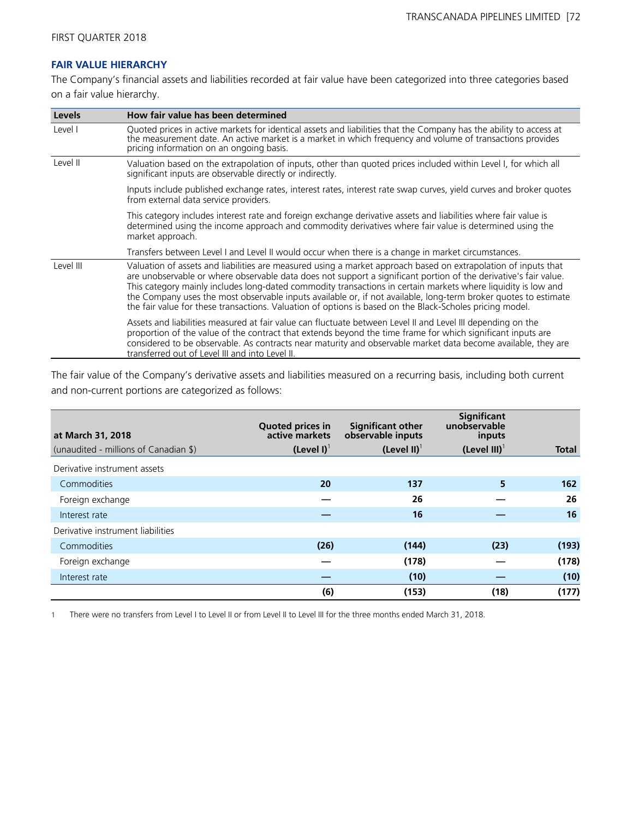# **FAIR VALUE HIERARCHY**

The Company's financial assets and liabilities recorded at fair value have been categorized into three categories based on a fair value hierarchy.

| Levels    | How fair value has been determined                                                                                                                                                                                                                                                                                                                                                                                                                                                                                                                                                 |  |  |  |
|-----------|------------------------------------------------------------------------------------------------------------------------------------------------------------------------------------------------------------------------------------------------------------------------------------------------------------------------------------------------------------------------------------------------------------------------------------------------------------------------------------------------------------------------------------------------------------------------------------|--|--|--|
| Level I   | Quoted prices in active markets for identical assets and liabilities that the Company has the ability to access at<br>the measurement date. An active market is a market in which frequency and volume of transactions provides<br>pricing information on an ongoing basis.                                                                                                                                                                                                                                                                                                        |  |  |  |
| Level II  | Valuation based on the extrapolation of inputs, other than quoted prices included within Level I, for which all<br>significant inputs are observable directly or indirectly.                                                                                                                                                                                                                                                                                                                                                                                                       |  |  |  |
|           | Inputs include published exchange rates, interest rates, interest rate swap curves, yield curves and broker quotes<br>from external data service providers.                                                                                                                                                                                                                                                                                                                                                                                                                        |  |  |  |
|           | This category includes interest rate and foreign exchange derivative assets and liabilities where fair value is<br>determined using the income approach and commodity derivatives where fair value is determined using the<br>market approach.                                                                                                                                                                                                                                                                                                                                     |  |  |  |
|           | Transfers between Level I and Level II would occur when there is a change in market circumstances.                                                                                                                                                                                                                                                                                                                                                                                                                                                                                 |  |  |  |
| Level III | Valuation of assets and liabilities are measured using a market approach based on extrapolation of inputs that<br>are unobservable or where observable data does not support a significant portion of the derivative's fair value.<br>This category mainly includes long-dated commodity transactions in certain markets where liquidity is low and<br>the Company uses the most observable inputs available or, if not available, long-term broker quotes to estimate<br>the fair value for these transactions. Valuation of options is based on the Black-Scholes pricing model. |  |  |  |
|           | Assets and liabilities measured at fair value can fluctuate between Level II and Level III depending on the<br>proportion of the value of the contract that extends beyond the time frame for which significant inputs are<br>considered to be observable. As contracts near maturity and observable market data become available, they are<br>transferred out of Level III and into Level II.                                                                                                                                                                                     |  |  |  |

The fair value of the Company's derivative assets and liabilities measured on a recurring basis, including both current and non-current portions are categorized as follows:

| at March 31, 2018                     | <b>Quoted prices in</b><br>active markets | <b>Significant other</b><br>observable inputs | <b>Significant</b><br>unobservable<br>inputs |              |
|---------------------------------------|-------------------------------------------|-----------------------------------------------|----------------------------------------------|--------------|
| (unaudited - millions of Canadian \$) | $(Level I)^{\dagger}$                     | (Level II) $1$                                | (Level III) $1$                              | <b>Total</b> |
| Derivative instrument assets          |                                           |                                               |                                              |              |
| Commodities                           | 20                                        | 137                                           | 5                                            | 162          |
| Foreign exchange                      |                                           | 26                                            |                                              | 26           |
| Interest rate                         |                                           | 16                                            |                                              | 16           |
| Derivative instrument liabilities     |                                           |                                               |                                              |              |
| Commodities                           | (26)                                      | (144)                                         | (23)                                         | (193)        |
| Foreign exchange                      |                                           | (178)                                         |                                              | (178)        |
| Interest rate                         |                                           | (10)                                          |                                              | (10)         |
|                                       | (6)                                       | (153)                                         | (18)                                         | (177)        |

1 There were no transfers from Level I to Level II or from Level II to Level III for the three months ended March 31, 2018.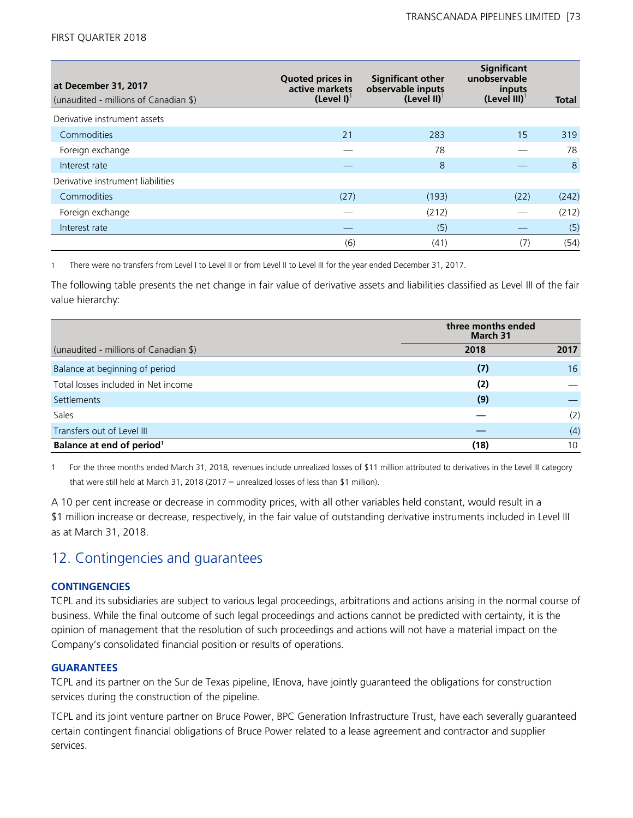| at December 31, 2017<br>(unaudited - millions of Canadian \$) | <b>Quoted prices in</b><br>active markets<br>(Level I) <sup>1</sup> | <b>Significant other</b><br>observable inputs<br>$(Level II)^T$ | Significant<br>unobservable<br>inputs<br>$(Level III)^T$ | Total |
|---------------------------------------------------------------|---------------------------------------------------------------------|-----------------------------------------------------------------|----------------------------------------------------------|-------|
| Derivative instrument assets                                  |                                                                     |                                                                 |                                                          |       |
| Commodities                                                   | 21                                                                  | 283                                                             | 15                                                       | 319   |
| Foreign exchange                                              |                                                                     | 78                                                              |                                                          | 78    |
| Interest rate                                                 |                                                                     | 8                                                               |                                                          | 8     |
| Derivative instrument liabilities                             |                                                                     |                                                                 |                                                          |       |
| Commodities                                                   | (27)                                                                | (193)                                                           | (22)                                                     | (242) |
| Foreign exchange                                              |                                                                     | (212)                                                           |                                                          | (212) |
| Interest rate                                                 |                                                                     | (5)                                                             |                                                          | (5)   |
|                                                               | (6)                                                                 | (41)                                                            | (7)                                                      | (54)  |

1 There were no transfers from Level I to Level II or from Level II to Level III for the year ended December 31, 2017.

The following table presents the net change in fair value of derivative assets and liabilities classified as Level III of the fair value hierarchy:

|                                       | three months ended<br>March 31 |      |  |
|---------------------------------------|--------------------------------|------|--|
| (unaudited - millions of Canadian \$) | 2018                           | 2017 |  |
| Balance at beginning of period        | (7)                            | 16   |  |
| Total losses included in Net income   | (2)                            |      |  |
| Settlements                           | (9)                            |      |  |
| Sales                                 |                                | (2)  |  |
| Transfers out of Level III            |                                | (4)  |  |
| Balance at end of period <sup>1</sup> | (18)                           | 10   |  |

1 For the three months ended March 31, 2018, revenues include unrealized losses of \$11 million attributed to derivatives in the Level III category that were still held at March 31, 2018 (2017 – unrealized losses of less than \$1 million).

A 10 per cent increase or decrease in commodity prices, with all other variables held constant, would result in a \$1 million increase or decrease, respectively, in the fair value of outstanding derivative instruments included in Level III as at March 31, 2018.

# 12. Contingencies and guarantees

## **CONTINGENCIES**

TCPL and its subsidiaries are subject to various legal proceedings, arbitrations and actions arising in the normal course of business. While the final outcome of such legal proceedings and actions cannot be predicted with certainty, it is the opinion of management that the resolution of such proceedings and actions will not have a material impact on the Company's consolidated financial position or results of operations.

## **GUARANTEES**

TCPL and its partner on the Sur de Texas pipeline, IEnova, have jointly guaranteed the obligations for construction services during the construction of the pipeline.

TCPL and its joint venture partner on Bruce Power, BPC Generation Infrastructure Trust, have each severally guaranteed certain contingent financial obligations of Bruce Power related to a lease agreement and contractor and supplier services.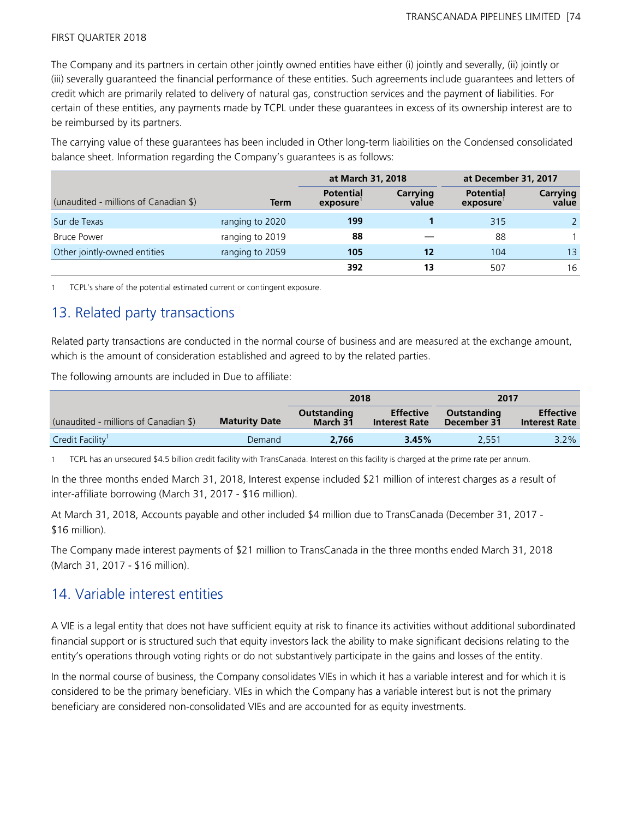The Company and its partners in certain other jointly owned entities have either (i) jointly and severally, (ii) jointly or (iii) severally guaranteed the financial performance of these entities. Such agreements include guarantees and letters of credit which are primarily related to delivery of natural gas, construction services and the payment of liabilities. For certain of these entities, any payments made by TCPL under these guarantees in excess of its ownership interest are to be reimbursed by its partners.

The carrying value of these guarantees has been included in Other long-term liabilities on the Condensed consolidated balance sheet. Information regarding the Company's guarantees is as follows:

|                                       |                 | at March 31, 2018            |                   | at December 31, 2017         |                          |
|---------------------------------------|-----------------|------------------------------|-------------------|------------------------------|--------------------------|
| (unaudited - millions of Canadian \$) | <b>Term</b>     | <b>Potential</b><br>exposure | Carrying<br>value | <b>Potential</b><br>exposure | <b>Carrying</b><br>value |
| Sur de Texas                          | ranging to 2020 | 199                          |                   | 315                          |                          |
| <b>Bruce Power</b>                    | ranging to 2019 | 88                           |                   | 88                           |                          |
| Other jointly-owned entities          | ranging to 2059 | 105                          | 12                | 104                          | 13                       |
|                                       |                 | 392                          | 13                | 507                          | 16                       |

1 TCPL's share of the potential estimated current or contingent exposure.

## 13. Related party transactions

Related party transactions are conducted in the normal course of business and are measured at the exchange amount, which is the amount of consideration established and agreed to by the related parties.

The following amounts are included in Due to affiliate:

|                                       |                      | 2018                           |                                          | 2017                       |                                          |
|---------------------------------------|----------------------|--------------------------------|------------------------------------------|----------------------------|------------------------------------------|
| (unaudited - millions of Canadian \$) | <b>Maturity Date</b> | <b>Outstanding</b><br>March 31 | <b>Effective</b><br><b>Interest Rate</b> | Outstanding<br>December 31 | <b>Effective</b><br><b>Interest Rate</b> |
| Credit Facility <sup>1</sup>          | Demand               | 2.766                          | 3.45%                                    | 2.551                      | $3.2\%$                                  |

1 TCPL has an unsecured \$4.5 billion credit facility with TransCanada. Interest on this facility is charged at the prime rate per annum.

In the three months ended March 31, 2018, Interest expense included \$21 million of interest charges as a result of inter-affiliate borrowing (March 31, 2017 - \$16 million).

At March 31, 2018, Accounts payable and other included \$4 million due to TransCanada (December 31, 2017 - \$16 million).

The Company made interest payments of \$21 million to TransCanada in the three months ended March 31, 2018 (March 31, 2017 - \$16 million).

## 14. Variable interest entities

A VIE is a legal entity that does not have sufficient equity at risk to finance its activities without additional subordinated financial support or is structured such that equity investors lack the ability to make significant decisions relating to the entity's operations through voting rights or do not substantively participate in the gains and losses of the entity.

In the normal course of business, the Company consolidates VIEs in which it has a variable interest and for which it is considered to be the primary beneficiary. VIEs in which the Company has a variable interest but is not the primary beneficiary are considered non-consolidated VIEs and are accounted for as equity investments.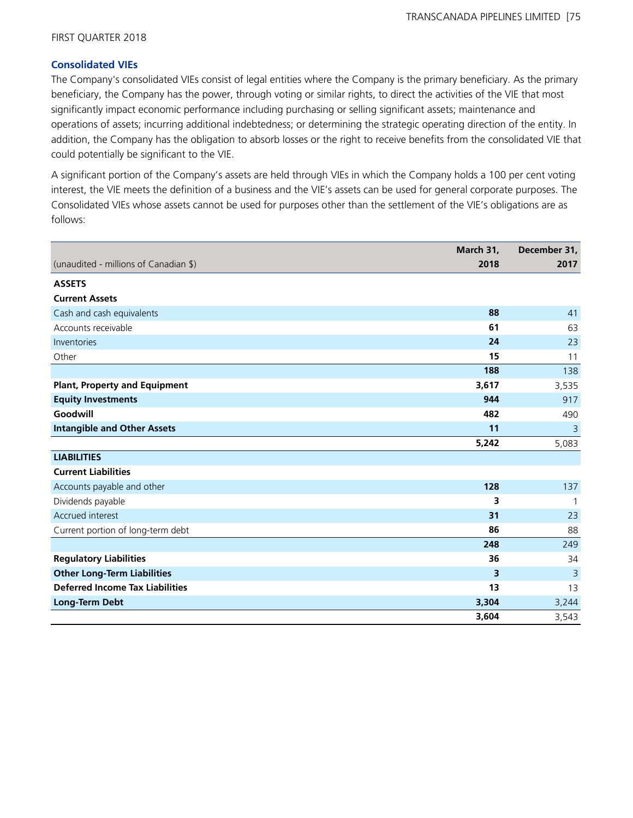### **Consolidated VIEs**

The Company's consolidated VIEs consist of legal entities where the Company is the primary beneficiary. As the primary beneficiary, the Company has the power, through voting or similar rights, to direct the activities of the VIE that most significantly impact economic performance including purchasing or selling significant assets; maintenance and operations of assets; incurring additional indebtedness; or determining the strategic operating direction of the entity. In addition, the Company has the obligation to absorb losses or the right to receive benefits from the consolidated VIE that could potentially be significant to the VIE.

A significant portion of the Company's assets are held through VIEs in which the Company holds a 100 per cent voting interest, the VIE meets the definition of a business and the VIE's assets can be used for general corporate purposes. The Consolidated VIEs whose assets cannot be used for purposes other than the settlement of the VIE's obligations are as follows:

|                                        | March 31, | December 31,   |
|----------------------------------------|-----------|----------------|
| (unaudited - millions of Canadian \$)  | 2018      | 2017           |
| <b>ASSETS</b>                          |           |                |
| <b>Current Assets</b>                  |           |                |
| Cash and cash equivalents              | 88        | 41             |
| Accounts receivable                    | 61        | 63             |
| Inventories                            | 24        | 23             |
| Other                                  | 15        | 11             |
|                                        | 188       | 138            |
| <b>Plant, Property and Equipment</b>   | 3,617     | 3,535          |
| <b>Equity Investments</b>              | 944       | 917            |
| Goodwill                               | 482       | 490            |
| <b>Intangible and Other Assets</b>     | 11        | 3              |
|                                        | 5,242     | 5,083          |
| <b>LIABILITIES</b>                     |           |                |
| <b>Current Liabilities</b>             |           |                |
| Accounts payable and other             | 128       | 137            |
| Dividends payable                      | 3         | $\mathbf{1}$   |
| Accrued interest                       | 31        | 23             |
| Current portion of long-term debt      | 86        | 88             |
|                                        | 248       | 249            |
| <b>Regulatory Liabilities</b>          | 36        | 34             |
| <b>Other Long-Term Liabilities</b>     | 3         | $\overline{3}$ |
| <b>Deferred Income Tax Liabilities</b> | 13        | 13             |
| <b>Long-Term Debt</b>                  | 3,304     | 3,244          |
|                                        | 3,604     | 3,543          |